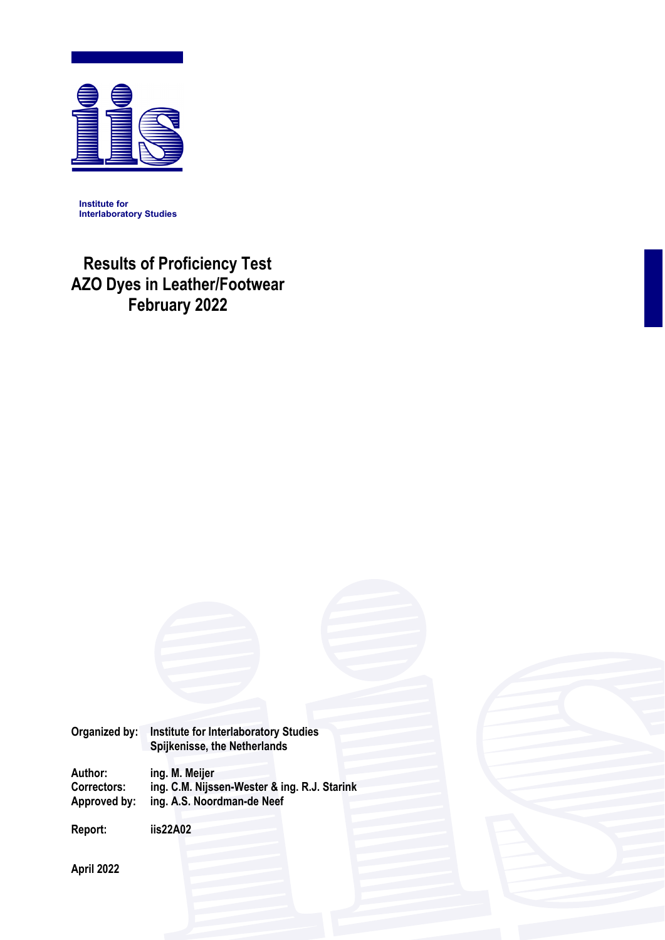

**Institute for Interlaboratory Studies** 

# **Results of Proficiency Test AZO Dyes in Leather/Footwear February 2022**

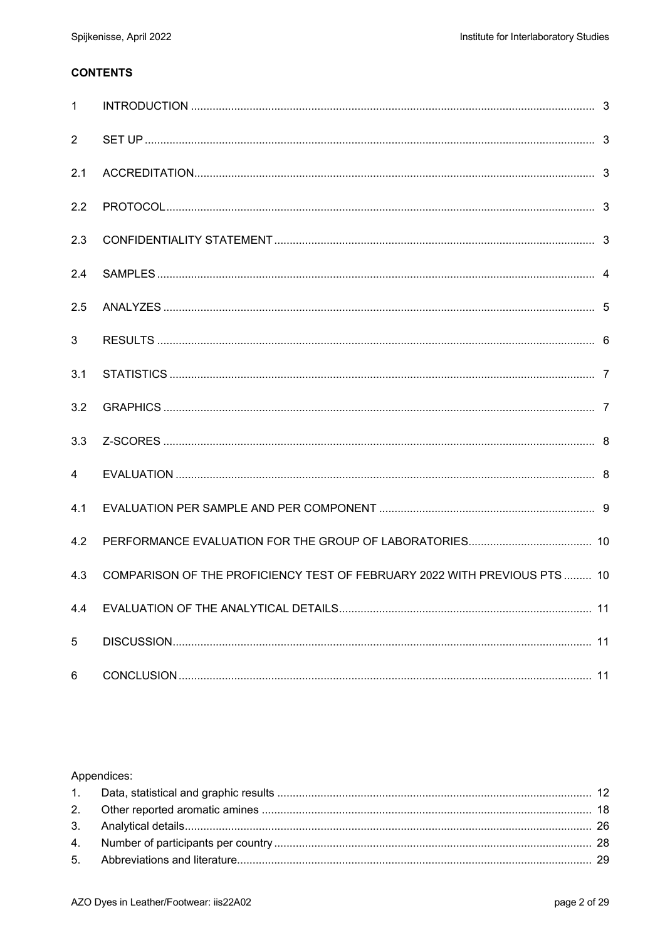# **CONTENTS**

| $\mathbf{1}$   |                                                                           |  |
|----------------|---------------------------------------------------------------------------|--|
| $\overline{2}$ |                                                                           |  |
| 2.1            |                                                                           |  |
| 2.2            |                                                                           |  |
| 2.3            |                                                                           |  |
| 2.4            |                                                                           |  |
| 2.5            |                                                                           |  |
| 3              |                                                                           |  |
| 3.1            |                                                                           |  |
| 3.2            |                                                                           |  |
| 3.3            |                                                                           |  |
| 4              |                                                                           |  |
| 4.1            |                                                                           |  |
| 4.2            |                                                                           |  |
| 4.3            | COMPARISON OF THE PROFICIENCY TEST OF FEBRUARY 2022 WITH PREVIOUS PTS  10 |  |
| 4.4            |                                                                           |  |
| 5              |                                                                           |  |
| 6              |                                                                           |  |

# Appendices: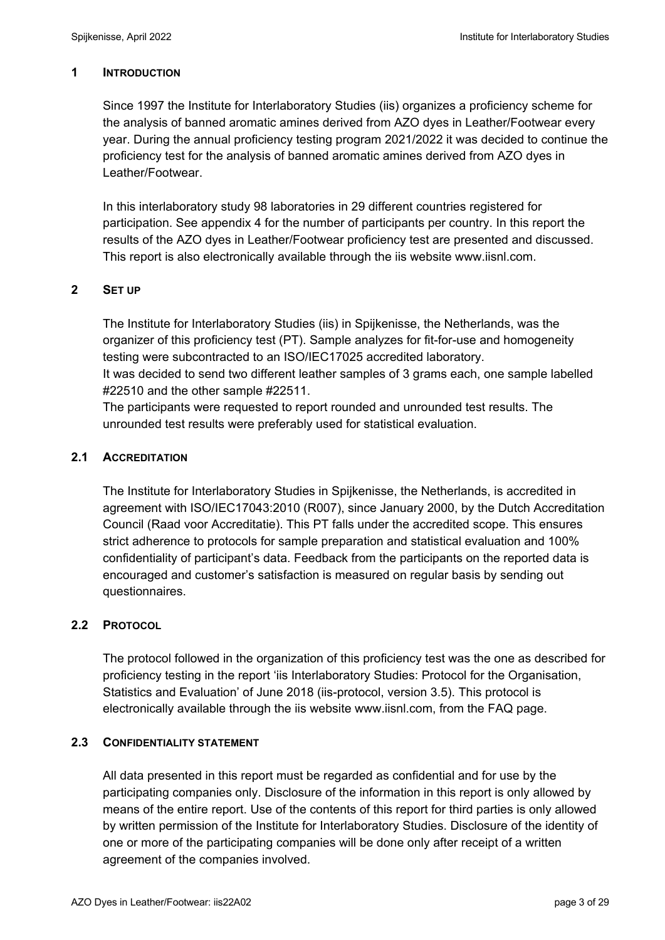# **1 INTRODUCTION**

Since 1997 the Institute for Interlaboratory Studies (iis) organizes a proficiency scheme for the analysis of banned aromatic amines derived from AZO dyes in Leather/Footwear every year. During the annual proficiency testing program 2021/2022 it was decided to continue the proficiency test for the analysis of banned aromatic amines derived from AZO dyes in Leather/Footwear.

In this interlaboratory study 98 laboratories in 29 different countries registered for participation. See appendix 4 for the number of participants per country. In this report the results of the AZO dyes in Leather/Footwear proficiency test are presented and discussed. This report is also electronically available through the iis website www.iisnl.com.

# **2 SET UP**

The Institute for Interlaboratory Studies (iis) in Spijkenisse, the Netherlands, was the organizer of this proficiency test (PT). Sample analyzes for fit-for-use and homogeneity testing were subcontracted to an ISO/IEC17025 accredited laboratory. It was decided to send two different leather samples of 3 grams each, one sample labelled #22510 and the other sample #22511.

The participants were requested to report rounded and unrounded test results. The unrounded test results were preferably used for statistical evaluation.

# **2.1 ACCREDITATION**

The Institute for Interlaboratory Studies in Spijkenisse, the Netherlands, is accredited in agreement with ISO/IEC17043:2010 (R007), since January 2000, by the Dutch Accreditation Council (Raad voor Accreditatie). This PT falls under the accredited scope. This ensures strict adherence to protocols for sample preparation and statistical evaluation and 100% confidentiality of participant's data. Feedback from the participants on the reported data is encouraged and customer's satisfaction is measured on regular basis by sending out questionnaires.

# **2.2 PROTOCOL**

The protocol followed in the organization of this proficiency test was the one as described for proficiency testing in the report 'iis Interlaboratory Studies: Protocol for the Organisation, Statistics and Evaluation' of June 2018 (iis-protocol, version 3.5). This protocol is electronically available through the iis website www.iisnl.com, from the FAQ page.

# **2.3 CONFIDENTIALITY STATEMENT**

All data presented in this report must be regarded as confidential and for use by the participating companies only. Disclosure of the information in this report is only allowed by means of the entire report. Use of the contents of this report for third parties is only allowed by written permission of the Institute for Interlaboratory Studies. Disclosure of the identity of one or more of the participating companies will be done only after receipt of a written agreement of the companies involved.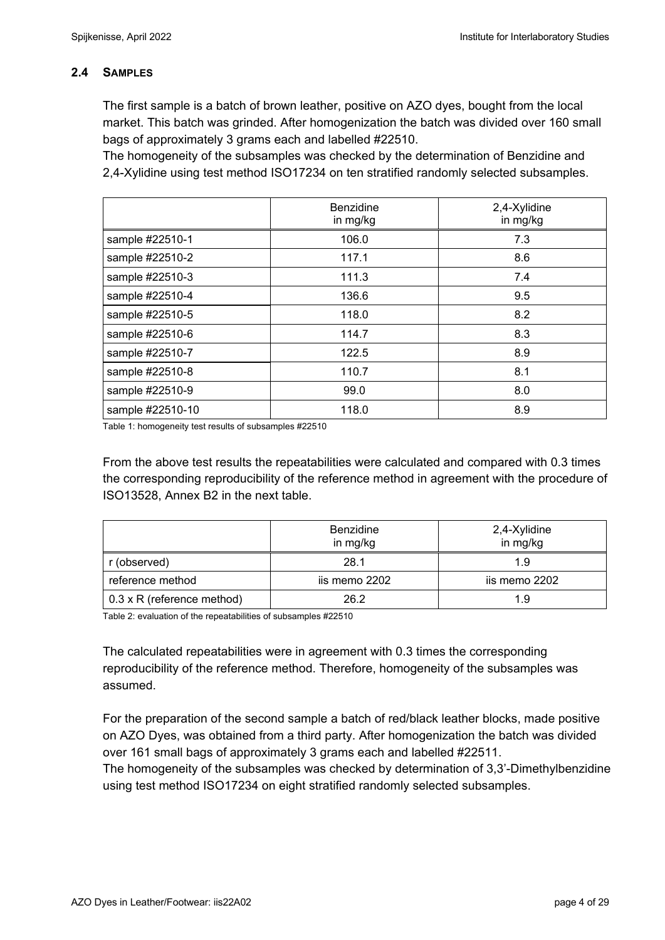# **2.4 SAMPLES**

The first sample is a batch of brown leather, positive on AZO dyes, bought from the local market. This batch was grinded. After homogenization the batch was divided over 160 small bags of approximately 3 grams each and labelled #22510.

The homogeneity of the subsamples was checked by the determination of Benzidine and 2,4-Xylidine using test method ISO17234 on ten stratified randomly selected subsamples.

|                  | <b>Benzidine</b><br>in mg/kg | 2,4-Xylidine<br>in mg/kg |
|------------------|------------------------------|--------------------------|
| sample #22510-1  | 106.0                        | 7.3                      |
| sample #22510-2  | 117.1                        | 8.6                      |
| sample #22510-3  | 111.3                        | 7.4                      |
| sample #22510-4  | 136.6                        | 9.5                      |
| sample #22510-5  | 118.0                        | 8.2                      |
| sample #22510-6  | 114.7                        | 8.3                      |
| sample #22510-7  | 122.5                        | 8.9                      |
| sample #22510-8  | 110.7                        | 8.1                      |
| sample #22510-9  | 99.0                         | 8.0                      |
| sample #22510-10 | 118.0                        | 8.9                      |

Table 1: homogeneity test results of subsamples #22510

From the above test results the repeatabilities were calculated and compared with 0.3 times the corresponding reproducibility of the reference method in agreement with the procedure of ISO13528, Annex B2 in the next table.

|                                   | <b>Benzidine</b><br>in mg/kg | 2,4-Xylidine<br>in mg/kg |
|-----------------------------------|------------------------------|--------------------------|
| r (observed)                      | 28.1                         | 1.9                      |
| reference method                  | iis memo 2202                | iis memo 2202            |
| $0.3 \times R$ (reference method) | 26.2                         | 1.9                      |

Table 2: evaluation of the repeatabilities of subsamples #22510

The calculated repeatabilities were in agreement with 0.3 times the corresponding reproducibility of the reference method. Therefore, homogeneity of the subsamples was assumed.

For the preparation of the second sample a batch of red/black leather blocks, made positive on AZO Dyes, was obtained from a third party. After homogenization the batch was divided over 161 small bags of approximately 3 grams each and labelled #22511. The homogeneity of the subsamples was checked by determination of 3,3'-Dimethylbenzidine using test method ISO17234 on eight stratified randomly selected subsamples.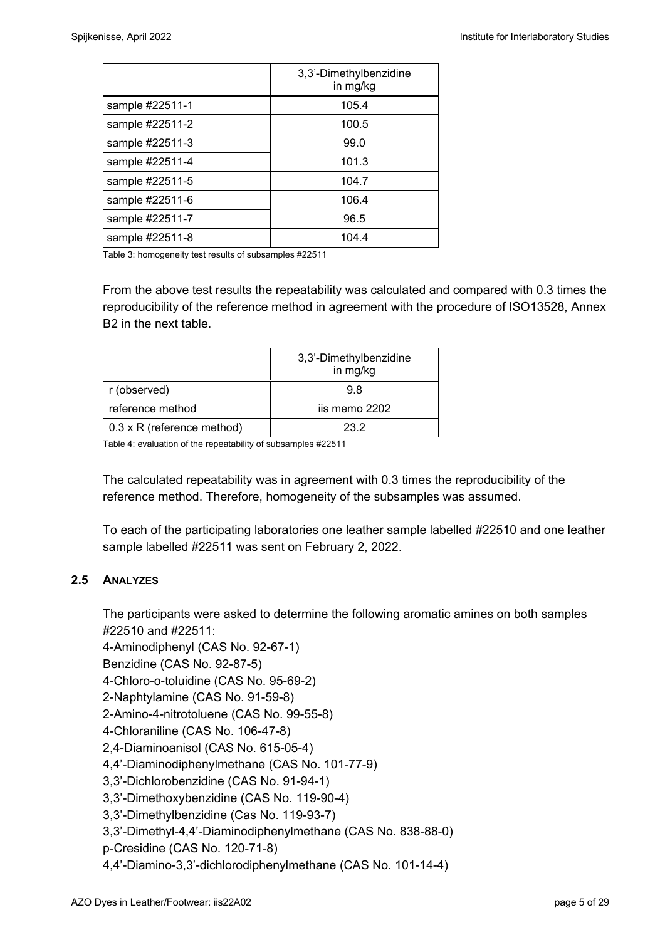|                 | 3,3'-Dimethylbenzidine<br>in mg/kg |
|-----------------|------------------------------------|
| sample #22511-1 | 105.4                              |
| sample #22511-2 | 100.5                              |
| sample #22511-3 | 99.0                               |
| sample #22511-4 | 101.3                              |
| sample #22511-5 | 104.7                              |
| sample #22511-6 | 106.4                              |
| sample #22511-7 | 96.5                               |
| sample #22511-8 | 104.4                              |

Table 3: homogeneity test results of subsamples #22511

From the above test results the repeatability was calculated and compared with 0.3 times the reproducibility of the reference method in agreement with the procedure of ISO13528, Annex B2 in the next table.

|                                   | 3,3'-Dimethylbenzidine<br>in mg/kg |
|-----------------------------------|------------------------------------|
| r (observed)                      | 98                                 |
| reference method                  | iis memo 2202                      |
| $0.3 \times R$ (reference method) | 23.2                               |

Table 4: evaluation of the repeatability of subsamples #22511

The calculated repeatability was in agreement with 0.3 times the reproducibility of the reference method. Therefore, homogeneity of the subsamples was assumed.

To each of the participating laboratories one leather sample labelled #22510 and one leather sample labelled #22511 was sent on February 2, 2022.

# **2.5 ANALYZES**

The participants were asked to determine the following aromatic amines on both samples #22510 and #22511:

4-Aminodiphenyl (CAS No. 92-67-1)

Benzidine (CAS No. 92-87-5)

4-Chloro-o-toluidine (CAS No. 95-69-2)

2-Naphtylamine (CAS No. 91-59-8)

2-Amino-4-nitrotoluene (CAS No. 99-55-8)

4-Chloraniline (CAS No. 106-47-8)

2,4-Diaminoanisol (CAS No. 615-05-4)

4,4'-Diaminodiphenylmethane (CAS No. 101-77-9)

3,3'-Dichlorobenzidine (CAS No. 91-94-1)

3,3'-Dimethoxybenzidine (CAS No. 119-90-4)

3,3'-Dimethylbenzidine (Cas No. 119-93-7)

3,3'-Dimethyl-4,4'-Diaminodiphenylmethane (CAS No. 838-88-0)

p-Cresidine (CAS No. 120-71-8)

4,4'-Diamino-3,3'-dichlorodiphenylmethane (CAS No. 101-14-4)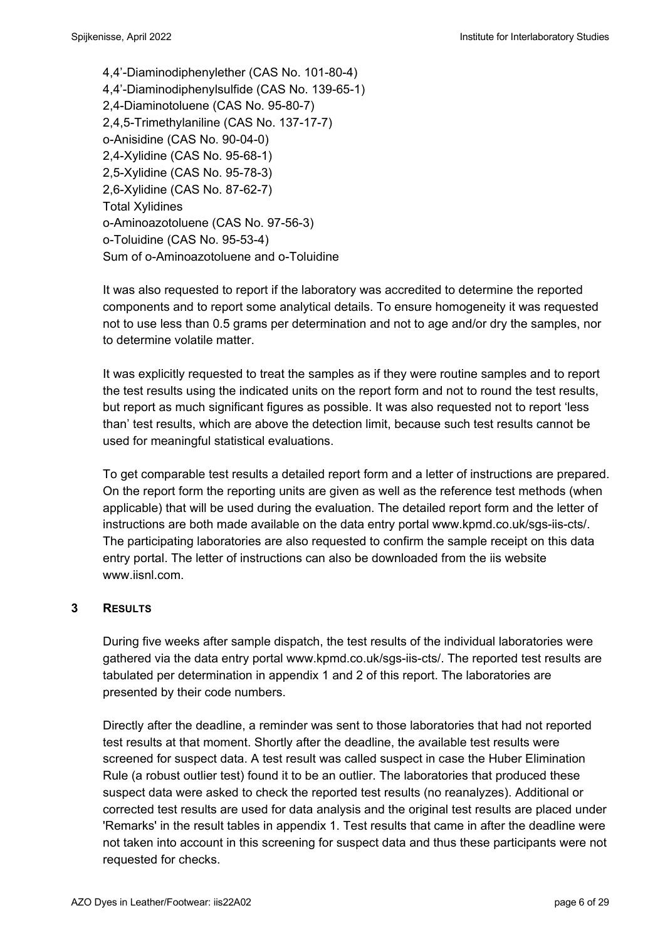4,4'-Diaminodiphenylether (CAS No. 101-80-4) 4,4'-Diaminodiphenylsulfide (CAS No. 139-65-1) 2,4-Diaminotoluene (CAS No. 95-80-7) 2,4,5-Trimethylaniline (CAS No. 137-17-7) o-Anisidine (CAS No. 90-04-0) 2,4-Xylidine (CAS No. 95-68-1) 2,5-Xylidine (CAS No. 95-78-3) 2,6-Xylidine (CAS No. 87-62-7) Total Xylidines o-Aminoazotoluene (CAS No. 97-56-3) o-Toluidine (CAS No. 95-53-4) Sum of o-Aminoazotoluene and o-Toluidine

It was also requested to report if the laboratory was accredited to determine the reported components and to report some analytical details. To ensure homogeneity it was requested not to use less than 0.5 grams per determination and not to age and/or dry the samples, nor to determine volatile matter.

It was explicitly requested to treat the samples as if they were routine samples and to report the test results using the indicated units on the report form and not to round the test results, but report as much significant figures as possible. It was also requested not to report 'less than' test results, which are above the detection limit, because such test results cannot be used for meaningful statistical evaluations.

To get comparable test results a detailed report form and a letter of instructions are prepared. On the report form the reporting units are given as well as the reference test methods (when applicable) that will be used during the evaluation. The detailed report form and the letter of instructions are both made available on the data entry portal www.kpmd.co.uk/sgs-iis-cts/. The participating laboratories are also requested to confirm the sample receipt on this data entry portal. The letter of instructions can also be downloaded from the iis website www.jisnl.com

# **3 RESULTS**

During five weeks after sample dispatch, the test results of the individual laboratories were gathered via the data entry portal www.kpmd.co.uk/sgs-iis-cts/. The reported test results are tabulated per determination in appendix 1 and 2 of this report. The laboratories are presented by their code numbers.

Directly after the deadline, a reminder was sent to those laboratories that had not reported test results at that moment. Shortly after the deadline, the available test results were screened for suspect data. A test result was called suspect in case the Huber Elimination Rule (a robust outlier test) found it to be an outlier. The laboratories that produced these suspect data were asked to check the reported test results (no reanalyzes). Additional or corrected test results are used for data analysis and the original test results are placed under 'Remarks' in the result tables in appendix 1. Test results that came in after the deadline were not taken into account in this screening for suspect data and thus these participants were not requested for checks.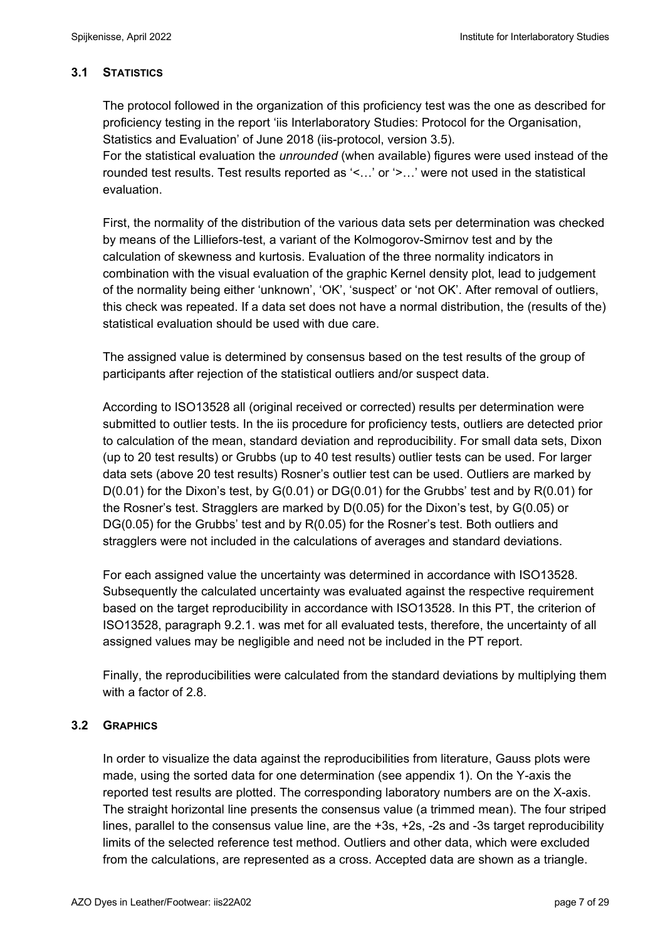# **3.1 STATISTICS**

The protocol followed in the organization of this proficiency test was the one as described for proficiency testing in the report 'iis Interlaboratory Studies: Protocol for the Organisation, Statistics and Evaluation' of June 2018 (iis-protocol, version 3.5).

For the statistical evaluation the *unrounded* (when available) figures were used instead of the rounded test results. Test results reported as '<…' or '>…' were not used in the statistical evaluation.

First, the normality of the distribution of the various data sets per determination was checked by means of the Lilliefors-test, a variant of the Kolmogorov-Smirnov test and by the calculation of skewness and kurtosis. Evaluation of the three normality indicators in combination with the visual evaluation of the graphic Kernel density plot, lead to judgement of the normality being either 'unknown', 'OK', 'suspect' or 'not OK'. After removal of outliers, this check was repeated. If a data set does not have a normal distribution, the (results of the) statistical evaluation should be used with due care.

The assigned value is determined by consensus based on the test results of the group of participants after rejection of the statistical outliers and/or suspect data.

According to ISO13528 all (original received or corrected) results per determination were submitted to outlier tests. In the iis procedure for proficiency tests, outliers are detected prior to calculation of the mean, standard deviation and reproducibility. For small data sets, Dixon (up to 20 test results) or Grubbs (up to 40 test results) outlier tests can be used. For larger data sets (above 20 test results) Rosner's outlier test can be used. Outliers are marked by D(0.01) for the Dixon's test, by G(0.01) or DG(0.01) for the Grubbs' test and by R(0.01) for the Rosner's test. Stragglers are marked by D(0.05) for the Dixon's test, by G(0.05) or DG(0.05) for the Grubbs' test and by R(0.05) for the Rosner's test. Both outliers and stragglers were not included in the calculations of averages and standard deviations.

For each assigned value the uncertainty was determined in accordance with ISO13528. Subsequently the calculated uncertainty was evaluated against the respective requirement based on the target reproducibility in accordance with ISO13528. In this PT, the criterion of ISO13528, paragraph 9.2.1. was met for all evaluated tests, therefore, the uncertainty of all assigned values may be negligible and need not be included in the PT report.

Finally, the reproducibilities were calculated from the standard deviations by multiplying them with a factor of 2.8

# **3.2 GRAPHICS**

In order to visualize the data against the reproducibilities from literature, Gauss plots were made, using the sorted data for one determination (see appendix 1). On the Y-axis the reported test results are plotted. The corresponding laboratory numbers are on the X-axis. The straight horizontal line presents the consensus value (a trimmed mean). The four striped lines, parallel to the consensus value line, are the +3s, +2s, -2s and -3s target reproducibility limits of the selected reference test method. Outliers and other data, which were excluded from the calculations, are represented as a cross. Accepted data are shown as a triangle.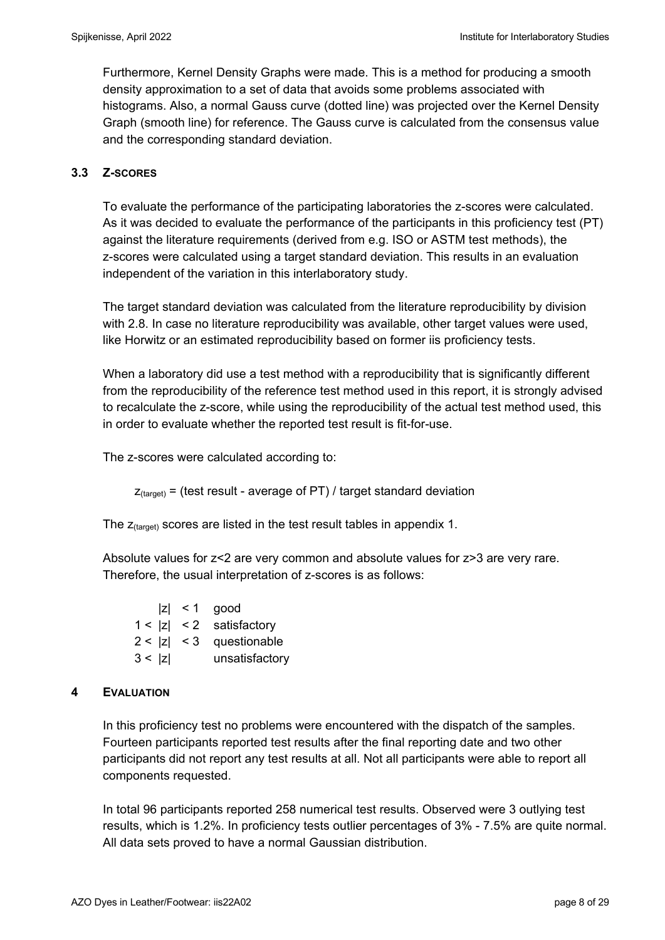Furthermore, Kernel Density Graphs were made. This is a method for producing a smooth density approximation to a set of data that avoids some problems associated with histograms. Also, a normal Gauss curve (dotted line) was projected over the Kernel Density Graph (smooth line) for reference. The Gauss curve is calculated from the consensus value and the corresponding standard deviation.

# **3.3 Z-SCORES**

To evaluate the performance of the participating laboratories the z-scores were calculated. As it was decided to evaluate the performance of the participants in this proficiency test (PT) against the literature requirements (derived from e.g. ISO or ASTM test methods), the z-scores were calculated using a target standard deviation. This results in an evaluation independent of the variation in this interlaboratory study.

The target standard deviation was calculated from the literature reproducibility by division with 2.8. In case no literature reproducibility was available, other target values were used, like Horwitz or an estimated reproducibility based on former iis proficiency tests.

When a laboratory did use a test method with a reproducibility that is significantly different from the reproducibility of the reference test method used in this report, it is strongly advised to recalculate the z-score, while using the reproducibility of the actual test method used, this in order to evaluate whether the reported test result is fit-for-use.

The z-scores were calculated according to:

 $Z_{\text{target}}$  = (test result - average of PT) / target standard deviation

The  $z_{\text{(target)}}$  scores are listed in the test result tables in appendix 1.

Absolute values for z<2 are very common and absolute values for z>3 are very rare. Therefore, the usual interpretation of z-scores is as follows:

 $|z|$  < 1 good 1 < |z| < 2 satisfactory 2 < |z| < 3 questionable 3 < |z| unsatisfactory

# **4 EVALUATION**

In this proficiency test no problems were encountered with the dispatch of the samples. Fourteen participants reported test results after the final reporting date and two other participants did not report any test results at all. Not all participants were able to report all components requested.

In total 96 participants reported 258 numerical test results. Observed were 3 outlying test results, which is 1.2%. In proficiency tests outlier percentages of 3% - 7.5% are quite normal. All data sets proved to have a normal Gaussian distribution.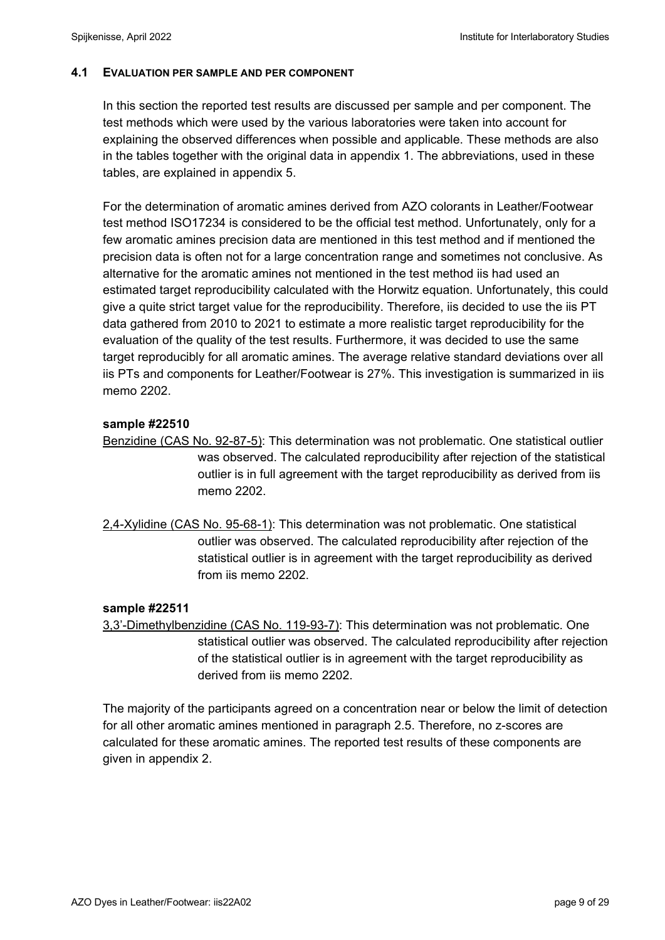# **4.1 EVALUATION PER SAMPLE AND PER COMPONENT**

In this section the reported test results are discussed per sample and per component. The test methods which were used by the various laboratories were taken into account for explaining the observed differences when possible and applicable. These methods are also in the tables together with the original data in appendix 1. The abbreviations, used in these tables, are explained in appendix 5.

For the determination of aromatic amines derived from AZO colorants in Leather/Footwear test method ISO17234 is considered to be the official test method. Unfortunately, only for a few aromatic amines precision data are mentioned in this test method and if mentioned the precision data is often not for a large concentration range and sometimes not conclusive. As alternative for the aromatic amines not mentioned in the test method iis had used an estimated target reproducibility calculated with the Horwitz equation. Unfortunately, this could give a quite strict target value for the reproducibility. Therefore, iis decided to use the iis PT data gathered from 2010 to 2021 to estimate a more realistic target reproducibility for the evaluation of the quality of the test results. Furthermore, it was decided to use the same target reproducibly for all aromatic amines. The average relative standard deviations over all iis PTs and components for Leather/Footwear is 27%. This investigation is summarized in iis memo 2202.

# **sample #22510**

Benzidine (CAS No. 92-87-5): This determination was not problematic. One statistical outlier was observed. The calculated reproducibility after rejection of the statistical outlier is in full agreement with the target reproducibility as derived from iis memo 2202.

2,4-Xylidine (CAS No. 95-68-1): This determination was not problematic. One statistical outlier was observed. The calculated reproducibility after rejection of the statistical outlier is in agreement with the target reproducibility as derived from iis memo 2202.

# **sample #22511**

3,3'-Dimethylbenzidine (CAS No. 119-93-7): This determination was not problematic. One statistical outlier was observed. The calculated reproducibility after rejection of the statistical outlier is in agreement with the target reproducibility as derived from iis memo 2202.

The majority of the participants agreed on a concentration near or below the limit of detection for all other aromatic amines mentioned in paragraph 2.5. Therefore, no z-scores are calculated for these aromatic amines. The reported test results of these components are given in appendix 2.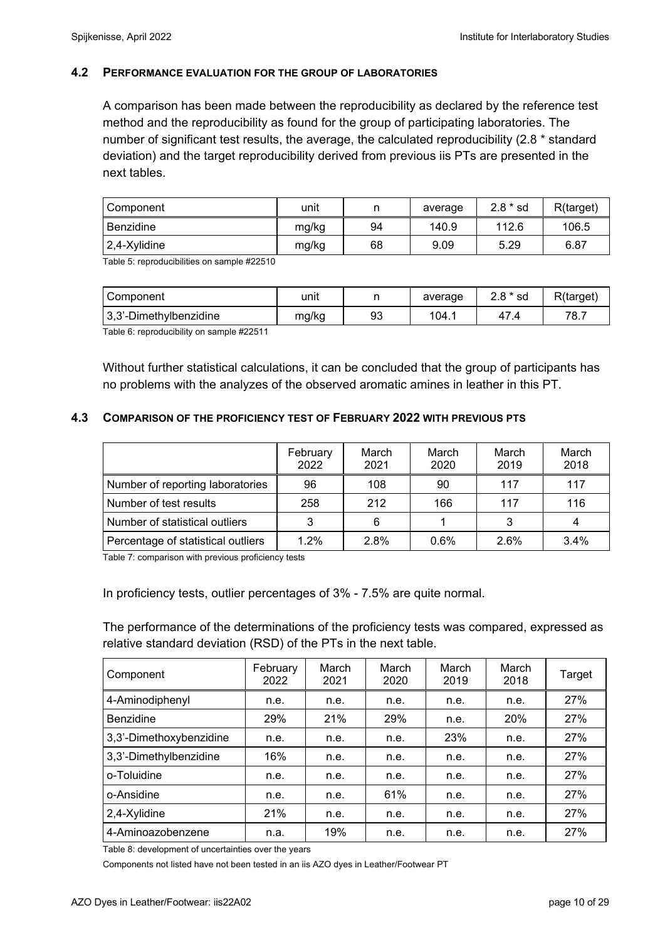### **4.2 PERFORMANCE EVALUATION FOR THE GROUP OF LABORATORIES**

A comparison has been made between the reproducibility as declared by the reference test method and the reproducibility as found for the group of participating laboratories. The number of significant test results, the average, the calculated reproducibility (2.8 \* standard deviation) and the target reproducibility derived from previous iis PTs are presented in the next tables.

| Component    | unit  |    | average | $2.8 * sd$ | R(target) |
|--------------|-------|----|---------|------------|-----------|
| Benzidine    | mg/kg | 94 | 140.9   | 112.6      | 106.5     |
| 2,4-Xylidine | mg/kg | 68 | 9.09    | 5.29       | 6.87      |

Table 5: reproducibilities on sample #22510

| Component                  | unit  |    | average | $2.8 * sd$ | R(target) |
|----------------------------|-------|----|---------|------------|-----------|
| $ 3,3$ '-Dimethylbenzidine | mg/kg | 93 | 104.1   |            | 78.7      |

Table 6: reproducibility on sample #22511

Without further statistical calculations, it can be concluded that the group of participants has no problems with the analyzes of the observed aromatic amines in leather in this PT.

### **4.3 COMPARISON OF THE PROFICIENCY TEST OF FEBRUARY 2022 WITH PREVIOUS PTS**

|                                    | February<br>2022 | March<br>2021 | March<br>2020 | March<br>2019 | March<br>2018 |
|------------------------------------|------------------|---------------|---------------|---------------|---------------|
| Number of reporting laboratories   | 96               | 108           | 90            | 117           | 117           |
| Number of test results             | 258              | 212           | 166           | 117           | 116           |
| Number of statistical outliers     | っ                | 6             |               |               |               |
| Percentage of statistical outliers | 1.2%             | 2.8%          | 0.6%          | 2.6%          | 3.4%          |

Table 7: comparison with previous proficiency tests

In proficiency tests, outlier percentages of 3% - 7.5% are quite normal.

The performance of the determinations of the proficiency tests was compared, expressed as relative standard deviation (RSD) of the PTs in the next table.

| Component               | February<br>2022 | March<br>2021 | March<br>2020 | March<br>2019 | March<br>2018 | Target |
|-------------------------|------------------|---------------|---------------|---------------|---------------|--------|
| 4-Aminodiphenyl         | n.e.             | n.e.          | n.e.          | n.e.          | n.e.          | 27%    |
| <b>Benzidine</b>        | 29%              | 21%           | 29%           | n.e.          | 20%           | 27%    |
| 3,3'-Dimethoxybenzidine | n.e.             | n.e.          | n.e.          | 23%           | n.e.          | 27%    |
| 3,3'-Dimethylbenzidine  | 16%              | n.e.          | n.e.          | n.e.          | n.e.          | 27%    |
| o-Toluidine             | n.e.             | n.e.          | n.e.          | n.e.          | n.e.          | 27%    |
| o-Ansidine              | n.e.             | n.e.          | 61%           | n.e.          | n.e.          | 27%    |
| 2,4-Xylidine            | 21%              | n.e.          | n.e.          | n.e.          | n.e.          | 27%    |
| 4-Aminoazobenzene       | n.a.             | 19%           | n.e.          | n.e.          | n.e.          | 27%    |

Table 8: development of uncertainties over the years

Components not listed have not been tested in an iis AZO dyes in Leather/Footwear PT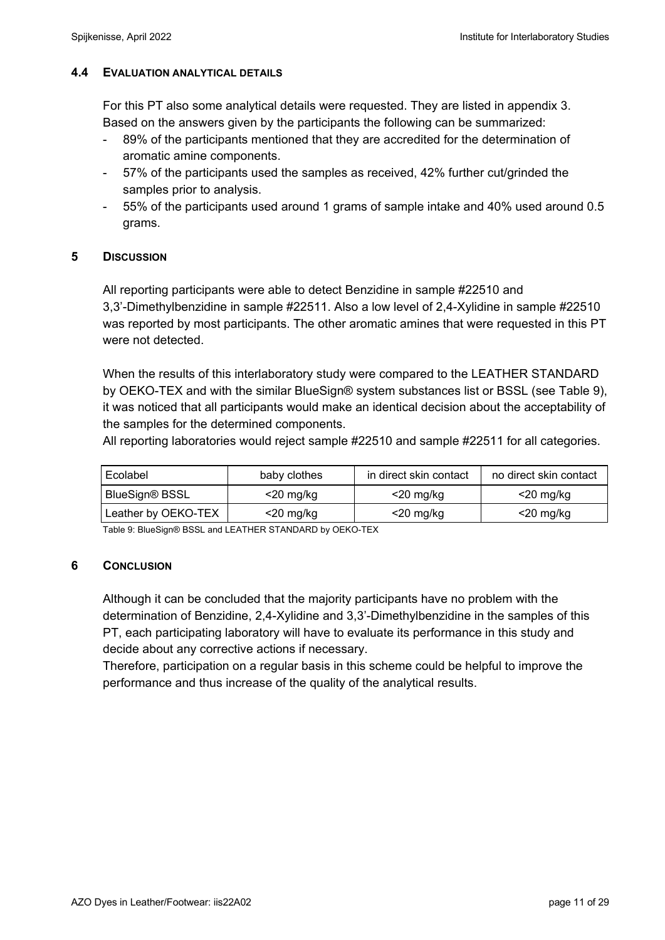# **4.4 EVALUATION ANALYTICAL DETAILS**

For this PT also some analytical details were requested. They are listed in appendix 3. Based on the answers given by the participants the following can be summarized:

- 89% of the participants mentioned that they are accredited for the determination of aromatic amine components.
- 57% of the participants used the samples as received, 42% further cut/grinded the samples prior to analysis.
- 55% of the participants used around 1 grams of sample intake and 40% used around 0.5 grams.

# **5 DISCUSSION**

All reporting participants were able to detect Benzidine in sample #22510 and 3,3'-Dimethylbenzidine in sample #22511. Also a low level of 2,4-Xylidine in sample #22510 was reported by most participants. The other aromatic amines that were requested in this PT were not detected.

When the results of this interlaboratory study were compared to the LEATHER STANDARD by OEKO-TEX and with the similar BlueSign® system substances list or BSSL (see Table 9), it was noticed that all participants would make an identical decision about the acceptability of the samples for the determined components.

All reporting laboratories would reject sample #22510 and sample #22511 for all categories.

| Ecolabel<br>baby clothes       |              | in direct skin contact | no direct skin contact |
|--------------------------------|--------------|------------------------|------------------------|
| BlueSign® BSSL<br>$<$ 20 mg/kg |              | $<$ 20 mg/kg           | $<$ 20 mg/kg           |
| Leather by OEKO-TEX            | $<$ 20 mg/kg | $<$ 20 mg/kg           | $<$ 20 mg/kg           |

Table 9: BlueSign® BSSL and LEATHER STANDARD by OEKO-TEX

# **6 CONCLUSION**

Although it can be concluded that the majority participants have no problem with the determination of Benzidine, 2,4-Xylidine and 3,3'-Dimethylbenzidine in the samples of this PT, each participating laboratory will have to evaluate its performance in this study and decide about any corrective actions if necessary.

Therefore, participation on a regular basis in this scheme could be helpful to improve the performance and thus increase of the quality of the analytical results.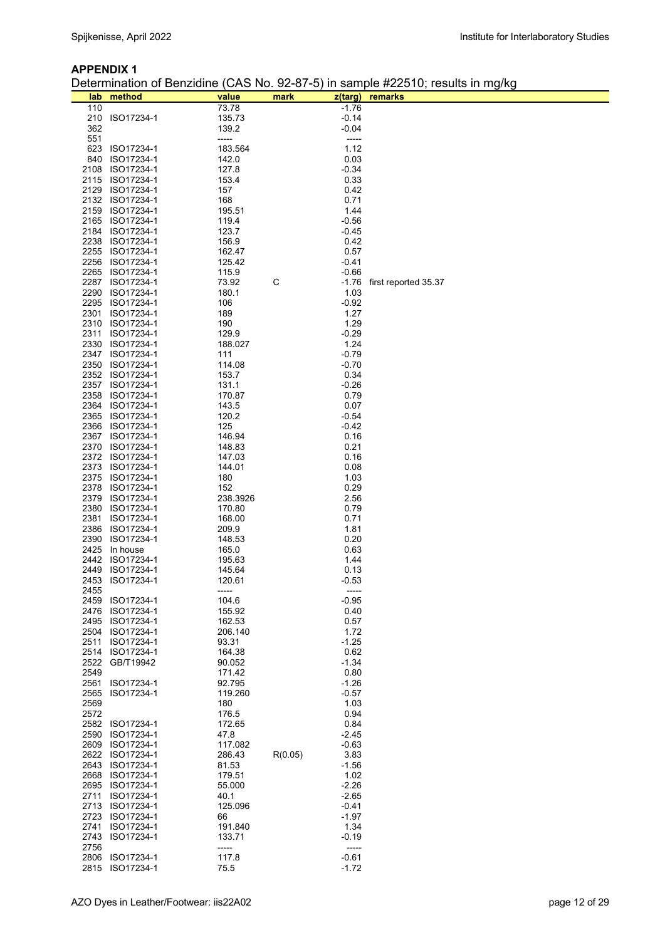#### **APPENDIX 1**

Determination of Benzidine (CAS No. 92-87-5) in sample #22510; results in mg/kg

| lab  | method                             | value            | mark    |                    | $5, $ can promote $0, 0, $<br>z(targ) remarks |
|------|------------------------------------|------------------|---------|--------------------|-----------------------------------------------|
| 110  |                                    | 73.78            |         | $-1.76$            |                                               |
|      | 210 ISO17234-1                     | 135.73           |         | $-0.14$            |                                               |
| 362  |                                    | 139.2            |         | $-0.04$            |                                               |
| 551  |                                    | -----            |         | -----              |                                               |
|      | 623 ISO17234-1                     | 183.564          |         | 1.12               |                                               |
| 840  | ISO17234-1                         | 142.0            |         | 0.03               |                                               |
|      | 2108 ISO17234-1                    | 127.8            |         | $-0.34$            |                                               |
|      | 2115 ISO17234-1                    | 153.4            |         | 0.33               |                                               |
|      | 2129 ISO17234-1                    | 157              |         | 0.42               |                                               |
|      | 2132 ISO17234-1                    | 168              |         | 0.71               |                                               |
|      | 2159 ISO17234-1                    | 195.51           |         | 1.44               |                                               |
|      | 2165 ISO17234-1                    | 119.4            |         | $-0.56$            |                                               |
|      | 2184 ISO17234-1                    | 123.7            |         | $-0.45$            |                                               |
|      | 2238 ISO17234-1                    | 156.9            |         | 0.42               |                                               |
|      | 2255 ISO17234-1                    | 162.47           |         | 0.57               |                                               |
|      | 2256 ISO17234-1                    | 125.42           |         | -0.41              |                                               |
|      | 2265 ISO17234-1                    | 115.9            |         | $-0.66$            |                                               |
|      | 2287 ISO17234-1                    | 73.92            | С       |                    | -1.76 first reported 35.37                    |
|      | 2290 ISO17234-1                    | 180.1            |         | 1.03               |                                               |
|      | 2295 ISO17234-1                    | 106              |         | $-0.92$            |                                               |
|      | 2301 ISO17234-1                    | 189              |         | 1.27               |                                               |
|      | 2310 ISO17234-1                    | 190              |         | 1.29               |                                               |
|      | 2311 ISO17234-1                    | 129.9            |         | $-0.29$            |                                               |
|      | 2330 ISO17234-1                    | 188.027          |         | 1.24               |                                               |
|      | 2347 ISO17234-1                    | 111              |         | $-0.79$            |                                               |
|      | 2350 ISO17234-1                    | 114.08           |         | $-0.70$            |                                               |
|      | 2352 ISO17234-1                    | 153.7            |         | 0.34               |                                               |
|      | 2357 ISO17234-1                    | 131.1            |         | $-0.26$            |                                               |
|      | 2358 ISO17234-1                    | 170.87           |         | 0.79               |                                               |
|      | 2364 ISO17234-1                    | 143.5            |         | 0.07               |                                               |
|      | 2365 ISO17234-1                    | 120.2            |         | -0.54              |                                               |
|      | 2366 ISO17234-1                    | 125              |         | -0.42              |                                               |
|      | 2367 ISO17234-1                    | 146.94           |         | 0.16               |                                               |
|      | 2370 ISO17234-1                    | 148.83           |         | 0.21               |                                               |
|      | 2372 ISO17234-1                    | 147.03           |         | 0.16               |                                               |
|      | 2373 ISO17234-1                    | 144.01           |         | 0.08               |                                               |
|      | 2375 ISO17234-1                    | 180              |         | 1.03               |                                               |
|      | 2378 ISO17234-1                    | 152              |         | 0.29               |                                               |
|      | 2379 ISO17234-1                    | 238.3926         |         | 2.56               |                                               |
|      | 2380 ISO17234-1<br>2381 ISO17234-1 | 170.80<br>168.00 |         | 0.79<br>0.71       |                                               |
|      | 2386 ISO17234-1                    | 209.9            |         | 1.81               |                                               |
|      | 2390 ISO17234-1                    | 148.53           |         | 0.20               |                                               |
|      | 2425 In house                      | 165.0            |         | 0.63               |                                               |
|      | 2442 ISO17234-1                    | 195.63           |         | 1.44               |                                               |
| 2449 | ISO17234-1                         | 145.64           |         | 0.13               |                                               |
|      | 2453 ISO17234-1                    | 120.61           |         | $-0.53$            |                                               |
| 2455 |                                    | -----            |         | -----              |                                               |
|      | 2459 ISO17234-1                    | 104.6            |         | $-0.95$            |                                               |
| 2476 | ISO17234-1                         | 155.92           |         | 0.40               |                                               |
|      | 2495 ISO17234-1                    | 162.53           |         | 0.57               |                                               |
|      | 2504 ISO17234-1                    | 206.140          |         | 1.72               |                                               |
| 2511 | ISO17234-1                         | 93.31            |         | $-1.25$            |                                               |
|      | 2514 ISO17234-1                    | 164.38           |         | 0.62               |                                               |
| 2522 | GB/T19942                          | 90.052           |         | $-1.34$            |                                               |
| 2549 |                                    | 171.42           |         | 0.80               |                                               |
| 2561 | ISO17234-1                         | 92.795           |         | $-1.26$            |                                               |
| 2565 | ISO17234-1                         | 119.260          |         | $-0.57$            |                                               |
| 2569 |                                    | 180              |         | 1.03               |                                               |
| 2572 |                                    | 176.5            |         | 0.94               |                                               |
|      | 2582 ISO17234-1                    | 172.65           |         | 0.84               |                                               |
|      | 2590 ISO17234-1                    | 47.8             |         | -2.45              |                                               |
|      | 2609 ISO17234-1                    | 117.082          |         | $-0.63$            |                                               |
|      | 2622 ISO17234-1                    | 286.43           | R(0.05) | 3.83               |                                               |
|      | 2643 ISO17234-1                    | 81.53            |         | $-1.56$            |                                               |
|      | 2668 ISO17234-1                    | 179.51           |         | 1.02               |                                               |
|      | 2695 ISO17234-1                    | 55.000           |         | $-2.26$            |                                               |
|      | 2711 ISO17234-1                    | 40.1             |         | $-2.65$            |                                               |
|      | 2713 ISO17234-1                    | 125.096          |         | -0.41              |                                               |
|      | 2723 ISO17234-1                    | 66               |         | $-1.97$            |                                               |
| 2741 | ISO17234-1                         | 191.840          |         | 1.34               |                                               |
| 2743 | ISO17234-1                         | 133.71           |         | $-0.19$            |                                               |
| 2756 |                                    | -----            |         | -----              |                                               |
|      | 2806 ISO17234-1<br>2815 ISO17234-1 | 117.8            |         | $-0.61$<br>$-1.72$ |                                               |
|      |                                    | 75.5             |         |                    |                                               |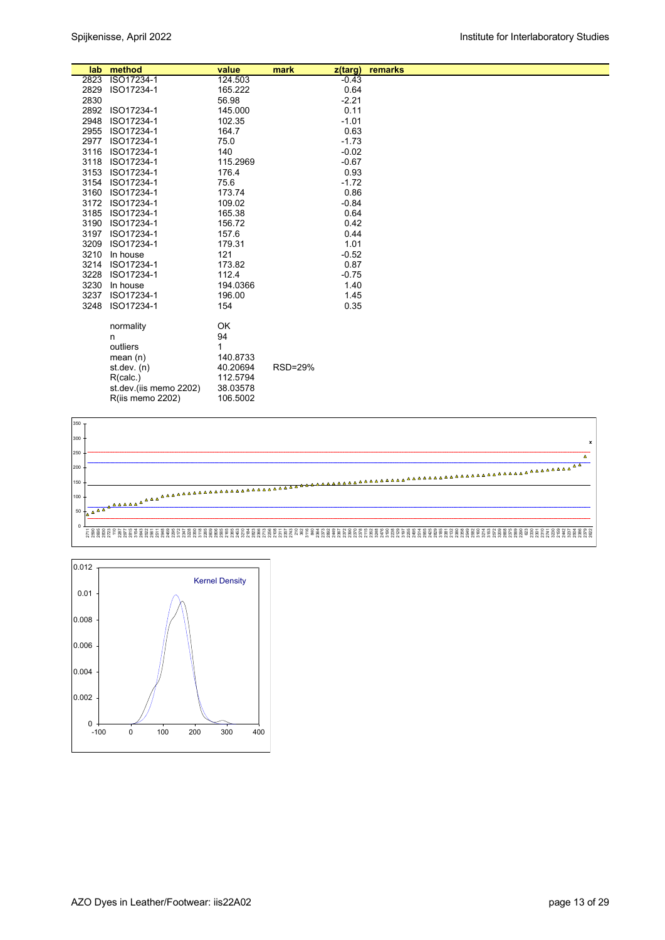| lab  | method                 | value    | mark    | z(targ) | remarks |  |
|------|------------------------|----------|---------|---------|---------|--|
| 2823 | ISO17234-1             | 124.503  |         | $-0.43$ |         |  |
| 2829 | ISO17234-1             | 165.222  |         | 0.64    |         |  |
| 2830 |                        | 56.98    |         | $-2.21$ |         |  |
| 2892 | ISO17234-1             | 145.000  |         | 0.11    |         |  |
| 2948 | ISO17234-1             | 102.35   |         | $-1.01$ |         |  |
| 2955 | ISO17234-1             | 164.7    |         | 0.63    |         |  |
| 2977 | ISO17234-1             | 75.0     |         | $-1.73$ |         |  |
| 3116 | ISO17234-1             | 140      |         | $-0.02$ |         |  |
| 3118 | ISO17234-1             | 115.2969 |         | $-0.67$ |         |  |
| 3153 | ISO17234-1             | 176.4    |         | 0.93    |         |  |
| 3154 | ISO17234-1             | 75.6     |         | $-1.72$ |         |  |
| 3160 | ISO17234-1             | 173.74   |         | 0.86    |         |  |
| 3172 | ISO17234-1             | 109.02   |         | $-0.84$ |         |  |
| 3185 | ISO17234-1             | 165.38   |         | 0.64    |         |  |
| 3190 | ISO17234-1             | 156.72   |         | 0.42    |         |  |
| 3197 | ISO17234-1             | 157.6    |         | 0.44    |         |  |
| 3209 | ISO17234-1             | 179.31   |         | 1.01    |         |  |
| 3210 | In house               | 121      |         | $-0.52$ |         |  |
| 3214 | ISO17234-1             | 173.82   |         | 0.87    |         |  |
| 3228 | ISO17234-1             | 112.4    |         | $-0.75$ |         |  |
| 3230 | In house               | 194.0366 |         | 1.40    |         |  |
| 3237 | ISO17234-1             | 196.00   |         | 1.45    |         |  |
| 3248 | ISO17234-1             | 154      |         | 0.35    |         |  |
|      |                        |          |         |         |         |  |
|      | normality              | OK       |         |         |         |  |
|      | n                      | 94       |         |         |         |  |
|      | outliers               | 1        |         |         |         |  |
|      | mean $(n)$             | 140.8733 |         |         |         |  |
|      | st.dev. $(n)$          | 40.20694 | RSD=29% |         |         |  |
|      | R(calc.)               | 112.5794 |         |         |         |  |
|      | st.dev.(iis memo 2202) | 38.03578 |         |         |         |  |
|      | R(iis memo 2202)       | 106.5002 |         |         |         |  |
|      |                        |          |         |         |         |  |



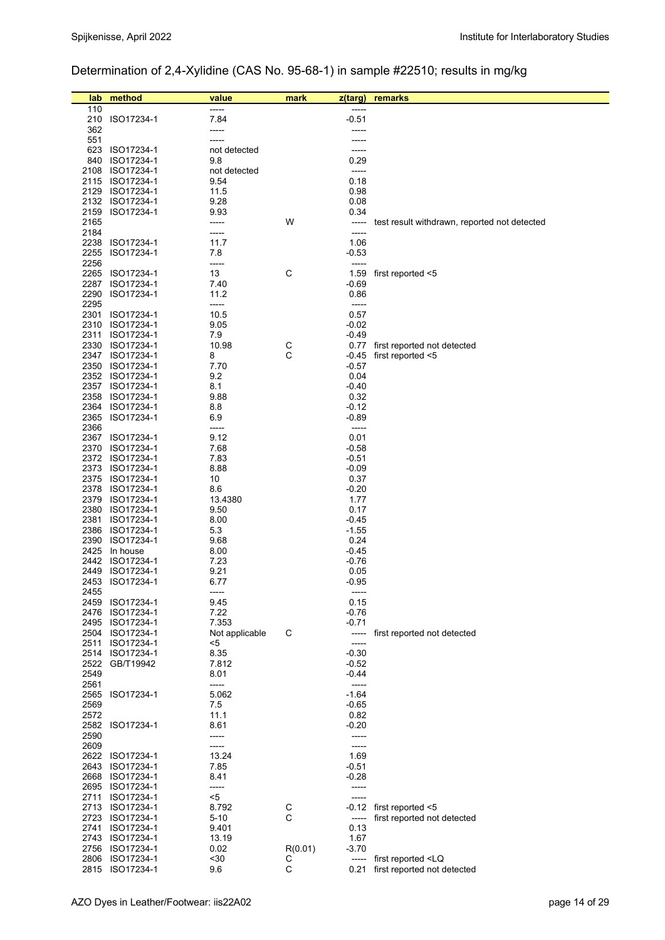# Determination of 2,4-Xylidine (CAS No. 95-68-1) in sample #22510; results in mg/kg

| lab          | method                             | value                 | mark         | z(targ)            | remarks                                      |
|--------------|------------------------------------|-----------------------|--------------|--------------------|----------------------------------------------|
| 110          |                                    |                       |              |                    |                                              |
| 210          | ISO17234-1                         | 7.84                  |              | $-0.51$            |                                              |
| 362          |                                    | -----                 |              | -----              |                                              |
| 551<br>623   | ISO17234-1                         | -----<br>not detected |              | -----<br>-----     |                                              |
| 840          | ISO17234-1                         | 9.8                   |              | 0.29               |                                              |
| 2108         | ISO17234-1                         | not detected          |              | -----              |                                              |
|              | 2115 ISO17234-1                    | 9.54                  |              | 0.18               |                                              |
| 2129         | ISO17234-1                         | 11.5                  |              | 0.98               |                                              |
|              | 2132 ISO17234-1                    | 9.28                  |              | 0.08               |                                              |
| 2159         | ISO17234-1                         | 9.93                  |              | 0.34               |                                              |
| 2165         |                                    | -----                 | W            | -----              | test result withdrawn, reported not detected |
| 2184         |                                    | -----                 |              | -----              |                                              |
| 2238<br>2255 | ISO17234-1<br>ISO17234-1           | 11.7<br>7.8           |              | 1.06<br>-0.53      |                                              |
| 2256         |                                    | -----                 |              | -----              |                                              |
|              | 2265 ISO17234-1                    | 13                    | $\mathsf C$  | 1.59               | first reported <5                            |
| 2287         | ISO17234-1                         | 7.40                  |              | -0.69              |                                              |
| 2290         | ISO17234-1                         | 11.2                  |              | 0.86               |                                              |
| 2295         |                                    | -----                 |              | -----              |                                              |
| 2301         | ISO17234-1                         | 10.5                  |              | 0.57               |                                              |
| 2310         | ISO17234-1                         | 9.05                  |              | $-0.02$            |                                              |
| 2311         | ISO17234-1<br>2330 ISO17234-1      | 7.9<br>10.98          |              | -0.49              | first reported not detected                  |
|              | 2347 ISO17234-1                    | 8                     | $\rm_{C}^C$  | 0.77<br>-0.45      | first reported <5                            |
|              | 2350 ISO17234-1                    | 7.70                  |              | -0.57              |                                              |
|              | 2352 ISO17234-1                    | 9.2                   |              | 0.04               |                                              |
|              | 2357 ISO17234-1                    | 8.1                   |              | -0.40              |                                              |
|              | 2358 ISO17234-1                    | 9.88                  |              | 0.32               |                                              |
| 2364         | ISO17234-1                         | 8.8                   |              | -0.12              |                                              |
|              | 2365 ISO17234-1                    | 6.9                   |              | $-0.89$            |                                              |
| 2366         |                                    | -----                 |              | -----              |                                              |
|              | 2367 ISO17234-1<br>2370 ISO17234-1 | 9.12<br>7.68          |              | 0.01<br>-0.58      |                                              |
|              | 2372 ISO17234-1                    | 7.83                  |              | $-0.51$            |                                              |
| 2373         | ISO17234-1                         | 8.88                  |              | $-0.09$            |                                              |
|              | 2375 ISO17234-1                    | 10                    |              | 0.37               |                                              |
| 2378         | ISO17234-1                         | 8.6                   |              | -0.20              |                                              |
|              | 2379 ISO17234-1                    | 13.4380               |              | 1.77               |                                              |
|              | 2380 ISO17234-1                    | 9.50                  |              | 0.17               |                                              |
| 2381         | ISO17234-1                         | 8.00                  |              | -0.45<br>$-1.55$   |                                              |
|              | 2386 ISO17234-1<br>2390 ISO17234-1 | 5.3<br>9.68           |              | 0.24               |                                              |
|              | 2425 In house                      | 8.00                  |              | -0.45              |                                              |
|              | 2442 ISO17234-1                    | 7.23                  |              | $-0.76$            |                                              |
| 2449         | ISO17234-1                         | 9.21                  |              | 0.05               |                                              |
| 2453         | ISO17234-1                         | 6.77                  |              | $-0.95$            |                                              |
| 2455         |                                    | -----                 |              | -----              |                                              |
|              | 2459 ISO17234-1<br>2476 ISO17234-1 | 9.45<br>7.22          |              | 0.15<br>$-0.76$    |                                              |
|              | 2495 ISO17234-1                    | 7.353                 |              | $-0.71$            |                                              |
|              | 2504 ISO17234-1                    | Not applicable        | С            | -----              | first reported not detected                  |
|              | 2511 ISO17234-1                    | <5                    |              | -----              |                                              |
|              | 2514 ISO17234-1                    | 8.35                  |              | $-0.30$            |                                              |
|              | 2522 GB/T19942                     | 7.812                 |              | $-0.52$            |                                              |
| 2549         |                                    | 8.01                  |              | $-0.44$            |                                              |
| 2561         |                                    | -----                 |              | $-----$<br>$-1.64$ |                                              |
| 2569         | 2565 ISO17234-1                    | 5.062<br>7.5          |              | $-0.65$            |                                              |
| 2572         |                                    | 11.1                  |              | 0.82               |                                              |
|              | 2582 ISO17234-1                    | 8.61                  |              | $-0.20$            |                                              |
| 2590         |                                    | -----                 |              | -----              |                                              |
| 2609         |                                    | -----                 |              | -----              |                                              |
|              | 2622 ISO17234-1                    | 13.24                 |              | 1.69               |                                              |
|              | 2643 ISO17234-1                    | 7.85                  |              | $-0.51$            |                                              |
|              | 2668 ISO17234-1                    | 8.41                  |              | $-0.28$            |                                              |
|              | 2695 ISO17234-1                    | -----<br>$<$ 5        |              | -----              |                                              |
|              | 2711 ISO17234-1<br>2713 ISO17234-1 | 8.792                 | $\mathsf{C}$ | -----<br>-0.12     | first reported <5                            |
|              | 2723 ISO17234-1                    | $5 - 10$              | C            | -----              | first reported not detected                  |
|              | 2741 ISO17234-1                    | 9.401                 |              | 0.13               |                                              |
|              | 2743 ISO17234-1                    | 13.19                 |              | 1.67               |                                              |
|              | 2756 ISO17234-1                    | 0.02                  | R(0.01)      | -3.70              |                                              |
|              | 2806 ISO17234-1                    | $30$                  | С            | -----              | first reported <lq< td=""></lq<>             |
|              | 2815 ISO17234-1                    | 9.6                   | $\mathsf C$  | 0.21               | first reported not detected                  |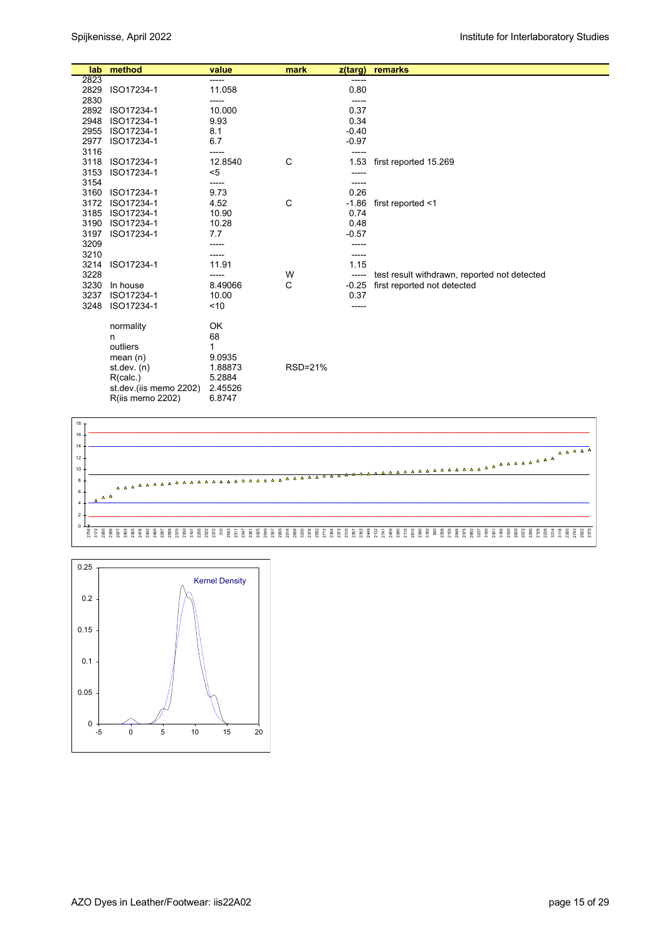| lab  | method                  | value   | mark    | $z$ (targ) | remarks                                      |
|------|-------------------------|---------|---------|------------|----------------------------------------------|
| 2823 |                         | -----   |         | -----      |                                              |
| 2829 | ISO17234-1              | 11.058  |         | 0.80       |                                              |
| 2830 |                         | -----   |         | -----      |                                              |
| 2892 | ISO17234-1              | 10.000  |         | 0.37       |                                              |
| 2948 | ISO17234-1              | 9.93    |         | 0.34       |                                              |
| 2955 | ISO17234-1              | 8.1     |         | $-0.40$    |                                              |
| 2977 | ISO17234-1              | 6.7     |         | $-0.97$    |                                              |
| 3116 |                         | -----   |         | -----      |                                              |
| 3118 | ISO17234-1              | 12.8540 | C       | 1.53       | first reported 15.269                        |
| 3153 | ISO17234-1              | $<$ 5   |         |            |                                              |
| 3154 |                         | -----   |         | -----      |                                              |
| 3160 | ISO17234-1              | 9.73    |         | 0.26       |                                              |
| 3172 | ISO17234-1              | 4.52    | С       | $-1.86$    | first reported <1                            |
| 3185 | ISO17234-1              | 10.90   |         | 0.74       |                                              |
| 3190 | ISO17234-1              | 10.28   |         | 0.48       |                                              |
| 3197 | ISO17234-1              | 7.7     |         | $-0.57$    |                                              |
| 3209 |                         |         |         |            |                                              |
| 3210 |                         | -----   |         | -----      |                                              |
| 3214 | ISO17234-1              | 11.91   |         | 1.15       |                                              |
| 3228 |                         |         | W       | -----      | test result withdrawn, reported not detected |
| 3230 | In house                | 8.49066 | C       | $-0.25$    | first reported not detected                  |
| 3237 | ISO17234-1              | 10.00   |         | 0.37       |                                              |
| 3248 | ISO17234-1              | ~10     |         | ------     |                                              |
|      | normality               | OK      |         |            |                                              |
|      | n                       | 68      |         |            |                                              |
|      | outliers                | 1       |         |            |                                              |
|      | mean $(n)$              | 9.0935  |         |            |                                              |
|      | st. dev. (n)            | 1.88873 | RSD=21% |            |                                              |
|      | R(calc.)                | 5.2884  |         |            |                                              |
|      | st.dev.(iis memo 2202)  | 2.45526 |         |            |                                              |
|      | <b>R(iis memo 2202)</b> | 6.8747  |         |            |                                              |



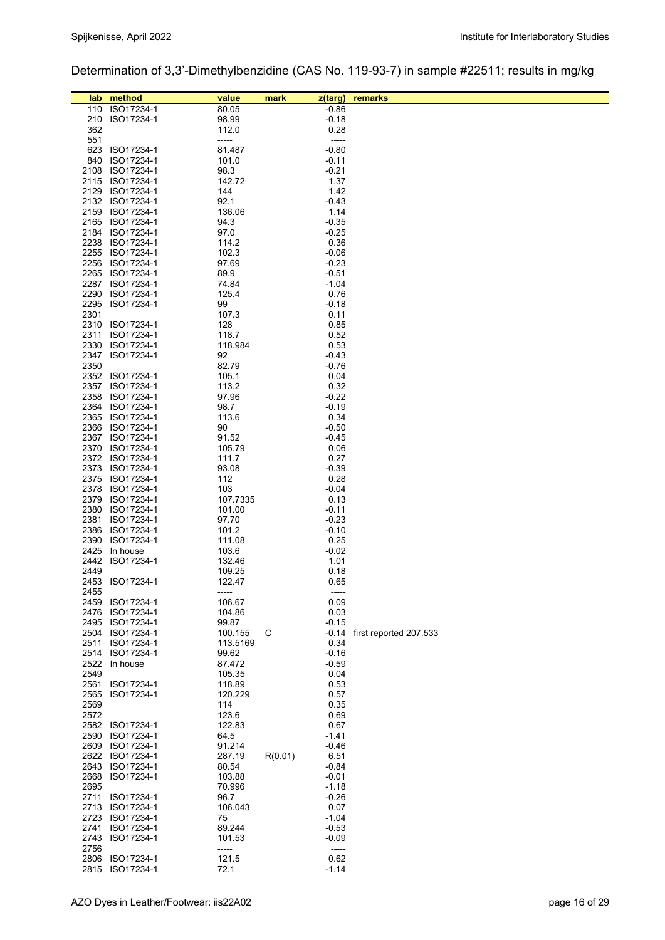Determination of 3,3'-Dimethylbenzidine (CAS No. 119-93-7) in sample #22511; results in mg/kg

| lab  | method                             | value            | mark    | z(targ)         | remarks                      |
|------|------------------------------------|------------------|---------|-----------------|------------------------------|
| 110  | ISO17234-1                         | 80.05            |         | $-0.86$         |                              |
| 210  | ISO17234-1                         | 98.99            |         | $-0.18$         |                              |
| 362  |                                    | 112.0            |         | 0.28            |                              |
| 551  |                                    | -----            |         | -----           |                              |
|      | 623 ISO17234-1                     | 81.487           |         | $-0.80$         |                              |
| 840  | ISO17234-1                         | 101.0            |         | $-0.11$         |                              |
| 2108 | ISO17234-1                         | 98.3             |         | $-0.21$         |                              |
|      | 2115 ISO17234-1                    | 142.72           |         | 1.37            |                              |
| 2129 | ISO17234-1                         | 144              |         | 1.42            |                              |
|      | 2132 ISO17234-1                    | 92.1             |         | -0.43           |                              |
|      | 2159 ISO17234-1                    | 136.06           |         | 1.14            |                              |
|      | 2165 ISO17234-1                    | 94.3             |         | $-0.35$         |                              |
|      | 2184 ISO17234-1                    | 97.0             |         | $-0.25$         |                              |
|      | 2238 ISO17234-1                    | 114.2            |         | 0.36            |                              |
|      | 2255 ISO17234-1                    | 102.3            |         | $-0.06$         |                              |
|      | 2256 ISO17234-1                    | 97.69            |         | $-0.23$         |                              |
|      | 2265 ISO17234-1                    | 89.9             |         | $-0.51$         |                              |
|      | 2287 ISO17234-1                    | 74.84            |         | -1.04           |                              |
|      | 2290 ISO17234-1                    | 125.4            |         | 0.76            |                              |
|      | 2295 ISO17234-1                    | 99               |         | -0.18           |                              |
| 2301 |                                    | 107.3            |         | 0.11            |                              |
|      | 2310 ISO17234-1                    | 128              |         | 0.85            |                              |
| 2311 | ISO17234-1                         | 118.7            |         | 0.52            |                              |
| 2330 | ISO17234-1                         | 118.984          |         | 0.53            |                              |
| 2347 | ISO17234-1                         | 92               |         | $-0.43$         |                              |
| 2350 |                                    | 82.79            |         | $-0.76$         |                              |
|      | 2352 ISO17234-1                    | 105.1            |         | 0.04            |                              |
|      | 2357 ISO17234-1                    | 113.2            |         | 0.32            |                              |
|      | 2358 ISO17234-1                    | 97.96            |         | $-0.22$         |                              |
|      | 2364 ISO17234-1                    | 98.7             |         | $-0.19$         |                              |
|      | 2365 ISO17234-1                    | 113.6            |         | 0.34            |                              |
|      | 2366 ISO17234-1                    | 90               |         | $-0.50$         |                              |
|      | 2367 ISO17234-1                    | 91.52            |         | $-0.45$         |                              |
|      | 2370 ISO17234-1                    | 105.79           |         | 0.06            |                              |
|      | 2372 ISO17234-1                    | 111.7            |         | 0.27            |                              |
|      | 2373 ISO17234-1                    | 93.08            |         | -0.39           |                              |
|      | 2375 ISO17234-1                    | 112              |         | 0.28            |                              |
|      | 2378 ISO17234-1                    | 103              |         | -0.04           |                              |
| 2379 | ISO17234-1                         | 107.7335         |         | 0.13            |                              |
|      | 2380 ISO17234-1                    | 101.00           |         | $-0.11$         |                              |
| 2381 | ISO17234-1                         | 97.70            |         | $-0.23$         |                              |
|      | 2386 ISO17234-1                    | 101.2            |         | $-0.10$         |                              |
|      | 2390 ISO17234-1                    | 111.08           |         | 0.25            |                              |
| 2425 | In house                           | 103.6            |         | -0.02           |                              |
|      | 2442 ISO17234-1                    | 132.46           |         | 1.01            |                              |
| 2449 |                                    | 109.25           |         | 0.18            |                              |
|      | 2453 ISO17234-1                    | 122.47           |         | 0.65            |                              |
| 2455 |                                    | -----            |         | -----           |                              |
|      | 2459 ISO17234-1                    | 106.67           |         | 0.09            |                              |
|      | 2476 ISO17234-1                    | 104.86           |         | 0.03            |                              |
|      | 2495 ISO17234-1                    | 99.87            |         | $-0.15$         |                              |
|      | 2504 ISO17234-1                    | 100.155          | С       |                 | -0.14 first reported 207.533 |
| 2511 | ISO17234-1                         | 113.5169         |         | 0.34            |                              |
|      | 2514 ISO17234-1                    | 99.62            |         | $-0.16$         |                              |
|      | 2522 In house                      | 87.472           |         | $-0.59$         |                              |
| 2549 |                                    | 105.35           |         | 0.04            |                              |
|      | 2561 ISO17234-1                    | 118.89           |         | 0.53            |                              |
|      | 2565 ISO17234-1                    | 120.229          |         | 0.57            |                              |
| 2569 |                                    | 114              |         | 0.35            |                              |
| 2572 |                                    | 123.6            |         | 0.69            |                              |
|      | 2582 ISO17234-1                    | 122.83           |         | 0.67            |                              |
|      | 2590 ISO17234-1                    | 64.5             |         | -1.41           |                              |
|      | 2609 ISO17234-1<br>2622 ISO17234-1 | 91.214           |         | $-0.46$         |                              |
|      |                                    | 287.19           | R(0.01) | 6.51            |                              |
|      | 2643 ISO17234-1                    | 80.54            |         | -0.84           |                              |
| 2695 | 2668 ISO17234-1                    | 103.88<br>70.996 |         | $-0.01$         |                              |
|      | 2711 ISO17234-1                    | 96.7             |         | -1.18           |                              |
|      | 2713 ISO17234-1                    | 106.043          |         | $-0.26$<br>0.07 |                              |
|      | 2723 ISO17234-1                    | 75               |         | $-1.04$         |                              |
| 2741 | ISO17234-1                         | 89.244           |         | $-0.53$         |                              |
|      | 2743 ISO17234-1                    | 101.53           |         | -0.09           |                              |
| 2756 |                                    | -----            |         | -----           |                              |
|      | 2806 ISO17234-1                    | 121.5            |         | 0.62            |                              |
| 2815 | ISO17234-1                         | 72.1             |         | $-1.14$         |                              |
|      |                                    |                  |         |                 |                              |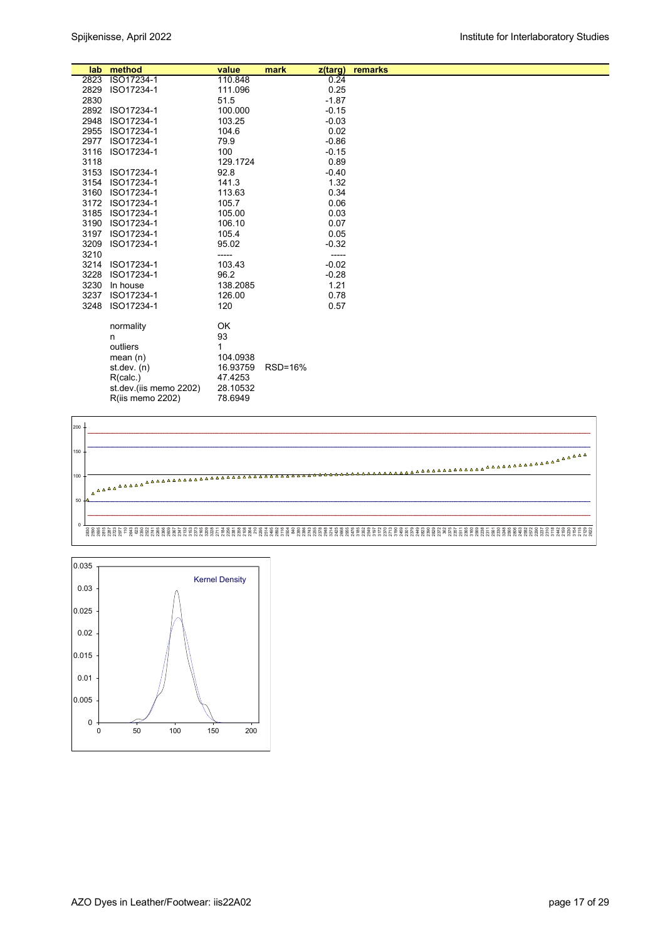| lab.         | method                   | value           | mark    | z(targ)<br>0.24 | remarks |  |
|--------------|--------------------------|-----------------|---------|-----------------|---------|--|
| 2823<br>2829 | ISO17234-1<br>ISO17234-1 | 110.848         |         | 0.25            |         |  |
|              |                          | 111.096         |         |                 |         |  |
| 2830         |                          | 51.5<br>100.000 |         | $-1.87$         |         |  |
| 2892         | ISO17234-1               |                 |         | $-0.15$         |         |  |
| 2948         | ISO17234-1               | 103.25          |         | $-0.03$         |         |  |
| 2955         | ISO17234-1               | 104.6           |         | 0.02            |         |  |
| 2977         | ISO17234-1               | 79.9            |         | $-0.86$         |         |  |
| 3116         | ISO17234-1               | 100             |         | $-0.15$         |         |  |
| 3118         |                          | 129.1724        |         | 0.89            |         |  |
| 3153         | ISO17234-1               | 92.8            |         | $-0.40$         |         |  |
| 3154         | ISO17234-1               | 141.3           |         | 1.32            |         |  |
| 3160         | ISO17234-1               | 113.63          |         | 0.34            |         |  |
| 3172         | ISO17234-1               | 105.7           |         | 0.06            |         |  |
| 3185         | ISO17234-1               | 105.00          |         | 0.03            |         |  |
| 3190         | ISO17234-1               | 106.10          |         | 0.07            |         |  |
| 3197         | ISO17234-1               | 105.4           |         | 0.05            |         |  |
| 3209         | ISO17234-1               | 95.02           |         | $-0.32$         |         |  |
| 3210         |                          | -----           |         | -----           |         |  |
| 3214         | ISO17234-1               | 103.43          |         | $-0.02$         |         |  |
| 3228         | ISO17234-1               | 96.2            |         | $-0.28$         |         |  |
| 3230         | In house                 | 138.2085        |         | 1.21            |         |  |
| 3237         | ISO17234-1               | 126.00          |         | 0.78            |         |  |
| 3248         | ISO17234-1               | 120             |         | 0.57            |         |  |
|              |                          |                 |         |                 |         |  |
|              | normality                | OK              |         |                 |         |  |
|              | n                        | 93              |         |                 |         |  |
|              | outliers                 | 1               |         |                 |         |  |
|              | mean $(n)$               | 104.0938        |         |                 |         |  |
|              | st dev. $(n)$            | 16.93759        | RSD=16% |                 |         |  |
|              | R(calc.)                 | 47.4253         |         |                 |         |  |
|              | st.dev.(iis memo 2202)   | 28.10532        |         |                 |         |  |
|              | <b>R(iis memo 2202)</b>  | 78.6949         |         |                 |         |  |
|              |                          |                 |         |                 |         |  |



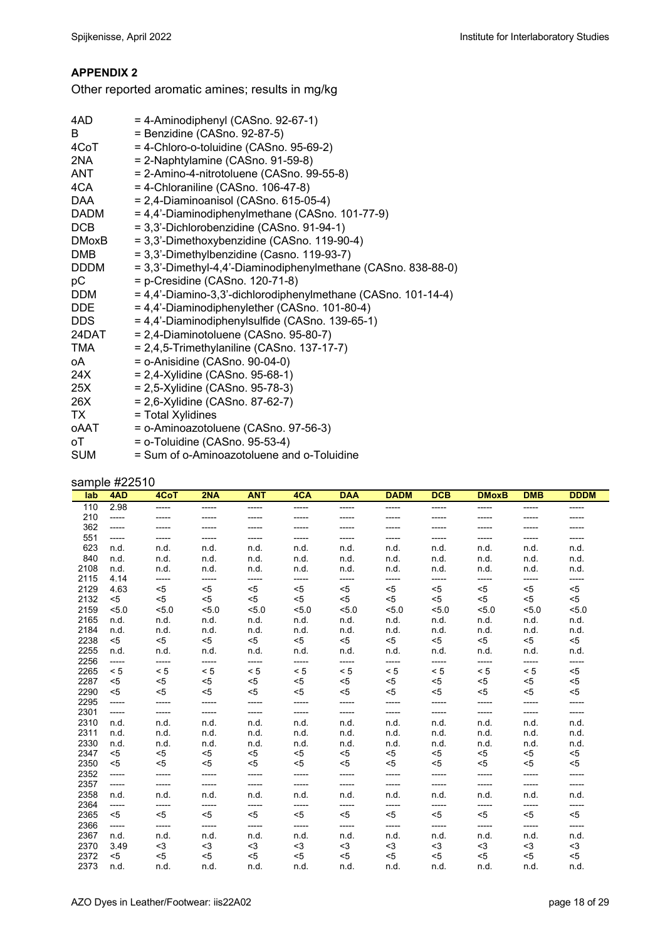# **APPENDIX 2**

Other reported aromatic amines; results in mg/kg

| 4AD -                                                                                                          | $=$ 4-Aminodiphenyl (CASno. 92-67-1)                          |
|----------------------------------------------------------------------------------------------------------------|---------------------------------------------------------------|
| B                                                                                                              | = Benzidine (CASno. 92-87-5)                                  |
| 4CoT and the set of the set of the set of the set of the set of the set of the set of the set of the set of th | = 4-Chloro-o-toluidine (CASno. 95-69-2)                       |
| 2NA                                                                                                            | $= 2$ -Naphtylamine (CASno. 91-59-8)                          |
| ANT                                                                                                            | = 2-Amino-4-nitrotoluene (CASno. 99-55-8)                     |
| 4CA                                                                                                            | $=$ 4-Chloraniline (CASno. 106-47-8)                          |
| <b>DAA</b>                                                                                                     | $= 2,4$ -Diaminoanisol (CASno. 615-05-4)                      |
| DADM                                                                                                           | = 4,4'-Diaminodiphenylmethane (CASno. 101-77-9)               |
| <b>DCB</b>                                                                                                     | = 3,3'-Dichlorobenzidine (CASno. 91-94-1)                     |
| DMoxB                                                                                                          | = 3,3'-Dimethoxybenzidine (CASno. 119-90-4)                   |
| <b>DMB</b>                                                                                                     | = 3,3'-Dimethylbenzidine (Casno. 119-93-7)                    |
| <b>DDDM</b>                                                                                                    | = 3,3'-Dimethyl-4,4'-Diaminodiphenylmethane (CASno. 838-88-0) |
| рC                                                                                                             | = p-Cresidine (CASno. 120-71-8)                               |
| <b>DDM</b>                                                                                                     | = 4,4'-Diamino-3,3'-dichlorodiphenylmethane (CASno. 101-14-4) |
| <b>DDE</b>                                                                                                     | = 4,4'-Diaminodiphenylether (CASno. 101-80-4)                 |
| <b>DDS</b>                                                                                                     | = 4,4'-Diaminodiphenylsulfide (CASno. 139-65-1)               |
| 24DAT                                                                                                          | $= 2,4$ -Diaminotoluene (CASno. 95-80-7)                      |
| <b>TMA</b>                                                                                                     | $= 2,4,5$ -Trimethylaniline (CASno. 137-17-7)                 |
| oA.                                                                                                            | $=$ o-Anisidine (CASno. 90-04-0)                              |
| 24X .                                                                                                          | $= 2,4$ -Xylidine (CASno. 95-68-1)                            |
| 25X                                                                                                            | = 2,5-Xylidine (CASno. 95-78-3)                               |
| 26X                                                                                                            | = 2,6-Xylidine (CASno. 87-62-7)                               |
| TX                                                                                                             | = Total Xylidines                                             |
| oAAT                                                                                                           | = o-Aminoazotoluene (CASno. 97-56-3)                          |
| оT                                                                                                             | $=$ o-Toluidine (CASno. 95-53-4)                              |
| <b>SUM</b>                                                                                                     | = Sum of o-Aminoazotoluene and o-Toluidine                    |
|                                                                                                                |                                                               |

# sample #22510

| lab. | 4AD   | 4CoT  | 2NA   | <b>ANT</b> | 4CA     | <b>DAA</b> | <b>DADM</b> | <b>DCB</b> | <b>DMoxB</b> | <b>DMB</b> | <b>DDDM</b> |
|------|-------|-------|-------|------------|---------|------------|-------------|------------|--------------|------------|-------------|
|      |       |       |       |            |         |            |             |            |              |            |             |
| 110  | 2.98  | ----- | ----- | -----      | -----   | -----      | -----       | -----      | -----        | -----      | -----       |
| 210  | ----- | ----- | ----- | -----      | -----   | -----      | -----       | -----      | -----        | -----      |             |
| 362  | ----- | ----- | ----- | -----      | -----   | -----      | -----       | -----      | -----        | -----      | -----       |
| 551  | ----- | ----- | ----- | -----      | -----   | -----      | -----       | -----      | -----        | -----      | -----       |
| 623  | n.d.  | n.d.  | n.d.  | n.d.       | n.d.    | n.d.       | n.d.        | n.d.       | n.d.         | n.d.       | n.d.        |
| 840  | n.d.  | n.d.  | n.d.  | n.d.       | n.d.    | n.d.       | n.d.        | n.d.       | n.d.         | n.d.       | n.d.        |
| 2108 | n.d.  | n.d.  | n.d.  | n.d.       | n.d.    | n.d.       | n.d.        | n.d.       | n.d.         | n.d.       | n.d.        |
| 2115 | 4.14  | ----- | ----- | -----      | -----   | -----      | -----       | -----      | -----        | -----      | -----       |
| 2129 | 4.63  | $<$ 5 | $<$ 5 | $<$ 5      | $5$     | $5$        | $<$ 5       | $<$ 5      | $<$ 5        | $<$ 5      | $5$         |
| 2132 | $5$   | $5$   | $5$   | $5$        | < 5     | $5$        | $<$ 5       | $5$        | $<$ 5        | < 5        | $5$         |
| 2159 | 5.0   | 5.0   | 5.0   | 5.0        | < 5.0   | 5.0        | 5.0         | 5.0        | < 5.0        | 5.0        | 5.0         |
| 2165 | n.d.  | n.d.  | n.d.  | n.d.       | n.d.    | n.d.       | n.d.        | n.d.       | n.d.         | n.d.       | n.d.        |
| 2184 | n.d.  | n.d.  | n.d.  | n.d.       | n.d.    | n.d.       | n.d.        | n.d.       | n.d.         | n.d.       | n.d.        |
| 2238 | $5$   | $<$ 5 | $<$ 5 | $<$ 5      | $<$ 5   | $<$ 5      | $<$ 5       | $<$ 5      | $<$ 5        | $<$ 5      | $5$         |
| 2255 | n.d.  | n.d.  | n.d.  | n.d.       | n.d.    | n.d.       | n.d.        | n.d.       | n.d.         | n.d.       | n.d.        |
| 2256 | ----- | ----- | ----- | -----      | -----   | -----      | -----       | -----      | -----        | -----      | -----       |
| 2265 | < 5   | < 5   | < 5   | < 5        | < 5     | < 5        | < 5         | < 5        | < 5          | < 5        | $5$         |
| 2287 | $5$   | $5$   | $<$ 5 | $<$ 5      | < 5     | $5$        | $<$ 5       | $<$ 5      | $<$ 5        | $<$ 5      | $5$         |
| 2290 | $5$   | $5$   | $<$ 5 | $<$ 5      | < 5     | $5$        | $<$ 5       | $5$        | $<$ 5        | $<$ 5      | $5$         |
| 2295 | ----- | ----- | ----- | -----      | $-----$ | -----      | -----       | -----      | -----        | -----      | -----       |
| 2301 | ----- | ----- | ----- | -----      | -----   | -----      | -----       | -----      | -----        | -----      | -----       |
| 2310 | n.d.  | n.d.  | n.d.  | n.d.       | n.d.    | n.d.       | n.d.        | n.d.       | n.d.         | n.d.       | n.d.        |
| 2311 | n.d.  | n.d.  | n.d.  | n.d.       | n.d.    | n.d.       | n.d.        | n.d.       | n.d.         | n.d.       | n.d.        |
| 2330 | n.d.  | n.d.  | n.d.  | n.d.       | n.d.    | n.d.       | n.d.        | n.d.       | n.d.         | n.d.       | n.d.        |
| 2347 | $5$   | $5$   | $<$ 5 | $<$ 5      | $5$     | $<$ 5      | $<$ 5       | $<$ 5      | $<$ 5        | $<$ 5      | $5$         |
| 2350 | $5$   | $5$   | $<$ 5 | $<$ 5      | < 5     | $5$        | $<$ 5       | $<$ 5      | $<$ 5        | $<$ 5      | $5$         |
| 2352 | ----- | ----- | ----- | $\cdots$   | -----   | -----      | -----       | -----      | -----        | -----      | -----       |
| 2357 | ----- | ----- | ----- | -----      | -----   | -----      | -----       | -----      | -----        | -----      | -----       |
| 2358 | n.d.  | n.d.  | n.d.  | n.d.       | n.d.    | n.d.       | n.d.        | n.d.       | n.d.         | n.d.       | n.d.        |
| 2364 | ----- | ----- | ----- | -----      | -----   | -----      | -----       | -----      | -----        | -----      | -----       |
| 2365 | $<$ 5 | $<$ 5 | $<$ 5 | $<$ 5      | < 5     | < 5        | $<$ 5       | $5$        | $<$ 5        | < 5        | < 5         |
| 2366 | ----- | ----- | ----- | -----      | -----   | -----      | -----       | -----      | -----        | -----      | -----       |
| 2367 | n.d.  | n.d.  | n.d.  | n.d.       | n.d.    | n.d.       | n.d.        | n.d.       | n.d.         | n.d.       | n.d.        |
| 2370 | 3.49  | $3$   | $3$   | $3$        | $3$     | $3$        | $<$ 3       | $3$        | $3$          | $<$ 3      | $3$         |
| 2372 | $5$   | $5$   | $<$ 5 | $<$ 5      | < 5     | $5$        | $5$         | $<$ 5      | $<$ 5        | $5$        | $5$         |
| 2373 | n.d.  | n.d.  | n.d.  | n.d.       | n.d.    | n.d.       | n.d.        | n.d.       | n.d.         | n.d.       | n.d.        |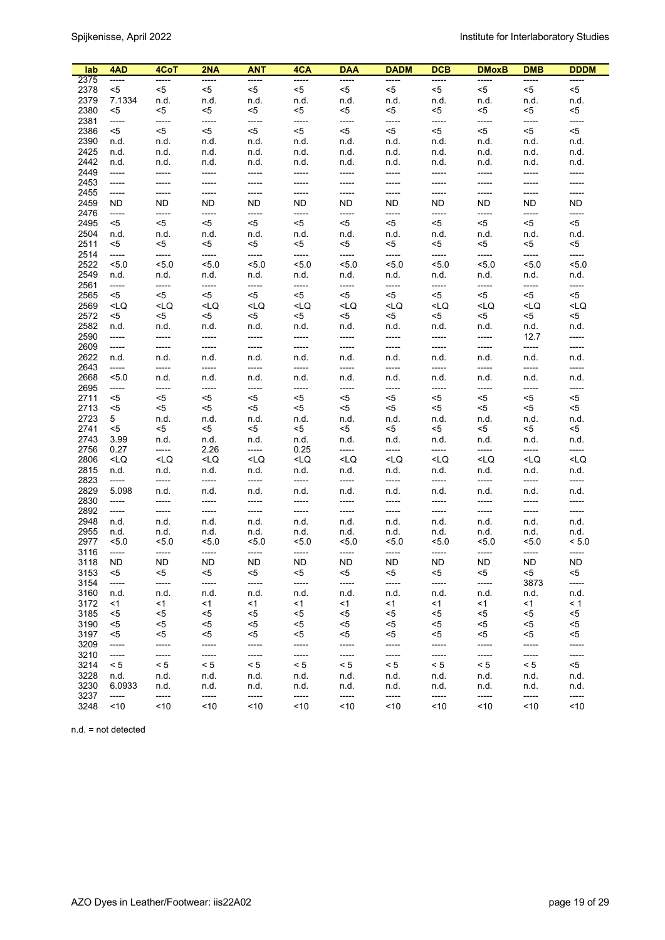| lab          | 4AD                                                                                                                                                                                                                                                                                                                  | 4CoT                                                                                                                                                                                                                                                                                       | 2NA          | ANT           | 4CA                                                                                                                                                                                             | <b>DAA</b>                                                                                                                                                                   | <b>DADM</b>                                                                                                                       | <b>DCB</b>                                                                                            | <b>DMoxB</b>  | <b>DMB</b>    | <b>DDDM</b>   |
|--------------|----------------------------------------------------------------------------------------------------------------------------------------------------------------------------------------------------------------------------------------------------------------------------------------------------------------------|--------------------------------------------------------------------------------------------------------------------------------------------------------------------------------------------------------------------------------------------------------------------------------------------|--------------|---------------|-------------------------------------------------------------------------------------------------------------------------------------------------------------------------------------------------|------------------------------------------------------------------------------------------------------------------------------------------------------------------------------|-----------------------------------------------------------------------------------------------------------------------------------|-------------------------------------------------------------------------------------------------------|---------------|---------------|---------------|
| 2375         | -----                                                                                                                                                                                                                                                                                                                | -----                                                                                                                                                                                                                                                                                      | -----        | -----         | -----                                                                                                                                                                                           | -----                                                                                                                                                                        | -----                                                                                                                             | -----                                                                                                 | -----         | -----         | -----         |
| 2378         | $<$ 5                                                                                                                                                                                                                                                                                                                | <5                                                                                                                                                                                                                                                                                         | $5$          | $<$ 5         | <5                                                                                                                                                                                              | $5$                                                                                                                                                                          | $<$ 5                                                                                                                             | <5                                                                                                    | <5            | <5            | $<$ 5         |
| 2379         | 7.1334                                                                                                                                                                                                                                                                                                               | n.d.                                                                                                                                                                                                                                                                                       | n.d.         | n.d.          | n.d.                                                                                                                                                                                            | n.d.                                                                                                                                                                         | n.d.                                                                                                                              | n.d.                                                                                                  | n.d.          | n.d.          | n.d.          |
| 2380         | <5                                                                                                                                                                                                                                                                                                                   | <5                                                                                                                                                                                                                                                                                         | <5           | <5            | <5                                                                                                                                                                                              | <5                                                                                                                                                                           | <5                                                                                                                                | <5                                                                                                    | <5            | <5            | <5            |
| 2381         | -----                                                                                                                                                                                                                                                                                                                | -----                                                                                                                                                                                                                                                                                      | -----        | -----         | -----                                                                                                                                                                                           | -----                                                                                                                                                                        | -----                                                                                                                             | -----                                                                                                 | -----         | -----         | -----         |
| 2386         | $<$ 5                                                                                                                                                                                                                                                                                                                | $5$                                                                                                                                                                                                                                                                                        | $5$          | <5            | $5$                                                                                                                                                                                             | $5$                                                                                                                                                                          | $<$ 5                                                                                                                             | $<$ 5                                                                                                 | $5$           | $<$ 5         | $5$           |
| 2390         | n.d.                                                                                                                                                                                                                                                                                                                 | n.d.                                                                                                                                                                                                                                                                                       | n.d.         | n.d.          | n.d.                                                                                                                                                                                            | n.d.                                                                                                                                                                         | n.d.                                                                                                                              | n.d.                                                                                                  | n.d.          | n.d.          | n.d.          |
| 2425         | n.d.                                                                                                                                                                                                                                                                                                                 | n.d.                                                                                                                                                                                                                                                                                       | n.d.         | n.d.          | n.d.                                                                                                                                                                                            | n.d.                                                                                                                                                                         | n.d.                                                                                                                              | n.d.                                                                                                  | n.d.          | n.d.          | n.d.          |
| 2442         | n.d.                                                                                                                                                                                                                                                                                                                 | n.d.                                                                                                                                                                                                                                                                                       | n.d.         | n.d.          | n.d.                                                                                                                                                                                            | n.d.                                                                                                                                                                         | n.d.                                                                                                                              | n.d.                                                                                                  | n.d.          | n.d.          | n.d.          |
| 2449         | $-----$                                                                                                                                                                                                                                                                                                              | -----                                                                                                                                                                                                                                                                                      | -----        | -----         | -----                                                                                                                                                                                           | -----                                                                                                                                                                        | -----                                                                                                                             | -----                                                                                                 | -----         | -----         | -----         |
| 2453         | -----                                                                                                                                                                                                                                                                                                                | -----                                                                                                                                                                                                                                                                                      | -----        | -----         | -----                                                                                                                                                                                           | -----                                                                                                                                                                        | -----                                                                                                                             | -----                                                                                                 | -----         | -----         | -----         |
| 2455<br>2459 | $-----$                                                                                                                                                                                                                                                                                                              | -----<br>ND.                                                                                                                                                                                                                                                                               | -----<br>ND. | -----<br>ND.  | -----<br>ND.                                                                                                                                                                                    | -----<br>ND.                                                                                                                                                                 | -----<br>ND.                                                                                                                      | -----<br>ND.                                                                                          | -----<br>ND.  | -----<br>ND.  | -----<br>ND.  |
| 2476         | ND.<br>-----                                                                                                                                                                                                                                                                                                         | -----                                                                                                                                                                                                                                                                                      | -----        | -----         | -----                                                                                                                                                                                           | -----                                                                                                                                                                        | -----                                                                                                                             | -----                                                                                                 | -----         | -----         | -----         |
| 2495         | $<$ 5                                                                                                                                                                                                                                                                                                                | $5$                                                                                                                                                                                                                                                                                        | $<$ 5        | <5            | $<$ 5                                                                                                                                                                                           | $<$ 5                                                                                                                                                                        | <5                                                                                                                                | $<$ 5                                                                                                 | $5$           | <5            | $<$ 5         |
| 2504         | n.d.                                                                                                                                                                                                                                                                                                                 | n.d.                                                                                                                                                                                                                                                                                       | n.d.         | n.d.          | n.d.                                                                                                                                                                                            | n.d.                                                                                                                                                                         | n.d.                                                                                                                              | n.d.                                                                                                  | n.d.          | n.d.          | n.d.          |
| 2511         | $<$ 5                                                                                                                                                                                                                                                                                                                | <5                                                                                                                                                                                                                                                                                         | <5           | <5            | <5                                                                                                                                                                                              | $<$ 5                                                                                                                                                                        | <5                                                                                                                                | <5                                                                                                    | <5            | <5            | <5            |
| 2514         | -----                                                                                                                                                                                                                                                                                                                | -----                                                                                                                                                                                                                                                                                      | -----        | -----         | -----                                                                                                                                                                                           | -----                                                                                                                                                                        | -----                                                                                                                             | -----                                                                                                 | -----         | -----         | -----         |
| 2522         | 5.0                                                                                                                                                                                                                                                                                                                  | 5.0                                                                                                                                                                                                                                                                                        | 5.0          | 5.0           | 5.0                                                                                                                                                                                             | 5.0                                                                                                                                                                          | 5.0                                                                                                                               | 5.0                                                                                                   | 5.0           | 5.0           | 5.0           |
| 2549         | n.d.                                                                                                                                                                                                                                                                                                                 | n.d.                                                                                                                                                                                                                                                                                       | n.d.         | n.d.          | n.d.                                                                                                                                                                                            | n.d.                                                                                                                                                                         | n.d.                                                                                                                              | n.d.                                                                                                  | n.d.          | n.d.          | n.d.          |
| 2561         | $-----1$                                                                                                                                                                                                                                                                                                             | -----                                                                                                                                                                                                                                                                                      | -----        | -----         | -----                                                                                                                                                                                           | -----                                                                                                                                                                        | -----                                                                                                                             | -----                                                                                                 | -----         | -----         | -----         |
| 2565         | <5                                                                                                                                                                                                                                                                                                                   | $<$ 5                                                                                                                                                                                                                                                                                      | $5$          | <5            | $<$ 5                                                                                                                                                                                           | $<$ 5                                                                                                                                                                        | $<$ 5                                                                                                                             | $<$ 5                                                                                                 | $<$ 5         | <5            | $<$ 5         |
| 2569         | <lq< td=""><td><lq< td=""><td><math>&lt;</math>LQ</td><td><math>&lt;</math>LQ</td><td><math>&lt;</math>LQ</td><td><lq< td=""><td><math display="inline">&lt;</math>LQ</td><td><lq< td=""><td><math>&lt;</math>LQ</td><td><math>&lt;</math>LQ</td><td><math>&lt;</math>LQ</td></lq<></td></lq<></td></lq<></td></lq<> | <lq< td=""><td><math>&lt;</math>LQ</td><td><math>&lt;</math>LQ</td><td><math>&lt;</math>LQ</td><td><lq< td=""><td><math display="inline">&lt;</math>LQ</td><td><lq< td=""><td><math>&lt;</math>LQ</td><td><math>&lt;</math>LQ</td><td><math>&lt;</math>LQ</td></lq<></td></lq<></td></lq<> | $<$ LQ       | $<$ LQ        | $<$ LQ                                                                                                                                                                                          | <lq< td=""><td><math display="inline">&lt;</math>LQ</td><td><lq< td=""><td><math>&lt;</math>LQ</td><td><math>&lt;</math>LQ</td><td><math>&lt;</math>LQ</td></lq<></td></lq<> | $<$ LQ                                                                                                                            | <lq< td=""><td><math>&lt;</math>LQ</td><td><math>&lt;</math>LQ</td><td><math>&lt;</math>LQ</td></lq<> | $<$ LQ        | $<$ LQ        | $<$ LQ        |
| 2572         | <5                                                                                                                                                                                                                                                                                                                   | <5                                                                                                                                                                                                                                                                                         | $5$          | <5            | <5                                                                                                                                                                                              | $<$ 5                                                                                                                                                                        | <5                                                                                                                                | <5                                                                                                    | $<$ 5         | <5            | <5            |
| 2582         | n.d.                                                                                                                                                                                                                                                                                                                 | n.d.                                                                                                                                                                                                                                                                                       | n.d.         | n.d.          | n.d.                                                                                                                                                                                            | n.d.                                                                                                                                                                         | n.d.                                                                                                                              | n.d.                                                                                                  | n.d.          | n.d.          | n.d.          |
| 2590         | -----                                                                                                                                                                                                                                                                                                                | -----                                                                                                                                                                                                                                                                                      | -----        | -----         | -----                                                                                                                                                                                           | -----                                                                                                                                                                        | -----                                                                                                                             | -----                                                                                                 | -----         | 12.7          | -----         |
| 2609         | $-----$                                                                                                                                                                                                                                                                                                              | -----                                                                                                                                                                                                                                                                                      | -----        | -----         | -----                                                                                                                                                                                           | -----                                                                                                                                                                        | -----                                                                                                                             | -----                                                                                                 | -----         | -----         | -----         |
| 2622         | n.d.                                                                                                                                                                                                                                                                                                                 | n.d.                                                                                                                                                                                                                                                                                       | n.d.         | n.d.          | n.d.                                                                                                                                                                                            | n.d.                                                                                                                                                                         | n.d.                                                                                                                              | n.d.                                                                                                  | n.d.          | n.d.          | n.d.          |
| 2643         | -----                                                                                                                                                                                                                                                                                                                | -----                                                                                                                                                                                                                                                                                      | -----        | -----         | -----                                                                                                                                                                                           | -----                                                                                                                                                                        | -----                                                                                                                             | -----                                                                                                 | -----         | -----         | -----         |
| 2668         | 5.0                                                                                                                                                                                                                                                                                                                  | n.d.                                                                                                                                                                                                                                                                                       | n.d.         | n.d.          | n.d.                                                                                                                                                                                            | n.d.                                                                                                                                                                         | n.d.                                                                                                                              | n.d.                                                                                                  | n.d.          | n.d.          | n.d.          |
| 2695         | -----                                                                                                                                                                                                                                                                                                                | -----                                                                                                                                                                                                                                                                                      | -----        | -----         | -----                                                                                                                                                                                           | -----                                                                                                                                                                        | -----                                                                                                                             | -----                                                                                                 | -----         | -----         | -----         |
| 2711         | $<$ 5                                                                                                                                                                                                                                                                                                                | $5$                                                                                                                                                                                                                                                                                        | $5$          | <5            | <5                                                                                                                                                                                              | $5$                                                                                                                                                                          | <5                                                                                                                                | <5                                                                                                    | $5$           | <5            | $5$           |
| 2713         | $<$ 5                                                                                                                                                                                                                                                                                                                | $5$                                                                                                                                                                                                                                                                                        | $5$          | <5            | <5                                                                                                                                                                                              | $<$ 5                                                                                                                                                                        | <5                                                                                                                                | $<$ 5                                                                                                 | $<$ 5         | <5            | $5$           |
| 2723         | 5                                                                                                                                                                                                                                                                                                                    | n.d.                                                                                                                                                                                                                                                                                       | n.d.         | n.d.          | n.d.                                                                                                                                                                                            | n.d.                                                                                                                                                                         | n.d.                                                                                                                              | n.d.                                                                                                  | n.d.          | n.d.          | n.d.          |
| 2741         | $5$                                                                                                                                                                                                                                                                                                                  | <5                                                                                                                                                                                                                                                                                         | <5           | <5            | <5                                                                                                                                                                                              | $5$                                                                                                                                                                          | <5                                                                                                                                | <5                                                                                                    | <5            | <5            | $5$           |
| 2743<br>2756 | 3.99<br>0.27                                                                                                                                                                                                                                                                                                         | n.d.<br>-----                                                                                                                                                                                                                                                                              | n.d.<br>2.26 | n.d.<br>----- | n.d.                                                                                                                                                                                            | n.d.<br>-----                                                                                                                                                                | n.d.<br>-----                                                                                                                     | n.d.<br>-----                                                                                         | n.d.<br>----- | n.d.<br>----- | n.d.<br>----- |
| 2806         | <lq< td=""><td><math>&lt;</math>LQ</td><td><math>&lt;</math>LQ</td><td><math>&lt;</math>LQ</td><td>0.25<br/><lq< td=""><td><math>&lt;</math>LQ</td><td><lq< td=""><td><math>&lt;</math>LQ</td><td><math>&lt;</math>LQ</td><td><math>&lt;</math>LQ</td><td><math>&lt;</math>LQ</td></lq<></td></lq<></td></lq<>       | $<$ LQ                                                                                                                                                                                                                                                                                     | $<$ LQ       | $<$ LQ        | 0.25<br><lq< td=""><td><math>&lt;</math>LQ</td><td><lq< td=""><td><math>&lt;</math>LQ</td><td><math>&lt;</math>LQ</td><td><math>&lt;</math>LQ</td><td><math>&lt;</math>LQ</td></lq<></td></lq<> | $<$ LQ                                                                                                                                                                       | <lq< td=""><td><math>&lt;</math>LQ</td><td><math>&lt;</math>LQ</td><td><math>&lt;</math>LQ</td><td><math>&lt;</math>LQ</td></lq<> | $<$ LQ                                                                                                | $<$ LQ        | $<$ LQ        | $<$ LQ        |
| 2815         | n.d.                                                                                                                                                                                                                                                                                                                 | n.d.                                                                                                                                                                                                                                                                                       | n.d.         | n.d.          | n.d.                                                                                                                                                                                            | n.d.                                                                                                                                                                         | n.d.                                                                                                                              | n.d.                                                                                                  | n.d.          | n.d.          | n.d.          |
| 2823         | -----                                                                                                                                                                                                                                                                                                                | -----                                                                                                                                                                                                                                                                                      | -----        | -----         | -----                                                                                                                                                                                           | -----                                                                                                                                                                        | -----                                                                                                                             | -----                                                                                                 | -----         | -----         | -----         |
| 2829         | 5.098                                                                                                                                                                                                                                                                                                                | n.d.                                                                                                                                                                                                                                                                                       | n.d.         | n.d.          | n.d.                                                                                                                                                                                            | n.d.                                                                                                                                                                         | n.d.                                                                                                                              | n.d.                                                                                                  | n.d.          | n.d.          | n.d.          |
| 2830         | -----                                                                                                                                                                                                                                                                                                                | -----                                                                                                                                                                                                                                                                                      | -----        | -----         | -----                                                                                                                                                                                           | -----                                                                                                                                                                        | -----                                                                                                                             | -----                                                                                                 | -----         | -----         | -----         |
| 2892         | $-----$                                                                                                                                                                                                                                                                                                              | -----                                                                                                                                                                                                                                                                                      | -----        | -----         | -----                                                                                                                                                                                           | -----                                                                                                                                                                        | -----                                                                                                                             | -----                                                                                                 | -----         | -----         | -----         |
| 2948         | n.d.                                                                                                                                                                                                                                                                                                                 | n.d.                                                                                                                                                                                                                                                                                       | n.d.         | n.d.          | n.d.                                                                                                                                                                                            | n.d.                                                                                                                                                                         | n.d.                                                                                                                              | n.d.                                                                                                  | n.d.          | n.d.          | n.d.          |
| 2955         | n.d.                                                                                                                                                                                                                                                                                                                 | n.d.                                                                                                                                                                                                                                                                                       | n.d.         | n.d.          | n.d.                                                                                                                                                                                            | n.d.                                                                                                                                                                         | n.d.                                                                                                                              | n.d.                                                                                                  | n.d.          | n.d.          | n.d.          |
| 2977         | 5.0                                                                                                                                                                                                                                                                                                                  | 5.0                                                                                                                                                                                                                                                                                        | 5.0          | 5.0           | 5.0                                                                                                                                                                                             | 5.0                                                                                                                                                                          | 5.0                                                                                                                               | 5.0                                                                                                   | 5.0           | 5.0           | < 5.0         |
| 3116         | -----                                                                                                                                                                                                                                                                                                                | -----                                                                                                                                                                                                                                                                                      | -----        | -----         | -----                                                                                                                                                                                           | -----                                                                                                                                                                        | -----                                                                                                                             | -----                                                                                                 | -----         | -----         | -----         |
| 3118         | ND                                                                                                                                                                                                                                                                                                                   | <b>ND</b>                                                                                                                                                                                                                                                                                  | ND           | <b>ND</b>     | ND.                                                                                                                                                                                             | ND                                                                                                                                                                           | ND                                                                                                                                | <b>ND</b>                                                                                             | <b>ND</b>     | ND.           | ND            |
| 3153         | $5$                                                                                                                                                                                                                                                                                                                  | $5$                                                                                                                                                                                                                                                                                        | $5$          | <5            | $5$                                                                                                                                                                                             | $5$                                                                                                                                                                          | $5$                                                                                                                               | $<$ 5                                                                                                 | $5$           | <5            | $5$           |
| 3154         | -----                                                                                                                                                                                                                                                                                                                | -----                                                                                                                                                                                                                                                                                      | -----        | -----         | -----                                                                                                                                                                                           | -----                                                                                                                                                                        | -----                                                                                                                             | -----                                                                                                 | -----         | 3873          | -----         |
| 3160         | n.d.                                                                                                                                                                                                                                                                                                                 | n.d.                                                                                                                                                                                                                                                                                       | n.d.         | n.d.          | n.d.                                                                                                                                                                                            | n.d.                                                                                                                                                                         | n.d.                                                                                                                              | n.d.                                                                                                  | n.d.          | n.d.          | n.d.          |
| 3172         | <1                                                                                                                                                                                                                                                                                                                   | <1                                                                                                                                                                                                                                                                                         | $<$ 1        | $<$ 1         | <1                                                                                                                                                                                              | $<$ 1                                                                                                                                                                        | <1                                                                                                                                | <1                                                                                                    | $<$ 1         | <1            | < 1           |
| 3185         | <5                                                                                                                                                                                                                                                                                                                   | <5                                                                                                                                                                                                                                                                                         | $5$          | $5$           | $5$                                                                                                                                                                                             | $5$                                                                                                                                                                          | $5$                                                                                                                               | <5                                                                                                    | $5$           | <5            | $5$           |
| 3190         | $5$                                                                                                                                                                                                                                                                                                                  | $5$                                                                                                                                                                                                                                                                                        | $5$          | <5            | $5$                                                                                                                                                                                             | $5$                                                                                                                                                                          | $5$                                                                                                                               | $5$                                                                                                   | $5$           | $5$           | $5$           |
| 3197         | <5                                                                                                                                                                                                                                                                                                                   | $5$                                                                                                                                                                                                                                                                                        | $5$          | $5$           | $< 5$                                                                                                                                                                                           | $5$                                                                                                                                                                          | $5$                                                                                                                               | $5$                                                                                                   | $5$           | <5            | $5$           |
| 3209         | -----                                                                                                                                                                                                                                                                                                                | -----                                                                                                                                                                                                                                                                                      | -----        | -----         | -----                                                                                                                                                                                           | -----                                                                                                                                                                        | -----                                                                                                                             | -----                                                                                                 | -----         | -----         | -----         |
| 3210         | -----                                                                                                                                                                                                                                                                                                                | -----                                                                                                                                                                                                                                                                                      | -----        | -----         | -----                                                                                                                                                                                           | -----                                                                                                                                                                        | -----                                                                                                                             | -----                                                                                                 | -----         | -----         | -----         |
| 3214<br>3228 | $\leq 5$                                                                                                                                                                                                                                                                                                             | < 5                                                                                                                                                                                                                                                                                        | < 5          | < 5           | $\leq 5$                                                                                                                                                                                        | $< 5\,$                                                                                                                                                                      | < 5                                                                                                                               | < 5                                                                                                   | $< 5\,$       | < 5           | $5$           |
| 3230         | n.d.<br>6.0933                                                                                                                                                                                                                                                                                                       | n.d.<br>n.d.                                                                                                                                                                                                                                                                               | n.d.<br>n.d. | n.d.<br>n.d.  | n.d.<br>n.d.                                                                                                                                                                                    | n.d.<br>n.d.                                                                                                                                                                 | n.d.                                                                                                                              | n.d.<br>n.d.                                                                                          | n.d.<br>n.d.  | n.d.<br>n.d.  | n.d.<br>n.d.  |
| 3237         | -----                                                                                                                                                                                                                                                                                                                | -----                                                                                                                                                                                                                                                                                      | -----        | -----         | -----                                                                                                                                                                                           | -----                                                                                                                                                                        | n.d.<br>-----                                                                                                                     | -----                                                                                                 | -----         | -----         | -----         |
| 3248         | ~10                                                                                                                                                                                                                                                                                                                  | ~10                                                                                                                                                                                                                                                                                        | $<10$        | ~10           | ~10                                                                                                                                                                                             | $<10$                                                                                                                                                                        | ~10                                                                                                                               | ~10                                                                                                   | ~10           | ~10           | ~10           |

n.d. = not detected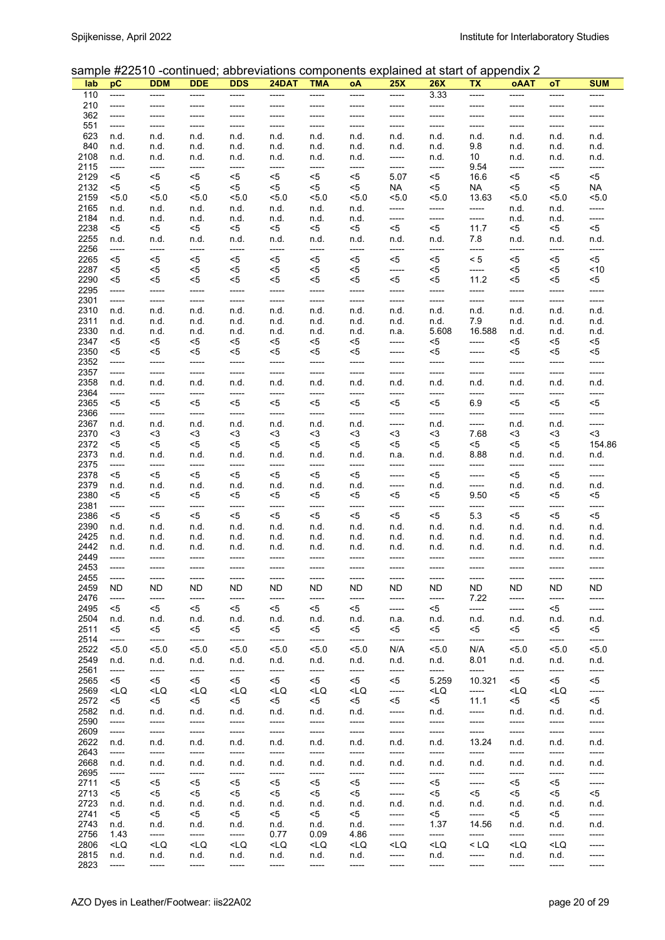#### sample #22510 -continued; abbreviations components explained at start of appendix 2

| lab          | рC                                                                                                                                                                                                                                                                                                                                                                                                                                                                         | <b>DDM</b>                                                                                                                                                                                                                                                                                                                                                                                                                              | <b>DDE</b>                                                                                                                                                                                                                                                                                                                                                                                          | <b>DDS</b>                                                                                                                                                                                                                                                                                                                                                      | 24DAT                                                                                                                                                                                                                                                                                                                       | <b>TMA</b>                                                                                                                                                                                                                                                                               | οA                                                                                                                                                                                                                                                    | bampio #22010 "committed, abbitunduono componente explained di otali el apponaix 2<br>25X                                                                                                                          | <b>26X</b>                                                                                                                                                          | ΤХ                 | oAAT                                                                                   | оT                                                 | <b>SUM</b>       |
|--------------|----------------------------------------------------------------------------------------------------------------------------------------------------------------------------------------------------------------------------------------------------------------------------------------------------------------------------------------------------------------------------------------------------------------------------------------------------------------------------|-----------------------------------------------------------------------------------------------------------------------------------------------------------------------------------------------------------------------------------------------------------------------------------------------------------------------------------------------------------------------------------------------------------------------------------------|-----------------------------------------------------------------------------------------------------------------------------------------------------------------------------------------------------------------------------------------------------------------------------------------------------------------------------------------------------------------------------------------------------|-----------------------------------------------------------------------------------------------------------------------------------------------------------------------------------------------------------------------------------------------------------------------------------------------------------------------------------------------------------------|-----------------------------------------------------------------------------------------------------------------------------------------------------------------------------------------------------------------------------------------------------------------------------------------------------------------------------|------------------------------------------------------------------------------------------------------------------------------------------------------------------------------------------------------------------------------------------------------------------------------------------|-------------------------------------------------------------------------------------------------------------------------------------------------------------------------------------------------------------------------------------------------------|--------------------------------------------------------------------------------------------------------------------------------------------------------------------------------------------------------------------|---------------------------------------------------------------------------------------------------------------------------------------------------------------------|--------------------|----------------------------------------------------------------------------------------|----------------------------------------------------|------------------|
| 110          | -----                                                                                                                                                                                                                                                                                                                                                                                                                                                                      | -----                                                                                                                                                                                                                                                                                                                                                                                                                                   | -----                                                                                                                                                                                                                                                                                                                                                                                               | -----                                                                                                                                                                                                                                                                                                                                                           | -----                                                                                                                                                                                                                                                                                                                       | -----                                                                                                                                                                                                                                                                                    | -----                                                                                                                                                                                                                                                 | -----                                                                                                                                                                                                              | 3.33                                                                                                                                                                | -----              | -----                                                                                  | -----                                              | -----            |
| 210          | -----                                                                                                                                                                                                                                                                                                                                                                                                                                                                      | -----                                                                                                                                                                                                                                                                                                                                                                                                                                   | ------                                                                                                                                                                                                                                                                                                                                                                                              |                                                                                                                                                                                                                                                                                                                                                                 | -----                                                                                                                                                                                                                                                                                                                       | -----                                                                                                                                                                                                                                                                                    |                                                                                                                                                                                                                                                       | -----                                                                                                                                                                                                              | -----                                                                                                                                                               | -----              |                                                                                        | -----                                              | -----            |
| 362          | -----                                                                                                                                                                                                                                                                                                                                                                                                                                                                      | -----                                                                                                                                                                                                                                                                                                                                                                                                                                   | -----                                                                                                                                                                                                                                                                                                                                                                                               | -----                                                                                                                                                                                                                                                                                                                                                           | -----                                                                                                                                                                                                                                                                                                                       | -----                                                                                                                                                                                                                                                                                    | -----                                                                                                                                                                                                                                                 | -----                                                                                                                                                                                                              | -----                                                                                                                                                               | -----              | -----                                                                                  |                                                    | -----            |
| 551          | -----                                                                                                                                                                                                                                                                                                                                                                                                                                                                      | -----                                                                                                                                                                                                                                                                                                                                                                                                                                   | -----                                                                                                                                                                                                                                                                                                                                                                                               | -----                                                                                                                                                                                                                                                                                                                                                           | -----                                                                                                                                                                                                                                                                                                                       | -----                                                                                                                                                                                                                                                                                    | -----                                                                                                                                                                                                                                                 | -----                                                                                                                                                                                                              | -----                                                                                                                                                               | -----              | -----                                                                                  | -----                                              | -----            |
| 623          | n.d.                                                                                                                                                                                                                                                                                                                                                                                                                                                                       | n.d.                                                                                                                                                                                                                                                                                                                                                                                                                                    | n.d.                                                                                                                                                                                                                                                                                                                                                                                                | n.d.                                                                                                                                                                                                                                                                                                                                                            | n.d.                                                                                                                                                                                                                                                                                                                        | n.d.                                                                                                                                                                                                                                                                                     | n.d.                                                                                                                                                                                                                                                  | n.d.                                                                                                                                                                                                               | n.d.                                                                                                                                                                | n.d.               | n.d.                                                                                   | n.d.                                               | n.d.             |
| 840          | n.d.                                                                                                                                                                                                                                                                                                                                                                                                                                                                       | n.d.                                                                                                                                                                                                                                                                                                                                                                                                                                    | n.d.                                                                                                                                                                                                                                                                                                                                                                                                | n.d.                                                                                                                                                                                                                                                                                                                                                            | n.d.                                                                                                                                                                                                                                                                                                                        | n.d.                                                                                                                                                                                                                                                                                     | n.d.                                                                                                                                                                                                                                                  | n.d.                                                                                                                                                                                                               | n.d.                                                                                                                                                                | 9.8                | n.d.                                                                                   | n.d.                                               | n.d.             |
| 2108         | n.d.                                                                                                                                                                                                                                                                                                                                                                                                                                                                       | n.d.                                                                                                                                                                                                                                                                                                                                                                                                                                    | n.d.                                                                                                                                                                                                                                                                                                                                                                                                | n.d.                                                                                                                                                                                                                                                                                                                                                            | n.d.                                                                                                                                                                                                                                                                                                                        | n.d.                                                                                                                                                                                                                                                                                     | n.d.                                                                                                                                                                                                                                                  | -----                                                                                                                                                                                                              | n.d.                                                                                                                                                                | 10                 | n.d.                                                                                   | n.d.                                               | n.d.             |
| 2115         | -----                                                                                                                                                                                                                                                                                                                                                                                                                                                                      | -----                                                                                                                                                                                                                                                                                                                                                                                                                                   | -----                                                                                                                                                                                                                                                                                                                                                                                               | -----                                                                                                                                                                                                                                                                                                                                                           | -----                                                                                                                                                                                                                                                                                                                       | -----                                                                                                                                                                                                                                                                                    | -----                                                                                                                                                                                                                                                 | -----                                                                                                                                                                                                              | -----                                                                                                                                                               | 9.54               | -----                                                                                  | -----                                              | -----            |
| 2129         | <5                                                                                                                                                                                                                                                                                                                                                                                                                                                                         | <5                                                                                                                                                                                                                                                                                                                                                                                                                                      | <5                                                                                                                                                                                                                                                                                                                                                                                                  | <5                                                                                                                                                                                                                                                                                                                                                              | $<$ 5                                                                                                                                                                                                                                                                                                                       | <5                                                                                                                                                                                                                                                                                       | $<$ 5                                                                                                                                                                                                                                                 | 5.07                                                                                                                                                                                                               | <5                                                                                                                                                                  | 16.6               | <5                                                                                     | <5                                                 | $5$              |
| 2132<br>2159 | <5<br>5.0                                                                                                                                                                                                                                                                                                                                                                                                                                                                  | <5<br>5.0                                                                                                                                                                                                                                                                                                                                                                                                                               | <5<br>5.0                                                                                                                                                                                                                                                                                                                                                                                           | <5<br>5.0                                                                                                                                                                                                                                                                                                                                                       | <5<br>5.0                                                                                                                                                                                                                                                                                                                   | <5<br>5.0                                                                                                                                                                                                                                                                                | <5<br>5.0                                                                                                                                                                                                                                             | <b>NA</b><br>5.0                                                                                                                                                                                                   | <5<br>5.0                                                                                                                                                           | <b>NA</b><br>13.63 | <5<br>5.0                                                                              | <5<br>5.0                                          | <b>NA</b><br>5.0 |
| 2165         | n.d.                                                                                                                                                                                                                                                                                                                                                                                                                                                                       | n.d.                                                                                                                                                                                                                                                                                                                                                                                                                                    | n.d.                                                                                                                                                                                                                                                                                                                                                                                                | n.d.                                                                                                                                                                                                                                                                                                                                                            | n.d.                                                                                                                                                                                                                                                                                                                        | n.d.                                                                                                                                                                                                                                                                                     | n.d.                                                                                                                                                                                                                                                  | -----                                                                                                                                                                                                              | -----                                                                                                                                                               | -----              | n.d.                                                                                   | n.d.                                               | -----            |
| 2184         | n.d.                                                                                                                                                                                                                                                                                                                                                                                                                                                                       | n.d.                                                                                                                                                                                                                                                                                                                                                                                                                                    | n.d.                                                                                                                                                                                                                                                                                                                                                                                                | n.d.                                                                                                                                                                                                                                                                                                                                                            | n.d.                                                                                                                                                                                                                                                                                                                        | n.d.                                                                                                                                                                                                                                                                                     | n.d.                                                                                                                                                                                                                                                  | -----                                                                                                                                                                                                              | -----                                                                                                                                                               | -----              | n.d.                                                                                   | n.d.                                               | -----            |
| 2238         | <5                                                                                                                                                                                                                                                                                                                                                                                                                                                                         | <5                                                                                                                                                                                                                                                                                                                                                                                                                                      | $<$ 5                                                                                                                                                                                                                                                                                                                                                                                               | <5                                                                                                                                                                                                                                                                                                                                                              | <5                                                                                                                                                                                                                                                                                                                          | <5                                                                                                                                                                                                                                                                                       | <5                                                                                                                                                                                                                                                    | <5                                                                                                                                                                                                                 | <5                                                                                                                                                                  | 11.7               | <5                                                                                     | <5                                                 | $5$              |
| 2255         | n.d.                                                                                                                                                                                                                                                                                                                                                                                                                                                                       | n.d.                                                                                                                                                                                                                                                                                                                                                                                                                                    | n.d.                                                                                                                                                                                                                                                                                                                                                                                                | n.d.                                                                                                                                                                                                                                                                                                                                                            | n.d.                                                                                                                                                                                                                                                                                                                        | n.d.                                                                                                                                                                                                                                                                                     | n.d.                                                                                                                                                                                                                                                  | n.d.                                                                                                                                                                                                               | n.d.                                                                                                                                                                | 7.8                | n.d.                                                                                   | n.d.                                               | n.d.             |
| 2256         | -----                                                                                                                                                                                                                                                                                                                                                                                                                                                                      | -----                                                                                                                                                                                                                                                                                                                                                                                                                                   | -----                                                                                                                                                                                                                                                                                                                                                                                               | -----                                                                                                                                                                                                                                                                                                                                                           | -----                                                                                                                                                                                                                                                                                                                       | -----                                                                                                                                                                                                                                                                                    | -----                                                                                                                                                                                                                                                 | -----                                                                                                                                                                                                              | -----                                                                                                                                                               | -----              | -----                                                                                  | -----                                              | -----            |
| 2265         | <5                                                                                                                                                                                                                                                                                                                                                                                                                                                                         | <5                                                                                                                                                                                                                                                                                                                                                                                                                                      | <5                                                                                                                                                                                                                                                                                                                                                                                                  | $5$                                                                                                                                                                                                                                                                                                                                                             | $5$                                                                                                                                                                                                                                                                                                                         | <5                                                                                                                                                                                                                                                                                       | <5                                                                                                                                                                                                                                                    | $<$ 5                                                                                                                                                                                                              | <5                                                                                                                                                                  | < 5                | <5                                                                                     | <5                                                 | $5$              |
| 2287         | <5                                                                                                                                                                                                                                                                                                                                                                                                                                                                         | <5                                                                                                                                                                                                                                                                                                                                                                                                                                      | <5                                                                                                                                                                                                                                                                                                                                                                                                  | <5                                                                                                                                                                                                                                                                                                                                                              | <5                                                                                                                                                                                                                                                                                                                          | <5                                                                                                                                                                                                                                                                                       | <5                                                                                                                                                                                                                                                    | -----                                                                                                                                                                                                              | <5                                                                                                                                                                  | -----              | <5                                                                                     | <5                                                 | ~10              |
| 2290         | <5                                                                                                                                                                                                                                                                                                                                                                                                                                                                         | <5                                                                                                                                                                                                                                                                                                                                                                                                                                      | <5                                                                                                                                                                                                                                                                                                                                                                                                  | <5                                                                                                                                                                                                                                                                                                                                                              | <5                                                                                                                                                                                                                                                                                                                          | <5                                                                                                                                                                                                                                                                                       | <5                                                                                                                                                                                                                                                    | <5                                                                                                                                                                                                                 | <5                                                                                                                                                                  | 11.2               | <5                                                                                     | <5                                                 | $5$              |
| 2295<br>2301 | -----                                                                                                                                                                                                                                                                                                                                                                                                                                                                      | -----<br>-----                                                                                                                                                                                                                                                                                                                                                                                                                          | -----<br>-----                                                                                                                                                                                                                                                                                                                                                                                      | -----<br>-----                                                                                                                                                                                                                                                                                                                                                  | -----<br>-----                                                                                                                                                                                                                                                                                                              | -----<br>-----                                                                                                                                                                                                                                                                           | -----<br>-----                                                                                                                                                                                                                                        | -----<br>-----                                                                                                                                                                                                     | -----<br>-----                                                                                                                                                      | -----<br>-----     | -----<br>-----                                                                         | -----                                              | -----<br>-----   |
| 2310         | -----<br>n.d.                                                                                                                                                                                                                                                                                                                                                                                                                                                              | n.d.                                                                                                                                                                                                                                                                                                                                                                                                                                    | n.d.                                                                                                                                                                                                                                                                                                                                                                                                | n.d.                                                                                                                                                                                                                                                                                                                                                            | n.d.                                                                                                                                                                                                                                                                                                                        | n.d.                                                                                                                                                                                                                                                                                     | n.d.                                                                                                                                                                                                                                                  | n.d.                                                                                                                                                                                                               | n.d.                                                                                                                                                                | n.d.               | n.d.                                                                                   | -----<br>n.d.                                      | n.d.             |
| 2311         | n.d.                                                                                                                                                                                                                                                                                                                                                                                                                                                                       | n.d.                                                                                                                                                                                                                                                                                                                                                                                                                                    | n.d.                                                                                                                                                                                                                                                                                                                                                                                                | n.d.                                                                                                                                                                                                                                                                                                                                                            | n.d.                                                                                                                                                                                                                                                                                                                        | n.d.                                                                                                                                                                                                                                                                                     | n.d.                                                                                                                                                                                                                                                  | n.d.                                                                                                                                                                                                               | n.d.                                                                                                                                                                | 7.9                | n.d.                                                                                   | n.d.                                               | n.d.             |
| 2330         | n.d.                                                                                                                                                                                                                                                                                                                                                                                                                                                                       | n.d.                                                                                                                                                                                                                                                                                                                                                                                                                                    | n.d.                                                                                                                                                                                                                                                                                                                                                                                                | n.d.                                                                                                                                                                                                                                                                                                                                                            | n.d.                                                                                                                                                                                                                                                                                                                        | n.d.                                                                                                                                                                                                                                                                                     | n.d.                                                                                                                                                                                                                                                  | n.a.                                                                                                                                                                                                               | 5.608                                                                                                                                                               | 16.588             | n.d.                                                                                   | n.d.                                               | n.d.             |
| 2347         | <5                                                                                                                                                                                                                                                                                                                                                                                                                                                                         | <5                                                                                                                                                                                                                                                                                                                                                                                                                                      | <5                                                                                                                                                                                                                                                                                                                                                                                                  | <5                                                                                                                                                                                                                                                                                                                                                              | <5                                                                                                                                                                                                                                                                                                                          | <5                                                                                                                                                                                                                                                                                       | <5                                                                                                                                                                                                                                                    | -----                                                                                                                                                                                                              | <5                                                                                                                                                                  | -----              | <5                                                                                     | <5                                                 | <5               |
| 2350         | $<$ 5                                                                                                                                                                                                                                                                                                                                                                                                                                                                      | <5                                                                                                                                                                                                                                                                                                                                                                                                                                      | <5                                                                                                                                                                                                                                                                                                                                                                                                  | <5                                                                                                                                                                                                                                                                                                                                                              | <5                                                                                                                                                                                                                                                                                                                          | <5                                                                                                                                                                                                                                                                                       | <5                                                                                                                                                                                                                                                    | -----                                                                                                                                                                                                              | <5                                                                                                                                                                  | -----              | <5                                                                                     | <5                                                 | <5               |
| 2352         | -----                                                                                                                                                                                                                                                                                                                                                                                                                                                                      | -----                                                                                                                                                                                                                                                                                                                                                                                                                                   | -----                                                                                                                                                                                                                                                                                                                                                                                               | -----                                                                                                                                                                                                                                                                                                                                                           | -----                                                                                                                                                                                                                                                                                                                       | -----                                                                                                                                                                                                                                                                                    | -----                                                                                                                                                                                                                                                 | -----                                                                                                                                                                                                              | -----                                                                                                                                                               | -----              | -----                                                                                  | -----                                              | -----            |
| 2357         | -----                                                                                                                                                                                                                                                                                                                                                                                                                                                                      | -----                                                                                                                                                                                                                                                                                                                                                                                                                                   | -----                                                                                                                                                                                                                                                                                                                                                                                               | -----                                                                                                                                                                                                                                                                                                                                                           | -----                                                                                                                                                                                                                                                                                                                       | -----                                                                                                                                                                                                                                                                                    | -----                                                                                                                                                                                                                                                 | -----                                                                                                                                                                                                              | -----                                                                                                                                                               | -----              | -----                                                                                  | -----                                              | -----            |
| 2358         | n.d.                                                                                                                                                                                                                                                                                                                                                                                                                                                                       | n.d.                                                                                                                                                                                                                                                                                                                                                                                                                                    | n.d.                                                                                                                                                                                                                                                                                                                                                                                                | n.d.                                                                                                                                                                                                                                                                                                                                                            | n.d.                                                                                                                                                                                                                                                                                                                        | n.d.                                                                                                                                                                                                                                                                                     | n.d.                                                                                                                                                                                                                                                  | n.d.                                                                                                                                                                                                               | n.d.                                                                                                                                                                | n.d.               | n.d.                                                                                   | n.d.                                               | n.d.             |
| 2364         | -----                                                                                                                                                                                                                                                                                                                                                                                                                                                                      | -----                                                                                                                                                                                                                                                                                                                                                                                                                                   | -----                                                                                                                                                                                                                                                                                                                                                                                               | -----                                                                                                                                                                                                                                                                                                                                                           | -----                                                                                                                                                                                                                                                                                                                       | -----                                                                                                                                                                                                                                                                                    | -----                                                                                                                                                                                                                                                 | -----                                                                                                                                                                                                              | -----                                                                                                                                                               | -----              | -----                                                                                  | -----                                              | -----            |
| 2365         | <5                                                                                                                                                                                                                                                                                                                                                                                                                                                                         | <5                                                                                                                                                                                                                                                                                                                                                                                                                                      | <5                                                                                                                                                                                                                                                                                                                                                                                                  | <5                                                                                                                                                                                                                                                                                                                                                              | $<$ 5                                                                                                                                                                                                                                                                                                                       | <5                                                                                                                                                                                                                                                                                       | <5                                                                                                                                                                                                                                                    | <5                                                                                                                                                                                                                 | <5                                                                                                                                                                  | 6.9                | <5                                                                                     | <5                                                 | $<$ 5            |
| 2366<br>2367 | -----<br>n.d.                                                                                                                                                                                                                                                                                                                                                                                                                                                              | -----<br>n.d.                                                                                                                                                                                                                                                                                                                                                                                                                           | -----<br>n.d.                                                                                                                                                                                                                                                                                                                                                                                       | -----<br>n.d.                                                                                                                                                                                                                                                                                                                                                   | -----<br>n.d.                                                                                                                                                                                                                                                                                                               | -----<br>n.d.                                                                                                                                                                                                                                                                            | -----<br>n.d.                                                                                                                                                                                                                                         | -----<br>-----                                                                                                                                                                                                     | -----<br>n.d.                                                                                                                                                       | -----<br>-----     | -----<br>n.d.                                                                          | -----<br>n.d.                                      | -----<br>-----   |
| 2370         | <3                                                                                                                                                                                                                                                                                                                                                                                                                                                                         | $3$                                                                                                                                                                                                                                                                                                                                                                                                                                     | $<$ 3                                                                                                                                                                                                                                                                                                                                                                                               | $3$                                                                                                                                                                                                                                                                                                                                                             | $3$                                                                                                                                                                                                                                                                                                                         | $3$                                                                                                                                                                                                                                                                                      | <3                                                                                                                                                                                                                                                    | $3$                                                                                                                                                                                                                | $3$                                                                                                                                                                 | 7.68               | $3$                                                                                    | <3                                                 | $3$              |
| 2372         | $5$                                                                                                                                                                                                                                                                                                                                                                                                                                                                        | <5                                                                                                                                                                                                                                                                                                                                                                                                                                      | <5                                                                                                                                                                                                                                                                                                                                                                                                  | $5$                                                                                                                                                                                                                                                                                                                                                             | <5                                                                                                                                                                                                                                                                                                                          | <5                                                                                                                                                                                                                                                                                       | <5                                                                                                                                                                                                                                                    | $5$                                                                                                                                                                                                                | <5                                                                                                                                                                  | <5                 | $5$                                                                                    | <5                                                 | 154.86           |
| 2373         | n.d.                                                                                                                                                                                                                                                                                                                                                                                                                                                                       | n.d.                                                                                                                                                                                                                                                                                                                                                                                                                                    | n.d.                                                                                                                                                                                                                                                                                                                                                                                                | n.d.                                                                                                                                                                                                                                                                                                                                                            | n.d.                                                                                                                                                                                                                                                                                                                        | n.d.                                                                                                                                                                                                                                                                                     | n.d.                                                                                                                                                                                                                                                  | n.a.                                                                                                                                                                                                               | n.d.                                                                                                                                                                | 8.88               | n.d.                                                                                   | n.d.                                               | n.d.             |
| 2375         | -----                                                                                                                                                                                                                                                                                                                                                                                                                                                                      | -----                                                                                                                                                                                                                                                                                                                                                                                                                                   | -----                                                                                                                                                                                                                                                                                                                                                                                               | -----                                                                                                                                                                                                                                                                                                                                                           | -----                                                                                                                                                                                                                                                                                                                       | -----                                                                                                                                                                                                                                                                                    | -----                                                                                                                                                                                                                                                 | -----                                                                                                                                                                                                              | -----                                                                                                                                                               | -----              | -----                                                                                  | -----                                              | -----            |
| 2378         | <5                                                                                                                                                                                                                                                                                                                                                                                                                                                                         | <5                                                                                                                                                                                                                                                                                                                                                                                                                                      | <5                                                                                                                                                                                                                                                                                                                                                                                                  | <5                                                                                                                                                                                                                                                                                                                                                              | $<$ 5                                                                                                                                                                                                                                                                                                                       | <5                                                                                                                                                                                                                                                                                       | <5                                                                                                                                                                                                                                                    | -----                                                                                                                                                                                                              | <5                                                                                                                                                                  | -----              | <5                                                                                     | <5                                                 | -----            |
| 2379         | n.d.                                                                                                                                                                                                                                                                                                                                                                                                                                                                       | n.d.                                                                                                                                                                                                                                                                                                                                                                                                                                    | n.d.                                                                                                                                                                                                                                                                                                                                                                                                | n.d.                                                                                                                                                                                                                                                                                                                                                            | n.d.                                                                                                                                                                                                                                                                                                                        | n.d.                                                                                                                                                                                                                                                                                     | n.d.                                                                                                                                                                                                                                                  | -----                                                                                                                                                                                                              | n.d.                                                                                                                                                                | -----              | n.d.                                                                                   | n.d.                                               | n.d.             |
| 2380         | <5                                                                                                                                                                                                                                                                                                                                                                                                                                                                         | <5                                                                                                                                                                                                                                                                                                                                                                                                                                      | <5                                                                                                                                                                                                                                                                                                                                                                                                  | <5                                                                                                                                                                                                                                                                                                                                                              | <5                                                                                                                                                                                                                                                                                                                          | <5                                                                                                                                                                                                                                                                                       | <5                                                                                                                                                                                                                                                    | <5                                                                                                                                                                                                                 | <5                                                                                                                                                                  | 9.50               | <5                                                                                     | <5                                                 | $5$              |
| 2381         | -----                                                                                                                                                                                                                                                                                                                                                                                                                                                                      | -----                                                                                                                                                                                                                                                                                                                                                                                                                                   | -----                                                                                                                                                                                                                                                                                                                                                                                               | -----                                                                                                                                                                                                                                                                                                                                                           | -----                                                                                                                                                                                                                                                                                                                       | -----                                                                                                                                                                                                                                                                                    | -----                                                                                                                                                                                                                                                 | -----                                                                                                                                                                                                              | -----                                                                                                                                                               | -----              | -----                                                                                  | -----                                              | -----            |
| 2386<br>2390 | <5<br>n.d.                                                                                                                                                                                                                                                                                                                                                                                                                                                                 | <5<br>n.d.                                                                                                                                                                                                                                                                                                                                                                                                                              | <5<br>n.d.                                                                                                                                                                                                                                                                                                                                                                                          | <5<br>n.d.                                                                                                                                                                                                                                                                                                                                                      | $5$<br>n.d.                                                                                                                                                                                                                                                                                                                 | <5<br>n.d.                                                                                                                                                                                                                                                                               | <5<br>n.d.                                                                                                                                                                                                                                            | <5<br>n.d.                                                                                                                                                                                                         | <5<br>n.d.                                                                                                                                                          | 5.3<br>n.d.        | <5<br>n.d.                                                                             | <5<br>n.d.                                         | <5<br>n.d.       |
| 2425         | n.d.                                                                                                                                                                                                                                                                                                                                                                                                                                                                       | n.d.                                                                                                                                                                                                                                                                                                                                                                                                                                    | n.d.                                                                                                                                                                                                                                                                                                                                                                                                | n.d.                                                                                                                                                                                                                                                                                                                                                            | n.d.                                                                                                                                                                                                                                                                                                                        | n.d.                                                                                                                                                                                                                                                                                     | n.d.                                                                                                                                                                                                                                                  | n.d.                                                                                                                                                                                                               | n.d.                                                                                                                                                                | n.d.               | n.d.                                                                                   | n.d.                                               | n.d.             |
| 2442         | n.d.                                                                                                                                                                                                                                                                                                                                                                                                                                                                       | n.d.                                                                                                                                                                                                                                                                                                                                                                                                                                    | n.d.                                                                                                                                                                                                                                                                                                                                                                                                | n.d.                                                                                                                                                                                                                                                                                                                                                            | n.d.                                                                                                                                                                                                                                                                                                                        | n.d.                                                                                                                                                                                                                                                                                     | n.d.                                                                                                                                                                                                                                                  | n.d.                                                                                                                                                                                                               | n.d.                                                                                                                                                                | n.d.               | n.d.                                                                                   | n.d.                                               | n.d.             |
| 2449         | -----                                                                                                                                                                                                                                                                                                                                                                                                                                                                      | -----                                                                                                                                                                                                                                                                                                                                                                                                                                   | -----                                                                                                                                                                                                                                                                                                                                                                                               | -----                                                                                                                                                                                                                                                                                                                                                           | -----                                                                                                                                                                                                                                                                                                                       | -----                                                                                                                                                                                                                                                                                    | -----                                                                                                                                                                                                                                                 | -----                                                                                                                                                                                                              | -----                                                                                                                                                               | -----              | -----                                                                                  | -----                                              | -----            |
| 2453         | -----                                                                                                                                                                                                                                                                                                                                                                                                                                                                      | -----                                                                                                                                                                                                                                                                                                                                                                                                                                   | -----                                                                                                                                                                                                                                                                                                                                                                                               | -----                                                                                                                                                                                                                                                                                                                                                           | -----                                                                                                                                                                                                                                                                                                                       | -----                                                                                                                                                                                                                                                                                    | -----                                                                                                                                                                                                                                                 |                                                                                                                                                                                                                    | -----                                                                                                                                                               | -----              | -----                                                                                  | -----                                              | -----            |
| 2455         | -----                                                                                                                                                                                                                                                                                                                                                                                                                                                                      | -----                                                                                                                                                                                                                                                                                                                                                                                                                                   | -----                                                                                                                                                                                                                                                                                                                                                                                               | -----                                                                                                                                                                                                                                                                                                                                                           | -----                                                                                                                                                                                                                                                                                                                       | -----                                                                                                                                                                                                                                                                                    | -----                                                                                                                                                                                                                                                 | -----                                                                                                                                                                                                              | $-----$                                                                                                                                                             | -----              | -----                                                                                  | -----                                              | -----            |
| 2459         | ND                                                                                                                                                                                                                                                                                                                                                                                                                                                                         | <b>ND</b>                                                                                                                                                                                                                                                                                                                                                                                                                               | ND.                                                                                                                                                                                                                                                                                                                                                                                                 | ND.                                                                                                                                                                                                                                                                                                                                                             | ND.                                                                                                                                                                                                                                                                                                                         | ND.                                                                                                                                                                                                                                                                                      | ND.                                                                                                                                                                                                                                                   | ND.                                                                                                                                                                                                                | <b>ND</b>                                                                                                                                                           | <b>ND</b>          | ND.                                                                                    | ND.                                                | <b>ND</b>        |
| 2476         | -----                                                                                                                                                                                                                                                                                                                                                                                                                                                                      | -----                                                                                                                                                                                                                                                                                                                                                                                                                                   | -----                                                                                                                                                                                                                                                                                                                                                                                               | -----                                                                                                                                                                                                                                                                                                                                                           | -----                                                                                                                                                                                                                                                                                                                       | -----                                                                                                                                                                                                                                                                                    | -----                                                                                                                                                                                                                                                 | -----                                                                                                                                                                                                              | -----                                                                                                                                                               | 7.22               | -----                                                                                  | -----                                              | -----            |
| 2495<br>2504 | <5                                                                                                                                                                                                                                                                                                                                                                                                                                                                         | <5                                                                                                                                                                                                                                                                                                                                                                                                                                      | $<$ 5                                                                                                                                                                                                                                                                                                                                                                                               | <5                                                                                                                                                                                                                                                                                                                                                              | <5                                                                                                                                                                                                                                                                                                                          | $<$ 5                                                                                                                                                                                                                                                                                    | <5                                                                                                                                                                                                                                                    | -----                                                                                                                                                                                                              | <5                                                                                                                                                                  | -----              | -----                                                                                  | $<$ 5                                              | -----            |
| 2511         | n.d.<br><5                                                                                                                                                                                                                                                                                                                                                                                                                                                                 | n.d.<br><5                                                                                                                                                                                                                                                                                                                                                                                                                              | n.d.<br><5                                                                                                                                                                                                                                                                                                                                                                                          | n.d.<br><5                                                                                                                                                                                                                                                                                                                                                      | n.d.<br><5                                                                                                                                                                                                                                                                                                                  | n.d.<br><5                                                                                                                                                                                                                                                                               | n.d.<br><5                                                                                                                                                                                                                                            | n.a.<br><5                                                                                                                                                                                                         | n.d.<br><5                                                                                                                                                          | n.d.<br><5         | n.d.<br><5                                                                             | n.d.<br><5                                         | n.d.<br>$<$ 5    |
| 2514         | -----                                                                                                                                                                                                                                                                                                                                                                                                                                                                      | -----                                                                                                                                                                                                                                                                                                                                                                                                                                   | -----                                                                                                                                                                                                                                                                                                                                                                                               | -----                                                                                                                                                                                                                                                                                                                                                           | -----                                                                                                                                                                                                                                                                                                                       | -----                                                                                                                                                                                                                                                                                    | -----                                                                                                                                                                                                                                                 | -----                                                                                                                                                                                                              | -----                                                                                                                                                               | -----              | -----                                                                                  | -----                                              | -----            |
| 2522         | 5.0                                                                                                                                                                                                                                                                                                                                                                                                                                                                        | 5.0                                                                                                                                                                                                                                                                                                                                                                                                                                     | 5.0                                                                                                                                                                                                                                                                                                                                                                                                 | 5.0                                                                                                                                                                                                                                                                                                                                                             | 5.0                                                                                                                                                                                                                                                                                                                         | 5.0                                                                                                                                                                                                                                                                                      | 5.0                                                                                                                                                                                                                                                   | N/A                                                                                                                                                                                                                | 5.0                                                                                                                                                                 | N/A                | 5.0                                                                                    | 5.0                                                | < 5.0            |
| 2549         | n.d.                                                                                                                                                                                                                                                                                                                                                                                                                                                                       | n.d.                                                                                                                                                                                                                                                                                                                                                                                                                                    | n.d.                                                                                                                                                                                                                                                                                                                                                                                                | n.d.                                                                                                                                                                                                                                                                                                                                                            | n.d.                                                                                                                                                                                                                                                                                                                        | n.d.                                                                                                                                                                                                                                                                                     | n.d.                                                                                                                                                                                                                                                  | n.d.                                                                                                                                                                                                               | n.d.                                                                                                                                                                | 8.01               | n.d.                                                                                   | n.d.                                               | n.d.             |
| 2561         | -----                                                                                                                                                                                                                                                                                                                                                                                                                                                                      | -----                                                                                                                                                                                                                                                                                                                                                                                                                                   | -----                                                                                                                                                                                                                                                                                                                                                                                               | -----                                                                                                                                                                                                                                                                                                                                                           | -----                                                                                                                                                                                                                                                                                                                       | -----                                                                                                                                                                                                                                                                                    | -----                                                                                                                                                                                                                                                 | -----                                                                                                                                                                                                              | -----                                                                                                                                                               | -----              | -----                                                                                  | -----                                              | -----            |
| 2565         | <5                                                                                                                                                                                                                                                                                                                                                                                                                                                                         | <5                                                                                                                                                                                                                                                                                                                                                                                                                                      | <5                                                                                                                                                                                                                                                                                                                                                                                                  | <5                                                                                                                                                                                                                                                                                                                                                              | <5                                                                                                                                                                                                                                                                                                                          | <5                                                                                                                                                                                                                                                                                       | <5                                                                                                                                                                                                                                                    | <5                                                                                                                                                                                                                 | 5.259                                                                                                                                                               | 10.321             | <5                                                                                     | <5                                                 | <5               |
| 2569         | <lq< td=""><td><lq< td=""><td><lq< td=""><td><lq< td=""><td><lq< td=""><td><lq< td=""><td><lq< td=""><td>-----</td><td><lq< td=""><td>-----</td><td><lq< td=""><td><lq< td=""><td>-----</td></lq<></td></lq<></td></lq<></td></lq<></td></lq<></td></lq<></td></lq<></td></lq<></td></lq<></td></lq<>                                                                                                                                                                      | <lq< td=""><td><lq< td=""><td><lq< td=""><td><lq< td=""><td><lq< td=""><td><lq< td=""><td>-----</td><td><lq< td=""><td>-----</td><td><lq< td=""><td><lq< td=""><td>-----</td></lq<></td></lq<></td></lq<></td></lq<></td></lq<></td></lq<></td></lq<></td></lq<></td></lq<>                                                                                                                                                             | <lq< td=""><td><lq< td=""><td><lq< td=""><td><lq< td=""><td><lq< td=""><td>-----</td><td><lq< td=""><td>-----</td><td><lq< td=""><td><lq< td=""><td>-----</td></lq<></td></lq<></td></lq<></td></lq<></td></lq<></td></lq<></td></lq<></td></lq<>                                                                                                                                                   | <lq< td=""><td><lq< td=""><td><lq< td=""><td><lq< td=""><td>-----</td><td><lq< td=""><td>-----</td><td><lq< td=""><td><lq< td=""><td>-----</td></lq<></td></lq<></td></lq<></td></lq<></td></lq<></td></lq<></td></lq<>                                                                                                                                         | <lq< td=""><td><lq< td=""><td><lq< td=""><td>-----</td><td><lq< td=""><td>-----</td><td><lq< td=""><td><lq< td=""><td>-----</td></lq<></td></lq<></td></lq<></td></lq<></td></lq<></td></lq<>                                                                                                                               | <lq< td=""><td><lq< td=""><td>-----</td><td><lq< td=""><td>-----</td><td><lq< td=""><td><lq< td=""><td>-----</td></lq<></td></lq<></td></lq<></td></lq<></td></lq<>                                                                                                                      | <lq< td=""><td>-----</td><td><lq< td=""><td>-----</td><td><lq< td=""><td><lq< td=""><td>-----</td></lq<></td></lq<></td></lq<></td></lq<>                                                                                                             | -----                                                                                                                                                                                                              | <lq< td=""><td>-----</td><td><lq< td=""><td><lq< td=""><td>-----</td></lq<></td></lq<></td></lq<>                                                                   | -----              | <lq< td=""><td><lq< td=""><td>-----</td></lq<></td></lq<>                              | <lq< td=""><td>-----</td></lq<>                    | -----            |
| 2572         | <5                                                                                                                                                                                                                                                                                                                                                                                                                                                                         | <5                                                                                                                                                                                                                                                                                                                                                                                                                                      | <5                                                                                                                                                                                                                                                                                                                                                                                                  | <5                                                                                                                                                                                                                                                                                                                                                              | <5                                                                                                                                                                                                                                                                                                                          | <5                                                                                                                                                                                                                                                                                       | <5                                                                                                                                                                                                                                                    | <5                                                                                                                                                                                                                 | <5                                                                                                                                                                  | 11.1               | <5                                                                                     | <5                                                 | $5$              |
| 2582         | n.d.                                                                                                                                                                                                                                                                                                                                                                                                                                                                       | n.d.                                                                                                                                                                                                                                                                                                                                                                                                                                    | n.d.                                                                                                                                                                                                                                                                                                                                                                                                | n.d.                                                                                                                                                                                                                                                                                                                                                            | n.d.                                                                                                                                                                                                                                                                                                                        | n.d.                                                                                                                                                                                                                                                                                     | n.d.                                                                                                                                                                                                                                                  | -----                                                                                                                                                                                                              | n.d.                                                                                                                                                                | -----              | n.d.                                                                                   | n.d.                                               | n.d.             |
| 2590<br>2609 | -----<br>-----                                                                                                                                                                                                                                                                                                                                                                                                                                                             | -----<br>-----                                                                                                                                                                                                                                                                                                                                                                                                                          | -----<br>-----                                                                                                                                                                                                                                                                                                                                                                                      | -----<br>-----                                                                                                                                                                                                                                                                                                                                                  | -----<br>-----                                                                                                                                                                                                                                                                                                              | -----<br>-----                                                                                                                                                                                                                                                                           | -----<br>-----                                                                                                                                                                                                                                        | -----<br>-----                                                                                                                                                                                                     | -----<br>-----                                                                                                                                                      | -----<br>-----     | -----<br>-----                                                                         | -----<br>-----                                     | -----<br>-----   |
| 2622         | n.d.                                                                                                                                                                                                                                                                                                                                                                                                                                                                       | n.d.                                                                                                                                                                                                                                                                                                                                                                                                                                    | n.d.                                                                                                                                                                                                                                                                                                                                                                                                | n.d.                                                                                                                                                                                                                                                                                                                                                            | n.d.                                                                                                                                                                                                                                                                                                                        | n.d.                                                                                                                                                                                                                                                                                     | n.d.                                                                                                                                                                                                                                                  | n.d.                                                                                                                                                                                                               | n.d.                                                                                                                                                                | 13.24              | n.d.                                                                                   | n.d.                                               | n.d.             |
| 2643         | -----                                                                                                                                                                                                                                                                                                                                                                                                                                                                      | -----                                                                                                                                                                                                                                                                                                                                                                                                                                   | -----                                                                                                                                                                                                                                                                                                                                                                                               | -----                                                                                                                                                                                                                                                                                                                                                           | -----                                                                                                                                                                                                                                                                                                                       | -----                                                                                                                                                                                                                                                                                    | -----                                                                                                                                                                                                                                                 | -----                                                                                                                                                                                                              | -----                                                                                                                                                               | -----              | -----                                                                                  | -----                                              | -----            |
| 2668         | n.d.                                                                                                                                                                                                                                                                                                                                                                                                                                                                       | n.d.                                                                                                                                                                                                                                                                                                                                                                                                                                    | n.d.                                                                                                                                                                                                                                                                                                                                                                                                | n.d.                                                                                                                                                                                                                                                                                                                                                            | n.d.                                                                                                                                                                                                                                                                                                                        | n.d.                                                                                                                                                                                                                                                                                     | n.d.                                                                                                                                                                                                                                                  | n.d.                                                                                                                                                                                                               | n.d.                                                                                                                                                                | n.d.               | n.d.                                                                                   | n.d.                                               | n.d.             |
| 2695         | -----                                                                                                                                                                                                                                                                                                                                                                                                                                                                      | -----                                                                                                                                                                                                                                                                                                                                                                                                                                   | $-----$                                                                                                                                                                                                                                                                                                                                                                                             | -----                                                                                                                                                                                                                                                                                                                                                           | -----                                                                                                                                                                                                                                                                                                                       | -----                                                                                                                                                                                                                                                                                    | -----                                                                                                                                                                                                                                                 | -----                                                                                                                                                                                                              | -----                                                                                                                                                               | -----              | -----                                                                                  | -----                                              | -----            |
| 2711         | <5                                                                                                                                                                                                                                                                                                                                                                                                                                                                         | <5                                                                                                                                                                                                                                                                                                                                                                                                                                      | <5                                                                                                                                                                                                                                                                                                                                                                                                  | <5                                                                                                                                                                                                                                                                                                                                                              | $<$ 5                                                                                                                                                                                                                                                                                                                       | <5                                                                                                                                                                                                                                                                                       | <5                                                                                                                                                                                                                                                    | -----                                                                                                                                                                                                              | <5                                                                                                                                                                  | -----              | <5                                                                                     | <5                                                 | -----            |
| 2713         | <5                                                                                                                                                                                                                                                                                                                                                                                                                                                                         | <5                                                                                                                                                                                                                                                                                                                                                                                                                                      | <5                                                                                                                                                                                                                                                                                                                                                                                                  | <5                                                                                                                                                                                                                                                                                                                                                              | <5                                                                                                                                                                                                                                                                                                                          | <5                                                                                                                                                                                                                                                                                       | <5                                                                                                                                                                                                                                                    | -----                                                                                                                                                                                                              | <5                                                                                                                                                                  | <5                 | <5                                                                                     | <5                                                 | $5$              |
| 2723         | n.d.                                                                                                                                                                                                                                                                                                                                                                                                                                                                       | n.d.                                                                                                                                                                                                                                                                                                                                                                                                                                    | n.d.                                                                                                                                                                                                                                                                                                                                                                                                | n.d.                                                                                                                                                                                                                                                                                                                                                            | n.d.                                                                                                                                                                                                                                                                                                                        | n.d.                                                                                                                                                                                                                                                                                     | n.d.                                                                                                                                                                                                                                                  | n.d.                                                                                                                                                                                                               | n.d.                                                                                                                                                                | n.d.               | n.d.                                                                                   | n.d.                                               | n.d.             |
| 2741         | <5                                                                                                                                                                                                                                                                                                                                                                                                                                                                         | <5                                                                                                                                                                                                                                                                                                                                                                                                                                      | <5                                                                                                                                                                                                                                                                                                                                                                                                  | <5                                                                                                                                                                                                                                                                                                                                                              | <5                                                                                                                                                                                                                                                                                                                          | <5                                                                                                                                                                                                                                                                                       | <5                                                                                                                                                                                                                                                    | -----                                                                                                                                                                                                              | <5                                                                                                                                                                  | -----              | <5                                                                                     | <5                                                 | -----            |
| 2743         | n.d.                                                                                                                                                                                                                                                                                                                                                                                                                                                                       | n.d.                                                                                                                                                                                                                                                                                                                                                                                                                                    | n.d.                                                                                                                                                                                                                                                                                                                                                                                                | n.d.                                                                                                                                                                                                                                                                                                                                                            | n.d.                                                                                                                                                                                                                                                                                                                        | n.d.                                                                                                                                                                                                                                                                                     | n.d.                                                                                                                                                                                                                                                  | -----                                                                                                                                                                                                              | 1.37                                                                                                                                                                | 14.56              | n.d.                                                                                   | n.d.                                               | n.d.             |
| 2756<br>2806 | 1.43<br><lq< td=""><td>-----<br/><lq< td=""><td>-----<br/><lq< td=""><td>-----<br/><lq< td=""><td>0.77<br/><lq< td=""><td>0.09<br/><lq< td=""><td>4.86<br/><lq< td=""><td>-----<br/><lq< td=""><td><math>-----</math><br/><lq< td=""><td>-----<br/><math>&lt;</math> LQ</td><td>-----<br/><lq< td=""><td>-----<br/><lq< td=""><td>-----<br/>-----</td></lq<></td></lq<></td></lq<></td></lq<></td></lq<></td></lq<></td></lq<></td></lq<></td></lq<></td></lq<></td></lq<> | -----<br><lq< td=""><td>-----<br/><lq< td=""><td>-----<br/><lq< td=""><td>0.77<br/><lq< td=""><td>0.09<br/><lq< td=""><td>4.86<br/><lq< td=""><td>-----<br/><lq< td=""><td><math>-----</math><br/><lq< td=""><td>-----<br/><math>&lt;</math> LQ</td><td>-----<br/><lq< td=""><td>-----<br/><lq< td=""><td>-----<br/>-----</td></lq<></td></lq<></td></lq<></td></lq<></td></lq<></td></lq<></td></lq<></td></lq<></td></lq<></td></lq<> | -----<br><lq< td=""><td>-----<br/><lq< td=""><td>0.77<br/><lq< td=""><td>0.09<br/><lq< td=""><td>4.86<br/><lq< td=""><td>-----<br/><lq< td=""><td><math>-----</math><br/><lq< td=""><td>-----<br/><math>&lt;</math> LQ</td><td>-----<br/><lq< td=""><td>-----<br/><lq< td=""><td>-----<br/>-----</td></lq<></td></lq<></td></lq<></td></lq<></td></lq<></td></lq<></td></lq<></td></lq<></td></lq<> | -----<br><lq< td=""><td>0.77<br/><lq< td=""><td>0.09<br/><lq< td=""><td>4.86<br/><lq< td=""><td>-----<br/><lq< td=""><td><math>-----</math><br/><lq< td=""><td>-----<br/><math>&lt;</math> LQ</td><td>-----<br/><lq< td=""><td>-----<br/><lq< td=""><td>-----<br/>-----</td></lq<></td></lq<></td></lq<></td></lq<></td></lq<></td></lq<></td></lq<></td></lq<> | 0.77<br><lq< td=""><td>0.09<br/><lq< td=""><td>4.86<br/><lq< td=""><td>-----<br/><lq< td=""><td><math>-----</math><br/><lq< td=""><td>-----<br/><math>&lt;</math> LQ</td><td>-----<br/><lq< td=""><td>-----<br/><lq< td=""><td>-----<br/>-----</td></lq<></td></lq<></td></lq<></td></lq<></td></lq<></td></lq<></td></lq<> | 0.09<br><lq< td=""><td>4.86<br/><lq< td=""><td>-----<br/><lq< td=""><td><math>-----</math><br/><lq< td=""><td>-----<br/><math>&lt;</math> LQ</td><td>-----<br/><lq< td=""><td>-----<br/><lq< td=""><td>-----<br/>-----</td></lq<></td></lq<></td></lq<></td></lq<></td></lq<></td></lq<> | 4.86<br><lq< td=""><td>-----<br/><lq< td=""><td><math>-----</math><br/><lq< td=""><td>-----<br/><math>&lt;</math> LQ</td><td>-----<br/><lq< td=""><td>-----<br/><lq< td=""><td>-----<br/>-----</td></lq<></td></lq<></td></lq<></td></lq<></td></lq<> | -----<br><lq< td=""><td><math>-----</math><br/><lq< td=""><td>-----<br/><math>&lt;</math> LQ</td><td>-----<br/><lq< td=""><td>-----<br/><lq< td=""><td>-----<br/>-----</td></lq<></td></lq<></td></lq<></td></lq<> | $-----$<br><lq< td=""><td>-----<br/><math>&lt;</math> LQ</td><td>-----<br/><lq< td=""><td>-----<br/><lq< td=""><td>-----<br/>-----</td></lq<></td></lq<></td></lq<> | -----<br>$<$ LQ    | -----<br><lq< td=""><td>-----<br/><lq< td=""><td>-----<br/>-----</td></lq<></td></lq<> | -----<br><lq< td=""><td>-----<br/>-----</td></lq<> | -----<br>-----   |
| 2815         | n.d.                                                                                                                                                                                                                                                                                                                                                                                                                                                                       | n.d.                                                                                                                                                                                                                                                                                                                                                                                                                                    | n.d.                                                                                                                                                                                                                                                                                                                                                                                                | n.d.                                                                                                                                                                                                                                                                                                                                                            | n.d.                                                                                                                                                                                                                                                                                                                        | n.d.                                                                                                                                                                                                                                                                                     | n.d.                                                                                                                                                                                                                                                  | -----                                                                                                                                                                                                              | n.d.                                                                                                                                                                | -----              | n.d.                                                                                   | n.d.                                               | -----            |
| 2823         | -----                                                                                                                                                                                                                                                                                                                                                                                                                                                                      | -----                                                                                                                                                                                                                                                                                                                                                                                                                                   | -----                                                                                                                                                                                                                                                                                                                                                                                               | -----                                                                                                                                                                                                                                                                                                                                                           | -----                                                                                                                                                                                                                                                                                                                       | -----                                                                                                                                                                                                                                                                                    | -----                                                                                                                                                                                                                                                 | -----                                                                                                                                                                                                              | -----                                                                                                                                                               | -----              | -----                                                                                  | -----                                              | -----            |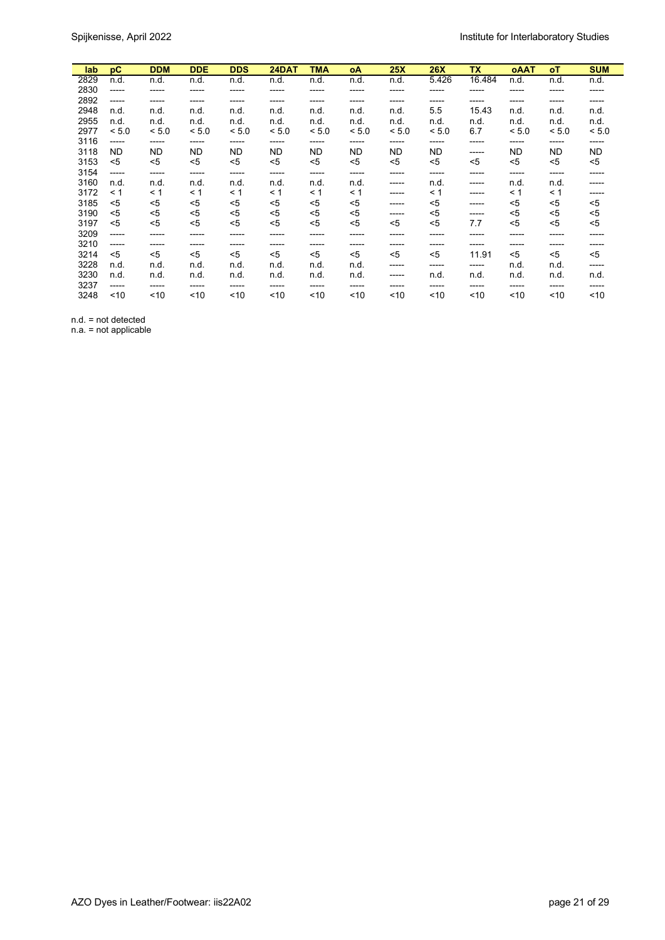| lab  | pC        | <b>DDM</b> | <b>DDE</b> | <b>DDS</b> | 24DAT     | TMA   | οA        | 25X       | <b>26X</b> | <b>TX</b> | <b>OAAT</b> | оT    | <b>SUM</b> |
|------|-----------|------------|------------|------------|-----------|-------|-----------|-----------|------------|-----------|-------------|-------|------------|
| 2829 | n.d.      | n.d.       | n.d.       | n.d.       | n.d.      | n.d.  | n.d.      | n.d.      | 5.426      | 16.484    | n.d.        | n.d.  | n.d.       |
| 2830 | -----     | -----      | -----      | -----      | -----     | ----- | -----     | -----     | -----      | -----     | -----       | ----- | -----      |
| 2892 | -----     | -----      | -----      | -----      | -----     | ----- | -----     | -----     | -----      | -----     | -----       | ----- | -----      |
| 2948 | n.d.      | n.d.       | n.d.       | n.d.       | n.d.      | n.d.  | n.d.      | n.d.      | 5.5        | 15.43     | n.d.        | n.d.  | n.d.       |
| 2955 | n.d.      | n.d.       | n.d.       | n.d.       | n.d.      | n.d.  | n.d.      | n.d.      | n.d.       | n.d.      | n.d.        | n.d.  | n.d.       |
| 2977 | < 5.0     | < 5.0      | < 5.0      | < 5.0      | < 5.0     | < 5.0 | < 5.0     | < 5.0     | < 5.0      | 6.7       | < 5.0       | < 5.0 | < 5.0      |
| 3116 | -----     | -----      | -----      | -----      | $-----$   | ----- | -----     | -----     | ------     | -----     | -----       | ----- | -----      |
| 3118 | <b>ND</b> | <b>ND</b>  | ND         | <b>ND</b>  | <b>ND</b> | ND    | <b>ND</b> | <b>ND</b> | ND         | -----     | ND          | ND    | ND         |
| 3153 | $<$ 5     | $<$ 5      | $5$        | $5$        | $5$       | $<$ 5 | $5$       | $<$ 5     | $5$        | $<$ 5     | $<$ 5       | $5$   | $5$        |
| 3154 | -----     | -----      | -----      | ------     | -----     | ----- | ------    | -----     | ------     | ------    | -----       | ----- | -----      |
| 3160 | n.d.      | n.d.       | n.d.       | n.d.       | n.d.      | n.d.  | n.d.      | -----     | n.d.       | -----     | n.d.        | n.d.  | -----      |
| 3172 | < 1       | $\leq 1$   | $\leq 1$   | $\leq 1$   | < 1       | < 1   | < 1       | -----     | < 1        | ------    | < 1         | < 1   | -----      |
| 3185 | $5$       | $5$        | $5$        | $5$        | $5$       | $5$   | $5$       | -----     | $5$        | -----     | $5$         | $5$   | $5$        |
| 3190 | <5        | <5         | <5         | <5         | $5$       | <5    | $5$       | -----     | $5$        | -----     | <5          | <5    | <5         |
| 3197 | $5$       | $5$        | $5$        | $5$        | $5$       | $<$ 5 | $5$       | <5        | $5$        | 7.7       | $<$ 5       | <5    | $5$        |
| 3209 | -----     | -----      | -----      | -----      | -----     | ----- | -----     | -----     | -----      | -----     | -----       | ----- | -----      |
| 3210 | -----     | ------     | -----      | -----      | ------    | ----- | -----     | -----     | -----      | -----     | -----       | ----- | -----      |
| 3214 | $<$ 5     | $<$ 5      | $5$        | $5$        | $5$       | $<$ 5 | $5$       | $5$       | $5$        | 11.91     | $<$ 5       | $<$ 5 | $5$        |
| 3228 | n.d.      | n.d.       | n.d.       | n.d.       | n.d.      | n.d.  | n.d.      | -----     | ------     | -----     | n.d.        | n.d.  | -----      |
| 3230 | n.d.      | n.d.       | n.d.       | n.d.       | n.d.      | n.d.  | n.d.      | -----     | n.d.       | n.d.      | n.d.        | n.d.  | n.d.       |
| 3237 | -----     | -----      | -----      | -----      | -----     | ----- | -----     | -----     | -----      | -----     | -----       | ----- | -----      |
| 3248 | ~10       | ~10        | ~10        | ~10        | ~10       | ~10   | ~10       | ~10       | ~10        | ~10       | ~10         | ~10   | ~10        |

n.d. = not detected

n.a. = not applicable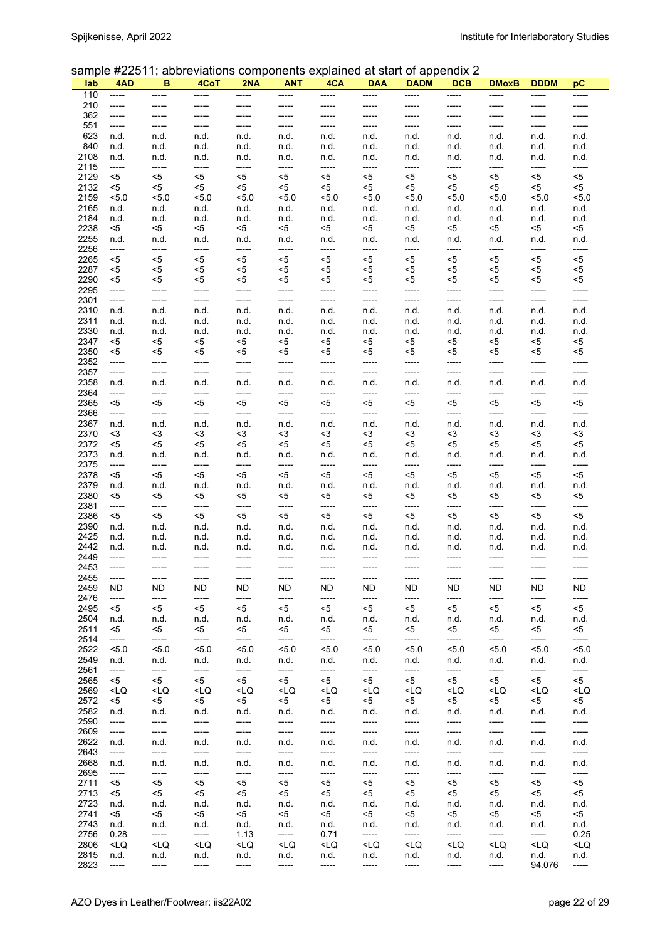### sample #22511; abbreviations components explained at start of appendix 2

| lab          | 4AD                                                                                                                                                                                                                                                                                                                                                                                                                                  | в                                                                                                                                                                                                                                                                                                                                                                                                 | 4CoT                                                                                                                                                                                                                                                                                                                                                          | 2NA                                                                                                                                                                                                                                                                                                                       | <b>ANT</b>                                                                                                                                                                                                                                                                             | 4CA                                                                                                                                                                                                                                                | <b>DAA</b>                                                                                                                                                                                                      | <b>DADM</b>                                                                                                                                                                 | <b>DCB</b>                                                                                                                              | <b>DMoxB</b>                                                                                        | <b>DDDM</b>     | рC                        |
|--------------|--------------------------------------------------------------------------------------------------------------------------------------------------------------------------------------------------------------------------------------------------------------------------------------------------------------------------------------------------------------------------------------------------------------------------------------|---------------------------------------------------------------------------------------------------------------------------------------------------------------------------------------------------------------------------------------------------------------------------------------------------------------------------------------------------------------------------------------------------|---------------------------------------------------------------------------------------------------------------------------------------------------------------------------------------------------------------------------------------------------------------------------------------------------------------------------------------------------------------|---------------------------------------------------------------------------------------------------------------------------------------------------------------------------------------------------------------------------------------------------------------------------------------------------------------------------|----------------------------------------------------------------------------------------------------------------------------------------------------------------------------------------------------------------------------------------------------------------------------------------|----------------------------------------------------------------------------------------------------------------------------------------------------------------------------------------------------------------------------------------------------|-----------------------------------------------------------------------------------------------------------------------------------------------------------------------------------------------------------------|-----------------------------------------------------------------------------------------------------------------------------------------------------------------------------|-----------------------------------------------------------------------------------------------------------------------------------------|-----------------------------------------------------------------------------------------------------|-----------------|---------------------------|
| 110          | -----                                                                                                                                                                                                                                                                                                                                                                                                                                | -----                                                                                                                                                                                                                                                                                                                                                                                             | -----                                                                                                                                                                                                                                                                                                                                                         | -----                                                                                                                                                                                                                                                                                                                     | -----                                                                                                                                                                                                                                                                                  | -----                                                                                                                                                                                                                                              | -----                                                                                                                                                                                                           | -----                                                                                                                                                                       | -----                                                                                                                                   | -----                                                                                               | -----           | -----                     |
| 210          | -----                                                                                                                                                                                                                                                                                                                                                                                                                                |                                                                                                                                                                                                                                                                                                                                                                                                   |                                                                                                                                                                                                                                                                                                                                                               | -----                                                                                                                                                                                                                                                                                                                     | -----                                                                                                                                                                                                                                                                                  | -----                                                                                                                                                                                                                                              | -----                                                                                                                                                                                                           | -----                                                                                                                                                                       | -----                                                                                                                                   | -----                                                                                               | -----           |                           |
| 362<br>551   | -----<br>-----                                                                                                                                                                                                                                                                                                                                                                                                                       | -----                                                                                                                                                                                                                                                                                                                                                                                             | -----                                                                                                                                                                                                                                                                                                                                                         | -----                                                                                                                                                                                                                                                                                                                     | -----<br>-----                                                                                                                                                                                                                                                                         | -----<br>-----                                                                                                                                                                                                                                     | -----<br>-----                                                                                                                                                                                                  | -----<br>-----                                                                                                                                                              | -----<br>-----                                                                                                                          | -----<br>-----                                                                                      | -----<br>-----  | -----                     |
| 623          | n.d.                                                                                                                                                                                                                                                                                                                                                                                                                                 | n.d.                                                                                                                                                                                                                                                                                                                                                                                              | n.d.                                                                                                                                                                                                                                                                                                                                                          | n.d.                                                                                                                                                                                                                                                                                                                      | n.d.                                                                                                                                                                                                                                                                                   | n.d.                                                                                                                                                                                                                                               | n.d.                                                                                                                                                                                                            | n.d.                                                                                                                                                                        | n.d.                                                                                                                                    | n.d.                                                                                                | n.d.            | n.d.                      |
| 840          | n.d.                                                                                                                                                                                                                                                                                                                                                                                                                                 | n.d.                                                                                                                                                                                                                                                                                                                                                                                              | n.d.                                                                                                                                                                                                                                                                                                                                                          | n.d.                                                                                                                                                                                                                                                                                                                      | n.d.                                                                                                                                                                                                                                                                                   | n.d.                                                                                                                                                                                                                                               | n.d.                                                                                                                                                                                                            | n.d.                                                                                                                                                                        | n.d.                                                                                                                                    | n.d.                                                                                                | n.d.            | n.d.                      |
| 2108         | n.d.                                                                                                                                                                                                                                                                                                                                                                                                                                 | n.d.                                                                                                                                                                                                                                                                                                                                                                                              | n.d.                                                                                                                                                                                                                                                                                                                                                          | n.d.                                                                                                                                                                                                                                                                                                                      | n.d.                                                                                                                                                                                                                                                                                   | n.d.                                                                                                                                                                                                                                               | n.d.                                                                                                                                                                                                            | n.d.                                                                                                                                                                        | n.d.                                                                                                                                    | n.d.                                                                                                | n.d.            | n.d.                      |
| 2115         | -----                                                                                                                                                                                                                                                                                                                                                                                                                                | -----                                                                                                                                                                                                                                                                                                                                                                                             | -----                                                                                                                                                                                                                                                                                                                                                         | $-----$                                                                                                                                                                                                                                                                                                                   | -----                                                                                                                                                                                                                                                                                  | -----                                                                                                                                                                                                                                              | -----                                                                                                                                                                                                           | -----                                                                                                                                                                       | -----                                                                                                                                   | -----                                                                                               | -----           | -----                     |
| 2129<br>2132 | <5<br>$5$                                                                                                                                                                                                                                                                                                                                                                                                                            | $5$<br><5                                                                                                                                                                                                                                                                                                                                                                                         | $<$ 5<br><5                                                                                                                                                                                                                                                                                                                                                   | $5$<br>$<$ 5                                                                                                                                                                                                                                                                                                              | <5<br><5                                                                                                                                                                                                                                                                               | <5<br><5                                                                                                                                                                                                                                           | <5<br><5                                                                                                                                                                                                        | <5<br><5                                                                                                                                                                    | <5<br>$<$ 5                                                                                                                             | $<$ 5<br><5                                                                                         | <5<br><5        | $<$ 5<br><5               |
| 2159         | 5.0                                                                                                                                                                                                                                                                                                                                                                                                                                  | 5.0                                                                                                                                                                                                                                                                                                                                                                                               | 5.0                                                                                                                                                                                                                                                                                                                                                           | < 5.0                                                                                                                                                                                                                                                                                                                     | 5.0                                                                                                                                                                                                                                                                                    | 5.0                                                                                                                                                                                                                                                | 5.0                                                                                                                                                                                                             | 5.0                                                                                                                                                                         | 5.0                                                                                                                                     | 5.0                                                                                                 | 5.0             | 5.0                       |
| 2165         | n.d.                                                                                                                                                                                                                                                                                                                                                                                                                                 | n.d.                                                                                                                                                                                                                                                                                                                                                                                              | n.d.                                                                                                                                                                                                                                                                                                                                                          | n.d.                                                                                                                                                                                                                                                                                                                      | n.d.                                                                                                                                                                                                                                                                                   | n.d.                                                                                                                                                                                                                                               | n.d.                                                                                                                                                                                                            | n.d.                                                                                                                                                                        | n.d.                                                                                                                                    | n.d.                                                                                                | n.d.            | n.d.                      |
| 2184         | n.d.                                                                                                                                                                                                                                                                                                                                                                                                                                 | n.d.                                                                                                                                                                                                                                                                                                                                                                                              | n.d.                                                                                                                                                                                                                                                                                                                                                          | n.d.                                                                                                                                                                                                                                                                                                                      | n.d.                                                                                                                                                                                                                                                                                   | n.d.                                                                                                                                                                                                                                               | n.d.                                                                                                                                                                                                            | n.d.                                                                                                                                                                        | n.d.                                                                                                                                    | n.d.                                                                                                | n.d.            | n.d.                      |
| 2238         | $5$                                                                                                                                                                                                                                                                                                                                                                                                                                  | $5$                                                                                                                                                                                                                                                                                                                                                                                               | <5                                                                                                                                                                                                                                                                                                                                                            | $<$ 5                                                                                                                                                                                                                                                                                                                     | <5                                                                                                                                                                                                                                                                                     | $<$ 5                                                                                                                                                                                                                                              | <5                                                                                                                                                                                                              | <5                                                                                                                                                                          | <5                                                                                                                                      | $<$ 5                                                                                               | $5$             | $5$                       |
| 2255<br>2256 | n.d.<br>-----                                                                                                                                                                                                                                                                                                                                                                                                                        | n.d.<br>-----                                                                                                                                                                                                                                                                                                                                                                                     | n.d.<br>-----                                                                                                                                                                                                                                                                                                                                                 | n.d.<br>-----                                                                                                                                                                                                                                                                                                             | n.d.<br>-----                                                                                                                                                                                                                                                                          | n.d.<br>-----                                                                                                                                                                                                                                      | n.d.<br>-----                                                                                                                                                                                                   | n.d.<br>-----                                                                                                                                                               | n.d.<br>-----                                                                                                                           | n.d.<br>-----                                                                                       | n.d.<br>-----   | n.d.<br>-----             |
| 2265         | $5$                                                                                                                                                                                                                                                                                                                                                                                                                                  | $5$                                                                                                                                                                                                                                                                                                                                                                                               | $<$ 5                                                                                                                                                                                                                                                                                                                                                         | $5$                                                                                                                                                                                                                                                                                                                       | $<$ 5                                                                                                                                                                                                                                                                                  | <5                                                                                                                                                                                                                                                 | $<$ 5                                                                                                                                                                                                           | $5$                                                                                                                                                                         | $<$ 5                                                                                                                                   | $5$                                                                                                 | $5$             | $5$                       |
| 2287         | $5$                                                                                                                                                                                                                                                                                                                                                                                                                                  | <5                                                                                                                                                                                                                                                                                                                                                                                                | $5$                                                                                                                                                                                                                                                                                                                                                           | $<$ 5                                                                                                                                                                                                                                                                                                                     | <5                                                                                                                                                                                                                                                                                     | <5                                                                                                                                                                                                                                                 | <5                                                                                                                                                                                                              | <5                                                                                                                                                                          | <5                                                                                                                                      | <5                                                                                                  | <5              | $<$ 5                     |
| 2290         | $5$                                                                                                                                                                                                                                                                                                                                                                                                                                  | <5                                                                                                                                                                                                                                                                                                                                                                                                | $<$ 5                                                                                                                                                                                                                                                                                                                                                         | $5$                                                                                                                                                                                                                                                                                                                       | <5                                                                                                                                                                                                                                                                                     | <5                                                                                                                                                                                                                                                 | <5                                                                                                                                                                                                              | <5                                                                                                                                                                          | <5                                                                                                                                      | <5                                                                                                  | <5              | <5                        |
| 2295         | $-----$                                                                                                                                                                                                                                                                                                                                                                                                                              | -----                                                                                                                                                                                                                                                                                                                                                                                             | -----                                                                                                                                                                                                                                                                                                                                                         | -----                                                                                                                                                                                                                                                                                                                     | -----                                                                                                                                                                                                                                                                                  | -----                                                                                                                                                                                                                                              | -----                                                                                                                                                                                                           | -----                                                                                                                                                                       | -----                                                                                                                                   | -----                                                                                               | -----           | -----                     |
| 2301<br>2310 | -----<br>n.d.                                                                                                                                                                                                                                                                                                                                                                                                                        | -----<br>n.d.                                                                                                                                                                                                                                                                                                                                                                                     | -----<br>n.d.                                                                                                                                                                                                                                                                                                                                                 | -----<br>n.d.                                                                                                                                                                                                                                                                                                             | -----<br>n.d.                                                                                                                                                                                                                                                                          | -----<br>n.d.                                                                                                                                                                                                                                      | $-----$<br>n.d.                                                                                                                                                                                                 | -----<br>n.d.                                                                                                                                                               | -----<br>n.d.                                                                                                                           | -----<br>n.d.                                                                                       | -----<br>n.d.   | -----<br>n.d.             |
| 2311         | n.d.                                                                                                                                                                                                                                                                                                                                                                                                                                 | n.d.                                                                                                                                                                                                                                                                                                                                                                                              | n.d.                                                                                                                                                                                                                                                                                                                                                          | n.d.                                                                                                                                                                                                                                                                                                                      | n.d.                                                                                                                                                                                                                                                                                   | n.d.                                                                                                                                                                                                                                               | n.d.                                                                                                                                                                                                            | n.d.                                                                                                                                                                        | n.d.                                                                                                                                    | n.d.                                                                                                | n.d.            | n.d.                      |
| 2330         | n.d.                                                                                                                                                                                                                                                                                                                                                                                                                                 | n.d.                                                                                                                                                                                                                                                                                                                                                                                              | n.d.                                                                                                                                                                                                                                                                                                                                                          | n.d.                                                                                                                                                                                                                                                                                                                      | n.d.                                                                                                                                                                                                                                                                                   | n.d.                                                                                                                                                                                                                                               | n.d.                                                                                                                                                                                                            | n.d.                                                                                                                                                                        | n.d.                                                                                                                                    | n.d.                                                                                                | n.d.            | n.d.                      |
| 2347         | <5                                                                                                                                                                                                                                                                                                                                                                                                                                   | <5                                                                                                                                                                                                                                                                                                                                                                                                | <5                                                                                                                                                                                                                                                                                                                                                            | $<$ 5                                                                                                                                                                                                                                                                                                                     | <5                                                                                                                                                                                                                                                                                     | <5                                                                                                                                                                                                                                                 | $<$ 5                                                                                                                                                                                                           | <5                                                                                                                                                                          | <5                                                                                                                                      | <5                                                                                                  | <5              | $5$                       |
| 2350         | <5                                                                                                                                                                                                                                                                                                                                                                                                                                   | <5                                                                                                                                                                                                                                                                                                                                                                                                | <5                                                                                                                                                                                                                                                                                                                                                            | <5                                                                                                                                                                                                                                                                                                                        | <5                                                                                                                                                                                                                                                                                     | <5                                                                                                                                                                                                                                                 | <5                                                                                                                                                                                                              | <5                                                                                                                                                                          | <5                                                                                                                                      | <5                                                                                                  | <5              | <5                        |
| 2352<br>2357 | -----<br>-----                                                                                                                                                                                                                                                                                                                                                                                                                       | -----<br>-----                                                                                                                                                                                                                                                                                                                                                                                    | -----<br>-----                                                                                                                                                                                                                                                                                                                                                | -----<br>-----                                                                                                                                                                                                                                                                                                            | -----<br>-----                                                                                                                                                                                                                                                                         | -----<br>-----                                                                                                                                                                                                                                     | -----<br>-----                                                                                                                                                                                                  | -----<br>-----                                                                                                                                                              | -----<br>-----                                                                                                                          | -----<br>-----                                                                                      | -----<br>-----  | -----<br>-----            |
| 2358         | n.d.                                                                                                                                                                                                                                                                                                                                                                                                                                 | n.d.                                                                                                                                                                                                                                                                                                                                                                                              | n.d.                                                                                                                                                                                                                                                                                                                                                          | n.d.                                                                                                                                                                                                                                                                                                                      | n.d.                                                                                                                                                                                                                                                                                   | n.d.                                                                                                                                                                                                                                               | n.d.                                                                                                                                                                                                            | n.d.                                                                                                                                                                        | n.d.                                                                                                                                    | n.d.                                                                                                | n.d.            | n.d.                      |
| 2364         | -----                                                                                                                                                                                                                                                                                                                                                                                                                                | -----                                                                                                                                                                                                                                                                                                                                                                                             | -----                                                                                                                                                                                                                                                                                                                                                         | -----                                                                                                                                                                                                                                                                                                                     | -----                                                                                                                                                                                                                                                                                  | -----                                                                                                                                                                                                                                              | -----                                                                                                                                                                                                           | -----                                                                                                                                                                       | -----                                                                                                                                   | -----                                                                                               | -----           | -----                     |
| 2365         | <5                                                                                                                                                                                                                                                                                                                                                                                                                                   | $5$                                                                                                                                                                                                                                                                                                                                                                                               | $5$                                                                                                                                                                                                                                                                                                                                                           | $5$                                                                                                                                                                                                                                                                                                                       | <5                                                                                                                                                                                                                                                                                     | $<$ 5                                                                                                                                                                                                                                              | <5                                                                                                                                                                                                              | <5                                                                                                                                                                          | <5                                                                                                                                      | $5$                                                                                                 | <5              | $5$                       |
| 2366         | -----                                                                                                                                                                                                                                                                                                                                                                                                                                | -----                                                                                                                                                                                                                                                                                                                                                                                             | -----                                                                                                                                                                                                                                                                                                                                                         | -----                                                                                                                                                                                                                                                                                                                     | -----                                                                                                                                                                                                                                                                                  | -----                                                                                                                                                                                                                                              | -----                                                                                                                                                                                                           | -----                                                                                                                                                                       | -----                                                                                                                                   | -----                                                                                               | -----           | -----                     |
| 2367<br>2370 | n.d.<br><3                                                                                                                                                                                                                                                                                                                                                                                                                           | n.d.<br>$3$                                                                                                                                                                                                                                                                                                                                                                                       | n.d.<br>$3$                                                                                                                                                                                                                                                                                                                                                   | n.d.<br>$3$                                                                                                                                                                                                                                                                                                               | n.d.<br>$3$                                                                                                                                                                                                                                                                            | n.d.<br>$3$                                                                                                                                                                                                                                        | n.d.<br>$3$                                                                                                                                                                                                     | n.d.<br>$3$                                                                                                                                                                 | n.d.<br>$3$                                                                                                                             | n.d.<br><3                                                                                          | n.d.<br><3      | n.d.<br>$3$               |
| 2372         | <5                                                                                                                                                                                                                                                                                                                                                                                                                                   | $5$                                                                                                                                                                                                                                                                                                                                                                                               | $5$                                                                                                                                                                                                                                                                                                                                                           | $<$ 5                                                                                                                                                                                                                                                                                                                     | <5                                                                                                                                                                                                                                                                                     | <5                                                                                                                                                                                                                                                 | <5                                                                                                                                                                                                              | $5$                                                                                                                                                                         | <5                                                                                                                                      | <5                                                                                                  | <5              | $5$                       |
| 2373         | n.d.                                                                                                                                                                                                                                                                                                                                                                                                                                 | n.d.                                                                                                                                                                                                                                                                                                                                                                                              | n.d.                                                                                                                                                                                                                                                                                                                                                          | n.d.                                                                                                                                                                                                                                                                                                                      | n.d.                                                                                                                                                                                                                                                                                   | n.d.                                                                                                                                                                                                                                               | n.d.                                                                                                                                                                                                            | n.d.                                                                                                                                                                        | n.d.                                                                                                                                    | n.d.                                                                                                | n.d.            | n.d.                      |
| 2375         | -----                                                                                                                                                                                                                                                                                                                                                                                                                                | -----                                                                                                                                                                                                                                                                                                                                                                                             | -----                                                                                                                                                                                                                                                                                                                                                         | -----                                                                                                                                                                                                                                                                                                                     | -----                                                                                                                                                                                                                                                                                  | -----                                                                                                                                                                                                                                              | -----                                                                                                                                                                                                           | -----                                                                                                                                                                       | -----                                                                                                                                   | -----                                                                                               | -----           | -----                     |
| 2378<br>2379 | $5$                                                                                                                                                                                                                                                                                                                                                                                                                                  | $5$                                                                                                                                                                                                                                                                                                                                                                                               | $<$ 5                                                                                                                                                                                                                                                                                                                                                         | $5$                                                                                                                                                                                                                                                                                                                       | <5                                                                                                                                                                                                                                                                                     | <5                                                                                                                                                                                                                                                 | $<$ 5                                                                                                                                                                                                           | $5$                                                                                                                                                                         | $<$ 5                                                                                                                                   | $5$                                                                                                 | $5$             | $<$ 5                     |
| 2380         | n.d.<br>$5$                                                                                                                                                                                                                                                                                                                                                                                                                          | n.d.<br><5                                                                                                                                                                                                                                                                                                                                                                                        | n.d.<br><5                                                                                                                                                                                                                                                                                                                                                    | n.d.<br>$5$                                                                                                                                                                                                                                                                                                               | n.d.<br>$<$ 5                                                                                                                                                                                                                                                                          | n.d.<br>$<$ 5                                                                                                                                                                                                                                      | n.d.<br>$<$ 5                                                                                                                                                                                                   | n.d.<br><5                                                                                                                                                                  | n.d.<br><5                                                                                                                              | n.d.<br><5                                                                                          | n.d.<br><5      | n.d.<br><5                |
| 2381         | -----                                                                                                                                                                                                                                                                                                                                                                                                                                | -----                                                                                                                                                                                                                                                                                                                                                                                             | -----                                                                                                                                                                                                                                                                                                                                                         | -----                                                                                                                                                                                                                                                                                                                     | -----                                                                                                                                                                                                                                                                                  | -----                                                                                                                                                                                                                                              | -----                                                                                                                                                                                                           | -----                                                                                                                                                                       | -----                                                                                                                                   | -----                                                                                               | -----           | -----                     |
| 2386         | $5$                                                                                                                                                                                                                                                                                                                                                                                                                                  | $5$                                                                                                                                                                                                                                                                                                                                                                                               | $5$                                                                                                                                                                                                                                                                                                                                                           | $<$ 5                                                                                                                                                                                                                                                                                                                     | $5$                                                                                                                                                                                                                                                                                    | $5$                                                                                                                                                                                                                                                | $<$ 5                                                                                                                                                                                                           | $5$                                                                                                                                                                         | $5$                                                                                                                                     | $5$                                                                                                 | $5$             | $<$ 5                     |
| 2390         | n.d.                                                                                                                                                                                                                                                                                                                                                                                                                                 | n.d.                                                                                                                                                                                                                                                                                                                                                                                              | n.d.                                                                                                                                                                                                                                                                                                                                                          | n.d.                                                                                                                                                                                                                                                                                                                      | n.d.                                                                                                                                                                                                                                                                                   | n.d.                                                                                                                                                                                                                                               | n.d.                                                                                                                                                                                                            | n.d.                                                                                                                                                                        | n.d.                                                                                                                                    | n.d.                                                                                                | n.d.            | n.d.                      |
| 2425<br>2442 | n.d.<br>n.d.                                                                                                                                                                                                                                                                                                                                                                                                                         | n.d.<br>n.d.                                                                                                                                                                                                                                                                                                                                                                                      | n.d.<br>n.d.                                                                                                                                                                                                                                                                                                                                                  | n.d.<br>n.d.                                                                                                                                                                                                                                                                                                              | n.d.<br>n.d.                                                                                                                                                                                                                                                                           | n.d.<br>n.d.                                                                                                                                                                                                                                       | n.d.<br>n.d.                                                                                                                                                                                                    | n.d.<br>n.d.                                                                                                                                                                | n.d.<br>n.d.                                                                                                                            | n.d.<br>n.d.                                                                                        | n.d.<br>n.d.    | n.d.<br>n.d.              |
| 2449         | -----                                                                                                                                                                                                                                                                                                                                                                                                                                |                                                                                                                                                                                                                                                                                                                                                                                                   |                                                                                                                                                                                                                                                                                                                                                               |                                                                                                                                                                                                                                                                                                                           |                                                                                                                                                                                                                                                                                        | -----                                                                                                                                                                                                                                              | -----                                                                                                                                                                                                           | -----                                                                                                                                                                       | -----                                                                                                                                   | -----                                                                                               | -----           | -----                     |
| 2453         | -----                                                                                                                                                                                                                                                                                                                                                                                                                                | -----                                                                                                                                                                                                                                                                                                                                                                                             | -----                                                                                                                                                                                                                                                                                                                                                         | -----                                                                                                                                                                                                                                                                                                                     | -----                                                                                                                                                                                                                                                                                  | -----                                                                                                                                                                                                                                              | -----                                                                                                                                                                                                           | -----                                                                                                                                                                       | -----                                                                                                                                   | -----                                                                                               | -----           | -----                     |
| 2455         |                                                                                                                                                                                                                                                                                                                                                                                                                                      |                                                                                                                                                                                                                                                                                                                                                                                                   |                                                                                                                                                                                                                                                                                                                                                               |                                                                                                                                                                                                                                                                                                                           |                                                                                                                                                                                                                                                                                        |                                                                                                                                                                                                                                                    |                                                                                                                                                                                                                 |                                                                                                                                                                             |                                                                                                                                         |                                                                                                     |                 |                           |
| 2459         | ND.                                                                                                                                                                                                                                                                                                                                                                                                                                  | ND                                                                                                                                                                                                                                                                                                                                                                                                | ND                                                                                                                                                                                                                                                                                                                                                            | ND.                                                                                                                                                                                                                                                                                                                       | ND.                                                                                                                                                                                                                                                                                    | ND.                                                                                                                                                                                                                                                | ND.                                                                                                                                                                                                             | ND.                                                                                                                                                                         | ND                                                                                                                                      | ND                                                                                                  | ND              | ND                        |
| 2476<br>2495 | -----<br>$<$ 5                                                                                                                                                                                                                                                                                                                                                                                                                       | -----<br>$<$ 5                                                                                                                                                                                                                                                                                                                                                                                    | -----<br><5                                                                                                                                                                                                                                                                                                                                                   | -----<br><5                                                                                                                                                                                                                                                                                                               | -----<br><5                                                                                                                                                                                                                                                                            | -----<br><5                                                                                                                                                                                                                                        | -----<br><5                                                                                                                                                                                                     | -----<br>$5$                                                                                                                                                                | -----<br><5                                                                                                                             | -----<br>$5$                                                                                        | -----<br><5     | -----<br><5               |
| 2504         | n.d.                                                                                                                                                                                                                                                                                                                                                                                                                                 | n.d.                                                                                                                                                                                                                                                                                                                                                                                              | n.d.                                                                                                                                                                                                                                                                                                                                                          | n.d.                                                                                                                                                                                                                                                                                                                      | n.d.                                                                                                                                                                                                                                                                                   | n.d.                                                                                                                                                                                                                                               | n.d.                                                                                                                                                                                                            | n.d.                                                                                                                                                                        | n.d.                                                                                                                                    | n.d.                                                                                                | n.d.            | n.d.                      |
| 2511         | <5                                                                                                                                                                                                                                                                                                                                                                                                                                   | <5                                                                                                                                                                                                                                                                                                                                                                                                | <5                                                                                                                                                                                                                                                                                                                                                            | <5                                                                                                                                                                                                                                                                                                                        | <5                                                                                                                                                                                                                                                                                     | <5                                                                                                                                                                                                                                                 | <5                                                                                                                                                                                                              | <5                                                                                                                                                                          | <5                                                                                                                                      | <5                                                                                                  | <5              | <5                        |
| 2514         | -----                                                                                                                                                                                                                                                                                                                                                                                                                                | -----                                                                                                                                                                                                                                                                                                                                                                                             | -----                                                                                                                                                                                                                                                                                                                                                         | -----                                                                                                                                                                                                                                                                                                                     | -----                                                                                                                                                                                                                                                                                  | -----                                                                                                                                                                                                                                              | -----                                                                                                                                                                                                           | -----                                                                                                                                                                       | -----                                                                                                                                   | -----                                                                                               | -----           | -----                     |
| 2522<br>2549 | 5.0<br>n.d.                                                                                                                                                                                                                                                                                                                                                                                                                          | 5.0<br>n.d.                                                                                                                                                                                                                                                                                                                                                                                       | 5.0                                                                                                                                                                                                                                                                                                                                                           | 5.0<br>n.d.                                                                                                                                                                                                                                                                                                               | 5.0<br>n.d.                                                                                                                                                                                                                                                                            | 5.0<br>n.d.                                                                                                                                                                                                                                        | 5.0                                                                                                                                                                                                             | 5.0                                                                                                                                                                         | 5.0                                                                                                                                     | 5.0                                                                                                 | 5.0             | 5.0<br>n.d.               |
| 2561         | -----                                                                                                                                                                                                                                                                                                                                                                                                                                | -----                                                                                                                                                                                                                                                                                                                                                                                             | n.d.<br>-----                                                                                                                                                                                                                                                                                                                                                 | -----                                                                                                                                                                                                                                                                                                                     | -----                                                                                                                                                                                                                                                                                  | -----                                                                                                                                                                                                                                              | n.d.<br>-----                                                                                                                                                                                                   | n.d.<br>-----                                                                                                                                                               | n.d.<br>-----                                                                                                                           | n.d.<br>-----                                                                                       | n.d.<br>-----   | -----                     |
| 2565         | <5                                                                                                                                                                                                                                                                                                                                                                                                                                   | <5                                                                                                                                                                                                                                                                                                                                                                                                | <5                                                                                                                                                                                                                                                                                                                                                            | $<$ 5                                                                                                                                                                                                                                                                                                                     | <5                                                                                                                                                                                                                                                                                     | <5                                                                                                                                                                                                                                                 | <5                                                                                                                                                                                                              | $<$ 5                                                                                                                                                                       | $<$ 5                                                                                                                                   | $<$ 5                                                                                               | $<$ 5           | $<$ 5                     |
| 2569         | <lq< td=""><td><lq< td=""><td><math>&lt;</math>LQ</td><td><math>&lt;</math>LQ</td><td><lq< td=""><td><math>&lt;</math>LQ</td><td><math>&lt;</math>LQ</td><td><math>&lt;</math>LQ</td><td><math>&lt;</math>LQ</td><td><math>&lt;</math>LQ</td><td><math>&lt;</math>LQ</td><td><math>&lt;</math>LQ</td></lq<></td></lq<></td></lq<>                                                                                                    | <lq< td=""><td><math>&lt;</math>LQ</td><td><math>&lt;</math>LQ</td><td><lq< td=""><td><math>&lt;</math>LQ</td><td><math>&lt;</math>LQ</td><td><math>&lt;</math>LQ</td><td><math>&lt;</math>LQ</td><td><math>&lt;</math>LQ</td><td><math>&lt;</math>LQ</td><td><math>&lt;</math>LQ</td></lq<></td></lq<>                                                                                           | $<$ LQ                                                                                                                                                                                                                                                                                                                                                        | $<$ LQ                                                                                                                                                                                                                                                                                                                    | <lq< td=""><td><math>&lt;</math>LQ</td><td><math>&lt;</math>LQ</td><td><math>&lt;</math>LQ</td><td><math>&lt;</math>LQ</td><td><math>&lt;</math>LQ</td><td><math>&lt;</math>LQ</td><td><math>&lt;</math>LQ</td></lq<>                                                                  | $<$ LQ                                                                                                                                                                                                                                             | $<$ LQ                                                                                                                                                                                                          | $<$ LQ                                                                                                                                                                      | $<$ LQ                                                                                                                                  | $<$ LQ                                                                                              | $<$ LQ          | $<$ LQ                    |
| 2572         | <5                                                                                                                                                                                                                                                                                                                                                                                                                                   | <5                                                                                                                                                                                                                                                                                                                                                                                                | $<$ 5                                                                                                                                                                                                                                                                                                                                                         | <5                                                                                                                                                                                                                                                                                                                        | <5                                                                                                                                                                                                                                                                                     | <5                                                                                                                                                                                                                                                 | <5                                                                                                                                                                                                              | <5                                                                                                                                                                          | $5$                                                                                                                                     | $<$ 5                                                                                               | <5              | <5                        |
| 2582<br>2590 | n.d.<br>-----                                                                                                                                                                                                                                                                                                                                                                                                                        | n.d.<br>-----                                                                                                                                                                                                                                                                                                                                                                                     | n.d.<br>-----                                                                                                                                                                                                                                                                                                                                                 | n.d.<br>-----                                                                                                                                                                                                                                                                                                             | n.d.<br>-----                                                                                                                                                                                                                                                                          | n.d.<br>-----                                                                                                                                                                                                                                      | n.d.<br>-----                                                                                                                                                                                                   | n.d.<br>-----                                                                                                                                                               | n.d.<br>-----                                                                                                                           | n.d.<br>-----                                                                                       | n.d.<br>-----   | n.d.<br>-----             |
| 2609         | -----                                                                                                                                                                                                                                                                                                                                                                                                                                | -----                                                                                                                                                                                                                                                                                                                                                                                             | -----                                                                                                                                                                                                                                                                                                                                                         | -----                                                                                                                                                                                                                                                                                                                     | -----                                                                                                                                                                                                                                                                                  | -----                                                                                                                                                                                                                                              | -----                                                                                                                                                                                                           | -----                                                                                                                                                                       | -----                                                                                                                                   | -----                                                                                               | -----           | -----                     |
| 2622         | n.d.                                                                                                                                                                                                                                                                                                                                                                                                                                 | n.d.                                                                                                                                                                                                                                                                                                                                                                                              | n.d.                                                                                                                                                                                                                                                                                                                                                          | n.d.                                                                                                                                                                                                                                                                                                                      | n.d.                                                                                                                                                                                                                                                                                   | n.d.                                                                                                                                                                                                                                               | n.d.                                                                                                                                                                                                            | n.d.                                                                                                                                                                        | n.d.                                                                                                                                    | n.d.                                                                                                | n.d.            | n.d.                      |
| 2643         | -----                                                                                                                                                                                                                                                                                                                                                                                                                                | -----                                                                                                                                                                                                                                                                                                                                                                                             | -----                                                                                                                                                                                                                                                                                                                                                         | -----                                                                                                                                                                                                                                                                                                                     | -----                                                                                                                                                                                                                                                                                  | -----                                                                                                                                                                                                                                              | -----                                                                                                                                                                                                           | -----                                                                                                                                                                       | -----                                                                                                                                   | -----                                                                                               | -----           | -----                     |
| 2668         | n.d.                                                                                                                                                                                                                                                                                                                                                                                                                                 | n.d.                                                                                                                                                                                                                                                                                                                                                                                              | n.d.                                                                                                                                                                                                                                                                                                                                                          | n.d.                                                                                                                                                                                                                                                                                                                      | n.d.                                                                                                                                                                                                                                                                                   | n.d.                                                                                                                                                                                                                                               | n.d.                                                                                                                                                                                                            | n.d.                                                                                                                                                                        | n.d.                                                                                                                                    | n.d.                                                                                                | n.d.            | n.d.                      |
| 2695<br>2711 | -----<br><5                                                                                                                                                                                                                                                                                                                                                                                                                          | -----<br><5                                                                                                                                                                                                                                                                                                                                                                                       | -----<br>$<$ 5                                                                                                                                                                                                                                                                                                                                                | -----<br>$<$ 5                                                                                                                                                                                                                                                                                                            | -----<br><5                                                                                                                                                                                                                                                                            | -----<br><5                                                                                                                                                                                                                                        | -----<br>$<$ 5                                                                                                                                                                                                  | -----<br>$5$                                                                                                                                                                | -----<br><5                                                                                                                             | -----<br><5                                                                                         | -----<br><5     | -----<br><5               |
| 2713         | <5                                                                                                                                                                                                                                                                                                                                                                                                                                   | <5                                                                                                                                                                                                                                                                                                                                                                                                | <5                                                                                                                                                                                                                                                                                                                                                            | <5                                                                                                                                                                                                                                                                                                                        | <5                                                                                                                                                                                                                                                                                     | <5                                                                                                                                                                                                                                                 | <5                                                                                                                                                                                                              | <5                                                                                                                                                                          | <5                                                                                                                                      | <5                                                                                                  | <5              | <5                        |
| 2723         | n.d.                                                                                                                                                                                                                                                                                                                                                                                                                                 | n.d.                                                                                                                                                                                                                                                                                                                                                                                              | n.d.                                                                                                                                                                                                                                                                                                                                                          | n.d.                                                                                                                                                                                                                                                                                                                      | n.d.                                                                                                                                                                                                                                                                                   | n.d.                                                                                                                                                                                                                                               | n.d.                                                                                                                                                                                                            | n.d.                                                                                                                                                                        | n.d.                                                                                                                                    | n.d.                                                                                                | n.d.            | n.d.                      |
| 2741         | <5                                                                                                                                                                                                                                                                                                                                                                                                                                   | $5$                                                                                                                                                                                                                                                                                                                                                                                               | $5$                                                                                                                                                                                                                                                                                                                                                           | $<$ 5                                                                                                                                                                                                                                                                                                                     | <5                                                                                                                                                                                                                                                                                     | <5                                                                                                                                                                                                                                                 | $5$                                                                                                                                                                                                             | $5$                                                                                                                                                                         | $5$                                                                                                                                     | $5$                                                                                                 | $5$             | $5$                       |
| 2743         | n.d.                                                                                                                                                                                                                                                                                                                                                                                                                                 | n.d.                                                                                                                                                                                                                                                                                                                                                                                              | n.d.                                                                                                                                                                                                                                                                                                                                                          | n.d.                                                                                                                                                                                                                                                                                                                      | n.d.                                                                                                                                                                                                                                                                                   | n.d.                                                                                                                                                                                                                                               | n.d.                                                                                                                                                                                                            | n.d.                                                                                                                                                                        | n.d.                                                                                                                                    | n.d.                                                                                                | n.d.            | n.d.                      |
| 2756<br>2806 | 0.28<br><lq< td=""><td>-----<br/><lq< td=""><td>-----<br/><lq< td=""><td>1.13<br/><lq< td=""><td>-----<br/><lq< td=""><td>0.71<br/><lq< td=""><td>-----<br/><lq< td=""><td>-----<br/><lq< td=""><td>-----<br/><lq< td=""><td>-----<br/><lq< td=""><td>-----<br/><math>&lt;</math>LQ</td><td>0.25<br/><lq< td=""></lq<></td></lq<></td></lq<></td></lq<></td></lq<></td></lq<></td></lq<></td></lq<></td></lq<></td></lq<></td></lq<> | -----<br><lq< td=""><td>-----<br/><lq< td=""><td>1.13<br/><lq< td=""><td>-----<br/><lq< td=""><td>0.71<br/><lq< td=""><td>-----<br/><lq< td=""><td>-----<br/><lq< td=""><td>-----<br/><lq< td=""><td>-----<br/><lq< td=""><td>-----<br/><math>&lt;</math>LQ</td><td>0.25<br/><lq< td=""></lq<></td></lq<></td></lq<></td></lq<></td></lq<></td></lq<></td></lq<></td></lq<></td></lq<></td></lq<> | -----<br><lq< td=""><td>1.13<br/><lq< td=""><td>-----<br/><lq< td=""><td>0.71<br/><lq< td=""><td>-----<br/><lq< td=""><td>-----<br/><lq< td=""><td>-----<br/><lq< td=""><td>-----<br/><lq< td=""><td>-----<br/><math>&lt;</math>LQ</td><td>0.25<br/><lq< td=""></lq<></td></lq<></td></lq<></td></lq<></td></lq<></td></lq<></td></lq<></td></lq<></td></lq<> | 1.13<br><lq< td=""><td>-----<br/><lq< td=""><td>0.71<br/><lq< td=""><td>-----<br/><lq< td=""><td>-----<br/><lq< td=""><td>-----<br/><lq< td=""><td>-----<br/><lq< td=""><td>-----<br/><math>&lt;</math>LQ</td><td>0.25<br/><lq< td=""></lq<></td></lq<></td></lq<></td></lq<></td></lq<></td></lq<></td></lq<></td></lq<> | -----<br><lq< td=""><td>0.71<br/><lq< td=""><td>-----<br/><lq< td=""><td>-----<br/><lq< td=""><td>-----<br/><lq< td=""><td>-----<br/><lq< td=""><td>-----<br/><math>&lt;</math>LQ</td><td>0.25<br/><lq< td=""></lq<></td></lq<></td></lq<></td></lq<></td></lq<></td></lq<></td></lq<> | 0.71<br><lq< td=""><td>-----<br/><lq< td=""><td>-----<br/><lq< td=""><td>-----<br/><lq< td=""><td>-----<br/><lq< td=""><td>-----<br/><math>&lt;</math>LQ</td><td>0.25<br/><lq< td=""></lq<></td></lq<></td></lq<></td></lq<></td></lq<></td></lq<> | -----<br><lq< td=""><td>-----<br/><lq< td=""><td>-----<br/><lq< td=""><td>-----<br/><lq< td=""><td>-----<br/><math>&lt;</math>LQ</td><td>0.25<br/><lq< td=""></lq<></td></lq<></td></lq<></td></lq<></td></lq<> | -----<br><lq< td=""><td>-----<br/><lq< td=""><td>-----<br/><lq< td=""><td>-----<br/><math>&lt;</math>LQ</td><td>0.25<br/><lq< td=""></lq<></td></lq<></td></lq<></td></lq<> | -----<br><lq< td=""><td>-----<br/><lq< td=""><td>-----<br/><math>&lt;</math>LQ</td><td>0.25<br/><lq< td=""></lq<></td></lq<></td></lq<> | -----<br><lq< td=""><td>-----<br/><math>&lt;</math>LQ</td><td>0.25<br/><lq< td=""></lq<></td></lq<> | -----<br>$<$ LQ | 0.25<br><lq< td=""></lq<> |
| 2815         | n.d.                                                                                                                                                                                                                                                                                                                                                                                                                                 | n.d.                                                                                                                                                                                                                                                                                                                                                                                              | n.d.                                                                                                                                                                                                                                                                                                                                                          | n.d.                                                                                                                                                                                                                                                                                                                      | n.d.                                                                                                                                                                                                                                                                                   | n.d.                                                                                                                                                                                                                                               | n.d.                                                                                                                                                                                                            | n.d.                                                                                                                                                                        | n.d.                                                                                                                                    | n.d.                                                                                                | n.d.            | n.d.                      |
| 2823         | -----                                                                                                                                                                                                                                                                                                                                                                                                                                | -----                                                                                                                                                                                                                                                                                                                                                                                             | -----                                                                                                                                                                                                                                                                                                                                                         | -----                                                                                                                                                                                                                                                                                                                     | -----                                                                                                                                                                                                                                                                                  | -----                                                                                                                                                                                                                                              | -----                                                                                                                                                                                                           | -----                                                                                                                                                                       | -----                                                                                                                                   | -----                                                                                               | 94.076          | -----                     |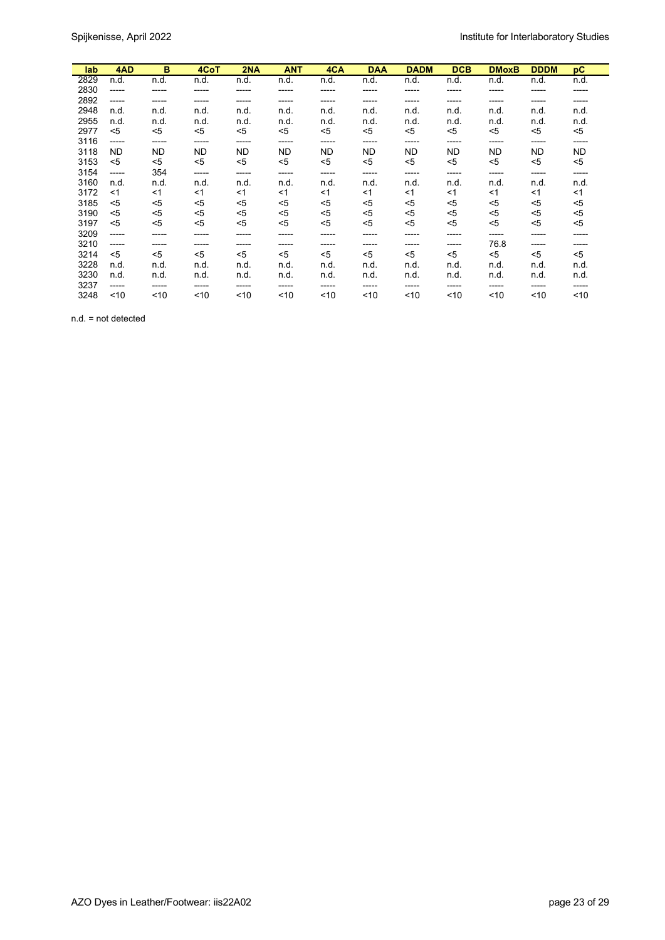| lab  | 4AD   | B         | 4CoT      | 2NA       | <b>ANT</b> | 4CA       | <b>DAA</b> | <b>DADM</b> | <b>DCB</b> | <b>DMoxB</b> | <b>DDDM</b> | рC    |
|------|-------|-----------|-----------|-----------|------------|-----------|------------|-------------|------------|--------------|-------------|-------|
|      |       |           |           |           |            |           |            |             |            |              |             |       |
| 2829 | n.d.  | n.d.      | n.d.      | n.d.      | n.d.       | n.d.      | n.d.       | n.d.        | n.d.       | n.d.         | n.d.        | n.d.  |
| 2830 | ----- | -----     | -----     | -----     | -----      | -----     | -----      | -----       | -----      | -----        | -----       | ----- |
| 2892 | ----- | -----     | -----     | -----     | -----      | -----     | -----      | -----       | -----      | -----        | -----       | ----- |
| 2948 | n.d.  | n.d.      | n.d.      | n.d.      | n.d.       | n.d.      | n.d.       | n.d.        | n.d.       | n.d.         | n.d.        | n.d.  |
| 2955 | n.d.  | n.d.      | n.d.      | n.d.      | n.d.       | n.d.      | n.d.       | n.d.        | n.d.       | n.d.         | n.d.        | n.d.  |
| 2977 | $<$ 5 | $5$       | $5$       | $5$       | $<$ 5      | <5        | $5$        | $5$         | <5         | $5$          | $5$         | <5    |
| 3116 | ----- | -----     | -----     | -----     | -----      | -----     | -----      | -----       | -----      | -----        | -----       | ----- |
| 3118 | ND.   | <b>ND</b> | <b>ND</b> | <b>ND</b> | <b>ND</b>  | <b>ND</b> | ND         | <b>ND</b>   | <b>ND</b>  | <b>ND</b>    | <b>ND</b>   | ND    |
| 3153 | $5$   | $5$       | $5$       | $<$ 5     | $<$ 5      | <5        | $5$        | $5$         | <5         | $<$ 5        | $5$         | <5    |
| 3154 | ----- | 354       | -----     | -----     | -----      | -----     | -----      | -----       | -----      | -----        | -----       | ----- |
|      |       |           |           |           |            |           |            |             |            |              |             |       |
| 3160 | n.d.  | n.d.      | n.d.      | n.d.      | n.d.       | n.d.      | n.d.       | n.d.        | n.d.       | n.d.         | n.d.        | n.d.  |
| 3172 | <1    | $<$ 1     | $<$ 1     | $<$ 1     | $<$ 1      | <1        | $<$ 1      | <1          | <1         | $<$ 1        | $<$ 1       | <1    |
| 3185 | $<$ 5 | <5        | <5        | <5        | <5         | <5        | <5         | <5          | <5         | <5           | <5          | <5    |
| 3190 | <5    | <5        | <5        | <5        | <5         | <5        | <5         | $5$         | <5         | <5           | <5          | <5    |
| 3197 | ≺5    | $5$       | $5$       | $5$       | $5$        | <5        | $5$        | $5$         | <5         | $5$          | $<$ 5       | <5    |
| 3209 | ----- | -----     | -----     | -----     | -----      | -----     | -----      | -----       | ------     | -----        | -----       | ----- |
| 3210 | ----- | -----     | -----     | -----     | -----      | -----     | -----      | -----       | -----      | 76.8         | -----       | ----- |
| 3214 | $<$ 5 | $<$ 5     | $<$ 5     | $<$ 5     | $<$ 5      | $<$ 5     | $<$ 5      | <5          | $5$        | $<$ 5        | $<$ 5       | <5    |
| 3228 | n.d.  | n.d.      | n.d.      | n.d.      | n.d.       | n.d.      | n.d.       | n.d.        | n.d.       | n.d.         | n.d.        | n.d.  |
| 3230 | n.d.  | n.d.      | n.d.      | n.d.      | n.d.       | n.d.      | n.d.       | n.d.        | n.d.       | n.d.         | n.d.        | n.d.  |
| 3237 | ----- | -----     | -----     | -----     | -----      | -----     | -----      | -----       | -----      | -----        | -----       | ----- |
| 3248 | ~10   | ~10       | ~10       | ~10       | ~10        | ~10       | ~10        | $10^{-1}$   | ~10        | ~10          | ~10         | ~10   |

n.d. = not detected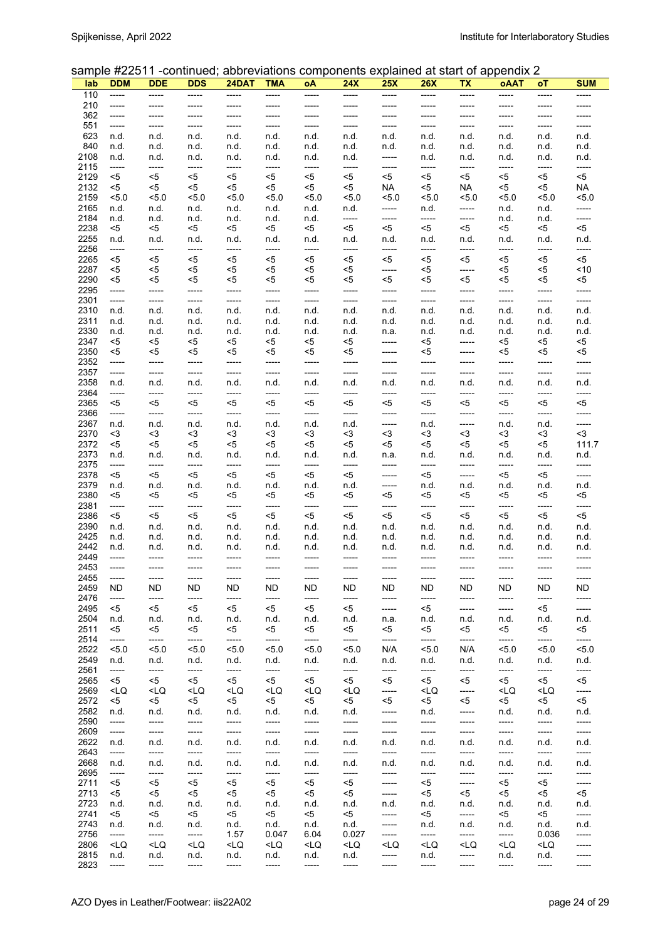### sample #22511 -continued; abbreviations components explained at start of appendix 2

|      |                                                                                                                                                                                                                                                                                                                               |                                                                                                                                                                                                                                                                                                     |                                                                                                                                                                                                                                                                           |                                                                                                                                                                                                                                                 |                                                                                                                                                                                                                       |                                                                                                                                                                                             |                                                                                                                                                                   |                                                                                                                                         |                                                                                                               |                                                                                     | $\sigma$ ampic $\pi$ zzo i i -commucu, approviations components cxpialited at start or appendix z |                                 |            |
|------|-------------------------------------------------------------------------------------------------------------------------------------------------------------------------------------------------------------------------------------------------------------------------------------------------------------------------------|-----------------------------------------------------------------------------------------------------------------------------------------------------------------------------------------------------------------------------------------------------------------------------------------------------|---------------------------------------------------------------------------------------------------------------------------------------------------------------------------------------------------------------------------------------------------------------------------|-------------------------------------------------------------------------------------------------------------------------------------------------------------------------------------------------------------------------------------------------|-----------------------------------------------------------------------------------------------------------------------------------------------------------------------------------------------------------------------|---------------------------------------------------------------------------------------------------------------------------------------------------------------------------------------------|-------------------------------------------------------------------------------------------------------------------------------------------------------------------|-----------------------------------------------------------------------------------------------------------------------------------------|---------------------------------------------------------------------------------------------------------------|-------------------------------------------------------------------------------------|---------------------------------------------------------------------------------------------------|---------------------------------|------------|
| lab  | <b>DDM</b>                                                                                                                                                                                                                                                                                                                    | <b>DDE</b>                                                                                                                                                                                                                                                                                          | <b>DDS</b>                                                                                                                                                                                                                                                                | 24DAT                                                                                                                                                                                                                                           | TMA                                                                                                                                                                                                                   | oΑ                                                                                                                                                                                          | <b>24X</b>                                                                                                                                                        | <b>25X</b>                                                                                                                              | 26X                                                                                                           | TХ                                                                                  | oAAT                                                                                              | оT                              | <b>SUM</b> |
| 110  | -----                                                                                                                                                                                                                                                                                                                         | -----                                                                                                                                                                                                                                                                                               | -----                                                                                                                                                                                                                                                                     | -----                                                                                                                                                                                                                                           | -----                                                                                                                                                                                                                 | -----                                                                                                                                                                                       | -----                                                                                                                                                             | -----                                                                                                                                   | -----                                                                                                         | -----                                                                               | -----                                                                                             | -----                           | -----      |
| 210  | -----                                                                                                                                                                                                                                                                                                                         | -----                                                                                                                                                                                                                                                                                               | -----                                                                                                                                                                                                                                                                     |                                                                                                                                                                                                                                                 | -----                                                                                                                                                                                                                 | -----                                                                                                                                                                                       |                                                                                                                                                                   | ------                                                                                                                                  | -----                                                                                                         | -----                                                                               |                                                                                                   | -----                           |            |
| 362  | -----                                                                                                                                                                                                                                                                                                                         | -----                                                                                                                                                                                                                                                                                               | -----                                                                                                                                                                                                                                                                     | -----                                                                                                                                                                                                                                           | -----                                                                                                                                                                                                                 | -----                                                                                                                                                                                       | -----                                                                                                                                                             | -----                                                                                                                                   | -----                                                                                                         | -----                                                                               | -----                                                                                             | -----                           | -----      |
| 551  | -----                                                                                                                                                                                                                                                                                                                         | -----                                                                                                                                                                                                                                                                                               | $-----$                                                                                                                                                                                                                                                                   | -----                                                                                                                                                                                                                                           | -----                                                                                                                                                                                                                 | -----                                                                                                                                                                                       | -----                                                                                                                                                             | -----                                                                                                                                   | -----                                                                                                         | -----                                                                               | -----                                                                                             | -----                           | -----      |
| 623  | n.d.                                                                                                                                                                                                                                                                                                                          | n.d.                                                                                                                                                                                                                                                                                                | n.d.                                                                                                                                                                                                                                                                      | n.d.                                                                                                                                                                                                                                            | n.d.                                                                                                                                                                                                                  | n.d.                                                                                                                                                                                        | n.d.                                                                                                                                                              | n.d.                                                                                                                                    | n.d.                                                                                                          | n.d.                                                                                | n.d.                                                                                              | n.d.                            | n.d.       |
| 840  | n.d.                                                                                                                                                                                                                                                                                                                          | n.d.                                                                                                                                                                                                                                                                                                | n.d.                                                                                                                                                                                                                                                                      | n.d.                                                                                                                                                                                                                                            | n.d.                                                                                                                                                                                                                  | n.d.                                                                                                                                                                                        | n.d.                                                                                                                                                              | n.d.                                                                                                                                    | n.d.                                                                                                          | n.d.                                                                                | n.d.                                                                                              | n.d.                            | n.d.       |
| 2108 | n.d.                                                                                                                                                                                                                                                                                                                          | n.d.                                                                                                                                                                                                                                                                                                | n.d.                                                                                                                                                                                                                                                                      | n.d.                                                                                                                                                                                                                                            | n.d.                                                                                                                                                                                                                  | n.d.                                                                                                                                                                                        | n.d.                                                                                                                                                              | -----                                                                                                                                   | n.d.                                                                                                          | n.d.                                                                                | n.d.                                                                                              | n.d.                            | n.d.       |
| 2115 | -----                                                                                                                                                                                                                                                                                                                         | -----                                                                                                                                                                                                                                                                                               | -----                                                                                                                                                                                                                                                                     | -----                                                                                                                                                                                                                                           | -----                                                                                                                                                                                                                 | -----                                                                                                                                                                                       | -----                                                                                                                                                             | -----                                                                                                                                   | -----                                                                                                         | -----                                                                               | -----                                                                                             | -----                           | -----      |
| 2129 | <5                                                                                                                                                                                                                                                                                                                            | <5                                                                                                                                                                                                                                                                                                  | <5                                                                                                                                                                                                                                                                        | <5                                                                                                                                                                                                                                              | $<$ 5                                                                                                                                                                                                                 | $<$ 5                                                                                                                                                                                       | <5                                                                                                                                                                | $<$ 5                                                                                                                                   | <5                                                                                                            | <5                                                                                  | <5                                                                                                | <5                              | $<$ 5      |
| 2132 | <5                                                                                                                                                                                                                                                                                                                            | <5                                                                                                                                                                                                                                                                                                  | <5                                                                                                                                                                                                                                                                        | $<$ 5                                                                                                                                                                                                                                           | <5                                                                                                                                                                                                                    | $<$ 5                                                                                                                                                                                       | <5                                                                                                                                                                | NA.                                                                                                                                     | <5                                                                                                            | NA                                                                                  | $5$                                                                                               | <5                              | NA         |
| 2159 | 5.0                                                                                                                                                                                                                                                                                                                           | 5.0                                                                                                                                                                                                                                                                                                 | 5.0                                                                                                                                                                                                                                                                       | 5.0                                                                                                                                                                                                                                             | 5.0                                                                                                                                                                                                                   | 5.0                                                                                                                                                                                         | 5.0                                                                                                                                                               | 5.0                                                                                                                                     | 5.0                                                                                                           | <5.0                                                                                | < 5.0                                                                                             | 5.0                             | 5.0        |
| 2165 |                                                                                                                                                                                                                                                                                                                               |                                                                                                                                                                                                                                                                                                     | n.d.                                                                                                                                                                                                                                                                      |                                                                                                                                                                                                                                                 |                                                                                                                                                                                                                       | n.d.                                                                                                                                                                                        |                                                                                                                                                                   |                                                                                                                                         |                                                                                                               |                                                                                     |                                                                                                   |                                 | -----      |
| 2184 | n.d.                                                                                                                                                                                                                                                                                                                          | n.d.                                                                                                                                                                                                                                                                                                |                                                                                                                                                                                                                                                                           | n.d.                                                                                                                                                                                                                                            | n.d.                                                                                                                                                                                                                  |                                                                                                                                                                                             | n.d.                                                                                                                                                              | -----                                                                                                                                   | n.d.                                                                                                          | -----                                                                               | n.d.                                                                                              | n.d.                            |            |
|      | n.d.                                                                                                                                                                                                                                                                                                                          | n.d.                                                                                                                                                                                                                                                                                                | n.d.                                                                                                                                                                                                                                                                      | n.d.                                                                                                                                                                                                                                            | n.d.                                                                                                                                                                                                                  | n.d.                                                                                                                                                                                        | -----                                                                                                                                                             | -----                                                                                                                                   | -----                                                                                                         | -----                                                                               | n.d.                                                                                              | n.d.                            | -----      |
| 2238 | <5                                                                                                                                                                                                                                                                                                                            | <5                                                                                                                                                                                                                                                                                                  | <5                                                                                                                                                                                                                                                                        | <5                                                                                                                                                                                                                                              | <5                                                                                                                                                                                                                    | <5                                                                                                                                                                                          | $<$ 5                                                                                                                                                             | $<$ 5                                                                                                                                   | <5                                                                                                            | <5                                                                                  | <5                                                                                                | <5                              | $5$        |
| 2255 | n.d.                                                                                                                                                                                                                                                                                                                          | n.d.                                                                                                                                                                                                                                                                                                | n.d.                                                                                                                                                                                                                                                                      | n.d.                                                                                                                                                                                                                                            | n.d.                                                                                                                                                                                                                  | n.d.                                                                                                                                                                                        | n d.                                                                                                                                                              | n.d.                                                                                                                                    | n.d.                                                                                                          | n.d.                                                                                | n.d.                                                                                              | n.d.                            | n.d.       |
| 2256 | -----                                                                                                                                                                                                                                                                                                                         | -----                                                                                                                                                                                                                                                                                               | $-----$                                                                                                                                                                                                                                                                   | -----                                                                                                                                                                                                                                           | -----                                                                                                                                                                                                                 | -----                                                                                                                                                                                       | -----                                                                                                                                                             | -----                                                                                                                                   | -----                                                                                                         | -----                                                                               | -----                                                                                             | -----                           | -----      |
| 2265 | <5                                                                                                                                                                                                                                                                                                                            | <5                                                                                                                                                                                                                                                                                                  | $<$ 5                                                                                                                                                                                                                                                                     | $5$                                                                                                                                                                                                                                             | <5                                                                                                                                                                                                                    | $5$                                                                                                                                                                                         | <5                                                                                                                                                                | <5                                                                                                                                      | $5$                                                                                                           | <5                                                                                  | $5$                                                                                               | <5                              | $<$ 5      |
| 2287 | <5                                                                                                                                                                                                                                                                                                                            | <5                                                                                                                                                                                                                                                                                                  | <5                                                                                                                                                                                                                                                                        | <5                                                                                                                                                                                                                                              | <5                                                                                                                                                                                                                    | <5                                                                                                                                                                                          | <5                                                                                                                                                                | -----                                                                                                                                   | <5                                                                                                            | -----                                                                               | <5                                                                                                | <5                              | ~10        |
| 2290 | <5                                                                                                                                                                                                                                                                                                                            | <5                                                                                                                                                                                                                                                                                                  | <5                                                                                                                                                                                                                                                                        | <5                                                                                                                                                                                                                                              | <5                                                                                                                                                                                                                    | <5                                                                                                                                                                                          | <5                                                                                                                                                                | <5                                                                                                                                      | <5                                                                                                            | <5                                                                                  | <5                                                                                                | <5                              | <5         |
| 2295 | -----                                                                                                                                                                                                                                                                                                                         | -----                                                                                                                                                                                                                                                                                               | -----                                                                                                                                                                                                                                                                     | -----                                                                                                                                                                                                                                           | -----                                                                                                                                                                                                                 | -----                                                                                                                                                                                       | -----                                                                                                                                                             | -----                                                                                                                                   | -----                                                                                                         | -----                                                                               | -----                                                                                             | -----                           | -----      |
| 2301 | -----                                                                                                                                                                                                                                                                                                                         | -----                                                                                                                                                                                                                                                                                               | -----                                                                                                                                                                                                                                                                     | -----                                                                                                                                                                                                                                           | -----                                                                                                                                                                                                                 | -----                                                                                                                                                                                       | -----                                                                                                                                                             | -----                                                                                                                                   | -----                                                                                                         | -----                                                                               | -----                                                                                             | -----                           | -----      |
| 2310 | n.d.                                                                                                                                                                                                                                                                                                                          | n.d.                                                                                                                                                                                                                                                                                                | n.d.                                                                                                                                                                                                                                                                      | n.d.                                                                                                                                                                                                                                            | n.d.                                                                                                                                                                                                                  | n.d.                                                                                                                                                                                        | n.d.                                                                                                                                                              | n.d.                                                                                                                                    | n.d.                                                                                                          | n.d.                                                                                | n.d.                                                                                              | n.d.                            | n.d.       |
| 2311 | n.d.                                                                                                                                                                                                                                                                                                                          | n.d.                                                                                                                                                                                                                                                                                                | n.d.                                                                                                                                                                                                                                                                      | n.d.                                                                                                                                                                                                                                            | n.d.                                                                                                                                                                                                                  | n.d.                                                                                                                                                                                        | n.d.                                                                                                                                                              | n.d.                                                                                                                                    | n.d.                                                                                                          | n.d.                                                                                | n.d.                                                                                              | n.d.                            | n.d.       |
| 2330 | n.d.                                                                                                                                                                                                                                                                                                                          | n.d.                                                                                                                                                                                                                                                                                                | n.d.                                                                                                                                                                                                                                                                      | n.d.                                                                                                                                                                                                                                            | n.d.                                                                                                                                                                                                                  | n.d.                                                                                                                                                                                        | n.d.                                                                                                                                                              | n.a.                                                                                                                                    | n.d.                                                                                                          | n.d.                                                                                | n.d.                                                                                              | n.d.                            | n.d.       |
| 2347 |                                                                                                                                                                                                                                                                                                                               |                                                                                                                                                                                                                                                                                                     | <5                                                                                                                                                                                                                                                                        |                                                                                                                                                                                                                                                 |                                                                                                                                                                                                                       | $<$ 5                                                                                                                                                                                       |                                                                                                                                                                   |                                                                                                                                         |                                                                                                               |                                                                                     |                                                                                                   |                                 | $5$        |
|      | <5                                                                                                                                                                                                                                                                                                                            | <5                                                                                                                                                                                                                                                                                                  |                                                                                                                                                                                                                                                                           | <5                                                                                                                                                                                                                                              | <5                                                                                                                                                                                                                    |                                                                                                                                                                                             | <5                                                                                                                                                                | -----                                                                                                                                   | <5                                                                                                            | -----                                                                               | <5                                                                                                | <5                              |            |
| 2350 | <5                                                                                                                                                                                                                                                                                                                            | <5                                                                                                                                                                                                                                                                                                  | <5                                                                                                                                                                                                                                                                        | <5                                                                                                                                                                                                                                              | <5                                                                                                                                                                                                                    | <5                                                                                                                                                                                          | <5                                                                                                                                                                | -----                                                                                                                                   | <5                                                                                                            | -----                                                                               | <5                                                                                                | <5                              | <5         |
| 2352 | -----                                                                                                                                                                                                                                                                                                                         | -----                                                                                                                                                                                                                                                                                               | -----                                                                                                                                                                                                                                                                     | -----                                                                                                                                                                                                                                           | -----                                                                                                                                                                                                                 | -----                                                                                                                                                                                       | -----                                                                                                                                                             | -----                                                                                                                                   | -----                                                                                                         | -----                                                                               | -----                                                                                             | -----                           | -----      |
| 2357 | -----                                                                                                                                                                                                                                                                                                                         | -----                                                                                                                                                                                                                                                                                               | -----                                                                                                                                                                                                                                                                     | -----                                                                                                                                                                                                                                           | -----                                                                                                                                                                                                                 | -----                                                                                                                                                                                       | -----                                                                                                                                                             | -----                                                                                                                                   | -----                                                                                                         | -----                                                                               | -----                                                                                             | -----                           | -----      |
| 2358 | n.d.                                                                                                                                                                                                                                                                                                                          | n.d.                                                                                                                                                                                                                                                                                                | n.d.                                                                                                                                                                                                                                                                      | n.d.                                                                                                                                                                                                                                            | n.d.                                                                                                                                                                                                                  | n.d.                                                                                                                                                                                        | n.d.                                                                                                                                                              | n.d.                                                                                                                                    | n.d.                                                                                                          | n.d.                                                                                | n.d.                                                                                              | n.d.                            | n.d.       |
| 2364 | -----                                                                                                                                                                                                                                                                                                                         | -----                                                                                                                                                                                                                                                                                               | -----                                                                                                                                                                                                                                                                     | -----                                                                                                                                                                                                                                           | -----                                                                                                                                                                                                                 | -----                                                                                                                                                                                       | -----                                                                                                                                                             | -----                                                                                                                                   | -----                                                                                                         | -----                                                                               | -----                                                                                             | -----                           | -----      |
| 2365 | <5                                                                                                                                                                                                                                                                                                                            | <5                                                                                                                                                                                                                                                                                                  | <5                                                                                                                                                                                                                                                                        | <5                                                                                                                                                                                                                                              | <5                                                                                                                                                                                                                    | <5                                                                                                                                                                                          | <5                                                                                                                                                                | <5                                                                                                                                      | <5                                                                                                            | <5                                                                                  | <5                                                                                                | <5                              | <5         |
| 2366 | -----                                                                                                                                                                                                                                                                                                                         | -----                                                                                                                                                                                                                                                                                               | -----                                                                                                                                                                                                                                                                     | -----                                                                                                                                                                                                                                           | -----                                                                                                                                                                                                                 | -----                                                                                                                                                                                       | -----                                                                                                                                                             | -----                                                                                                                                   | -----                                                                                                         | -----                                                                               | -----                                                                                             | -----                           | -----      |
| 2367 | n.d.                                                                                                                                                                                                                                                                                                                          | n.d.                                                                                                                                                                                                                                                                                                | n.d.                                                                                                                                                                                                                                                                      | n.d.                                                                                                                                                                                                                                            | n.d.                                                                                                                                                                                                                  | n.d.                                                                                                                                                                                        | n.d.                                                                                                                                                              | -----                                                                                                                                   | n.d.                                                                                                          | -----                                                                               | n.d.                                                                                              | n.d.                            | -----      |
| 2370 | <3                                                                                                                                                                                                                                                                                                                            | <3                                                                                                                                                                                                                                                                                                  | <3                                                                                                                                                                                                                                                                        | <3                                                                                                                                                                                                                                              | <3                                                                                                                                                                                                                    | <3                                                                                                                                                                                          | <3                                                                                                                                                                | $3$                                                                                                                                     | $3$                                                                                                           | <3                                                                                  | <3                                                                                                | <3                              | $3$        |
| 2372 | <5                                                                                                                                                                                                                                                                                                                            | <5                                                                                                                                                                                                                                                                                                  | <5                                                                                                                                                                                                                                                                        | <5                                                                                                                                                                                                                                              | <5                                                                                                                                                                                                                    | <5                                                                                                                                                                                          | <5                                                                                                                                                                | <5                                                                                                                                      | <5                                                                                                            | <5                                                                                  | <5                                                                                                | <5                              | 111.7      |
| 2373 | n.d.                                                                                                                                                                                                                                                                                                                          | n.d.                                                                                                                                                                                                                                                                                                | n.d.                                                                                                                                                                                                                                                                      | n.d.                                                                                                                                                                                                                                            | n.d.                                                                                                                                                                                                                  | n.d.                                                                                                                                                                                        | n.d.                                                                                                                                                              | n.a.                                                                                                                                    | n.d.                                                                                                          | n.d.                                                                                | n.d.                                                                                              | n.d.                            | n.d.       |
| 2375 |                                                                                                                                                                                                                                                                                                                               |                                                                                                                                                                                                                                                                                                     | -----                                                                                                                                                                                                                                                                     | -----                                                                                                                                                                                                                                           |                                                                                                                                                                                                                       | -----                                                                                                                                                                                       |                                                                                                                                                                   | -----                                                                                                                                   |                                                                                                               |                                                                                     | -----                                                                                             |                                 |            |
|      | -----                                                                                                                                                                                                                                                                                                                         | -----                                                                                                                                                                                                                                                                                               |                                                                                                                                                                                                                                                                           |                                                                                                                                                                                                                                                 | -----                                                                                                                                                                                                                 |                                                                                                                                                                                             | -----                                                                                                                                                             |                                                                                                                                         | -----                                                                                                         | -----                                                                               |                                                                                                   | -----                           | -----      |
| 2378 | <5                                                                                                                                                                                                                                                                                                                            | <5                                                                                                                                                                                                                                                                                                  | <5                                                                                                                                                                                                                                                                        | $<$ 5                                                                                                                                                                                                                                           | $5$                                                                                                                                                                                                                   | <5                                                                                                                                                                                          | <5                                                                                                                                                                | -----                                                                                                                                   | <5                                                                                                            | -----                                                                               | <5                                                                                                | <5                              | -----      |
| 2379 | n.d.                                                                                                                                                                                                                                                                                                                          | n.d.                                                                                                                                                                                                                                                                                                | n.d.                                                                                                                                                                                                                                                                      | n.d.                                                                                                                                                                                                                                            | n.d.                                                                                                                                                                                                                  | n.d.                                                                                                                                                                                        | n.d.                                                                                                                                                              | -----                                                                                                                                   | n.d.                                                                                                          | n.d.                                                                                | n.d.                                                                                              | n.d.                            | n.d.       |
| 2380 | <5                                                                                                                                                                                                                                                                                                                            | <5                                                                                                                                                                                                                                                                                                  | <5                                                                                                                                                                                                                                                                        | <5                                                                                                                                                                                                                                              | <5                                                                                                                                                                                                                    | <5                                                                                                                                                                                          | <5                                                                                                                                                                | <5                                                                                                                                      | <5                                                                                                            | <5                                                                                  | <5                                                                                                | <5                              | <5         |
| 2381 | -----                                                                                                                                                                                                                                                                                                                         | $-----$                                                                                                                                                                                                                                                                                             | $-----$                                                                                                                                                                                                                                                                   | -----                                                                                                                                                                                                                                           | -----                                                                                                                                                                                                                 | -----                                                                                                                                                                                       | -----                                                                                                                                                             | -----                                                                                                                                   | -----                                                                                                         | -----                                                                               | -----                                                                                             | $-----$                         | -----      |
| 2386 | <5                                                                                                                                                                                                                                                                                                                            | <5                                                                                                                                                                                                                                                                                                  | <5                                                                                                                                                                                                                                                                        | $<$ 5                                                                                                                                                                                                                                           | $<$ 5                                                                                                                                                                                                                 | <5                                                                                                                                                                                          | <5                                                                                                                                                                | $5$                                                                                                                                     | <5                                                                                                            | <5                                                                                  | <5                                                                                                | <5                              | <5         |
| 2390 | n.d.                                                                                                                                                                                                                                                                                                                          | n.d.                                                                                                                                                                                                                                                                                                | n.d.                                                                                                                                                                                                                                                                      | n.d.                                                                                                                                                                                                                                            | n.d.                                                                                                                                                                                                                  | n.d.                                                                                                                                                                                        | n.d.                                                                                                                                                              | n.d.                                                                                                                                    | n.d.                                                                                                          | n.d.                                                                                | n.d.                                                                                              | n.d.                            | n.d.       |
| 2425 | n.d.                                                                                                                                                                                                                                                                                                                          | n.d.                                                                                                                                                                                                                                                                                                | n.d.                                                                                                                                                                                                                                                                      | n.d.                                                                                                                                                                                                                                            | n.d.                                                                                                                                                                                                                  | n.d.                                                                                                                                                                                        | n.d.                                                                                                                                                              | n.d.                                                                                                                                    | n.d.                                                                                                          | n.d.                                                                                | n.d.                                                                                              | n.d.                            | n.d.       |
| 2442 | n.d.                                                                                                                                                                                                                                                                                                                          | n.d.                                                                                                                                                                                                                                                                                                | n.d.                                                                                                                                                                                                                                                                      | n.d.                                                                                                                                                                                                                                            | n.d.                                                                                                                                                                                                                  | n.d.                                                                                                                                                                                        | n.d.                                                                                                                                                              | n.d.                                                                                                                                    | n.d.                                                                                                          | n.d.                                                                                | n.d.                                                                                              | n.d.                            | n.d.       |
| 2449 | -----                                                                                                                                                                                                                                                                                                                         | -----                                                                                                                                                                                                                                                                                               | -----                                                                                                                                                                                                                                                                     | -----                                                                                                                                                                                                                                           | -----                                                                                                                                                                                                                 | -----                                                                                                                                                                                       | -----                                                                                                                                                             | -----                                                                                                                                   | -----                                                                                                         | -----                                                                               | -----                                                                                             | -----                           | -----      |
| 2453 | -----                                                                                                                                                                                                                                                                                                                         | -----                                                                                                                                                                                                                                                                                               | -----                                                                                                                                                                                                                                                                     | -----                                                                                                                                                                                                                                           | -----                                                                                                                                                                                                                 | -----                                                                                                                                                                                       | -----                                                                                                                                                             | -----                                                                                                                                   | -----                                                                                                         | -----                                                                               | -----                                                                                             | -----                           | -----      |
| 2455 | -----                                                                                                                                                                                                                                                                                                                         | -----                                                                                                                                                                                                                                                                                               | -----                                                                                                                                                                                                                                                                     | -----                                                                                                                                                                                                                                           | -----                                                                                                                                                                                                                 | -----                                                                                                                                                                                       | -----                                                                                                                                                             | -----                                                                                                                                   | -----                                                                                                         | -----                                                                               | -----                                                                                             | -----                           | -----      |
| 2459 | ND                                                                                                                                                                                                                                                                                                                            | ND.                                                                                                                                                                                                                                                                                                 | ND.                                                                                                                                                                                                                                                                       | ND.                                                                                                                                                                                                                                             | ND.                                                                                                                                                                                                                   | ND.                                                                                                                                                                                         | ND                                                                                                                                                                | ND.                                                                                                                                     | ND.                                                                                                           | ND.                                                                                 | ND.                                                                                               | ND                              | ND.        |
| 2476 |                                                                                                                                                                                                                                                                                                                               |                                                                                                                                                                                                                                                                                                     |                                                                                                                                                                                                                                                                           |                                                                                                                                                                                                                                                 |                                                                                                                                                                                                                       |                                                                                                                                                                                             |                                                                                                                                                                   |                                                                                                                                         |                                                                                                               |                                                                                     |                                                                                                   |                                 |            |
|      | -----                                                                                                                                                                                                                                                                                                                         | -----                                                                                                                                                                                                                                                                                               | -----                                                                                                                                                                                                                                                                     | -----                                                                                                                                                                                                                                           | -----                                                                                                                                                                                                                 | -----                                                                                                                                                                                       | -----                                                                                                                                                             | -----                                                                                                                                   | -----                                                                                                         | -----                                                                               | -----                                                                                             | -----                           | -----      |
| 2495 | <5                                                                                                                                                                                                                                                                                                                            | <5                                                                                                                                                                                                                                                                                                  | <5                                                                                                                                                                                                                                                                        | <5                                                                                                                                                                                                                                              | <5                                                                                                                                                                                                                    | <5                                                                                                                                                                                          | <5                                                                                                                                                                | -----                                                                                                                                   | <5                                                                                                            | -----                                                                               | -----                                                                                             | <5                              | -----      |
| 2504 | n.d.                                                                                                                                                                                                                                                                                                                          | n.d.                                                                                                                                                                                                                                                                                                | n.d.                                                                                                                                                                                                                                                                      | n.d.                                                                                                                                                                                                                                            | n.d.                                                                                                                                                                                                                  | n.d.                                                                                                                                                                                        | n.d.                                                                                                                                                              | n.a.                                                                                                                                    | n.d.                                                                                                          | n.d.                                                                                | n.d.                                                                                              | n.d.                            | n.d.       |
| 2511 | <5                                                                                                                                                                                                                                                                                                                            | <5                                                                                                                                                                                                                                                                                                  | <5                                                                                                                                                                                                                                                                        | <5                                                                                                                                                                                                                                              | <5                                                                                                                                                                                                                    | <5                                                                                                                                                                                          | <5                                                                                                                                                                | <5                                                                                                                                      | <5                                                                                                            | <5                                                                                  | <5                                                                                                | <5                              | <5         |
| 2514 | -----                                                                                                                                                                                                                                                                                                                         | -----                                                                                                                                                                                                                                                                                               | -----                                                                                                                                                                                                                                                                     | -----                                                                                                                                                                                                                                           | -----                                                                                                                                                                                                                 | -----                                                                                                                                                                                       | -----                                                                                                                                                             | -----                                                                                                                                   | -----                                                                                                         | -----                                                                               | -----                                                                                             | -----                           | -----      |
| 2522 | 5.0                                                                                                                                                                                                                                                                                                                           | 5.0                                                                                                                                                                                                                                                                                                 | 5.0                                                                                                                                                                                                                                                                       | 5.0                                                                                                                                                                                                                                             | 5.0                                                                                                                                                                                                                   | 5.0                                                                                                                                                                                         | 5.0                                                                                                                                                               | N/A                                                                                                                                     | 5.0                                                                                                           | N/A                                                                                 | 5.0                                                                                               | 5.0                             | 5.0        |
| 2549 | n.d.                                                                                                                                                                                                                                                                                                                          | n.d.                                                                                                                                                                                                                                                                                                | n.d.                                                                                                                                                                                                                                                                      | n.d.                                                                                                                                                                                                                                            | n.d.                                                                                                                                                                                                                  | n.d.                                                                                                                                                                                        | n.d.                                                                                                                                                              | n.d.                                                                                                                                    | n.d.                                                                                                          | n.d.                                                                                | n.d.                                                                                              | n.d.                            | n.d.       |
| 2561 | -----                                                                                                                                                                                                                                                                                                                         | -----                                                                                                                                                                                                                                                                                               | -----                                                                                                                                                                                                                                                                     | -----                                                                                                                                                                                                                                           | -----                                                                                                                                                                                                                 | -----                                                                                                                                                                                       | -----                                                                                                                                                             | -----                                                                                                                                   | -----                                                                                                         | -----                                                                               | -----                                                                                             | -----                           | $-----$    |
| 2565 | <5                                                                                                                                                                                                                                                                                                                            | <5                                                                                                                                                                                                                                                                                                  | <5                                                                                                                                                                                                                                                                        | <5                                                                                                                                                                                                                                              | <5                                                                                                                                                                                                                    | $<$ 5                                                                                                                                                                                       | <5                                                                                                                                                                | $<$ 5                                                                                                                                   | <5                                                                                                            | <5                                                                                  | <5                                                                                                | <5                              | $5$        |
| 2569 | <lq< td=""><td><lq< td=""><td><lq< td=""><td><lq< td=""><td><lq< td=""><td><lq< td=""><td><lq< td=""><td>-----</td><td><lq< td=""><td>-----</td><td><lq< td=""><td><lq< td=""><td>-----</td></lq<></td></lq<></td></lq<></td></lq<></td></lq<></td></lq<></td></lq<></td></lq<></td></lq<></td></lq<>                         | <lq< td=""><td><lq< td=""><td><lq< td=""><td><lq< td=""><td><lq< td=""><td><lq< td=""><td>-----</td><td><lq< td=""><td>-----</td><td><lq< td=""><td><lq< td=""><td>-----</td></lq<></td></lq<></td></lq<></td></lq<></td></lq<></td></lq<></td></lq<></td></lq<></td></lq<>                         | <lq< td=""><td><lq< td=""><td><lq< td=""><td><lq< td=""><td><lq< td=""><td>-----</td><td><lq< td=""><td>-----</td><td><lq< td=""><td><lq< td=""><td>-----</td></lq<></td></lq<></td></lq<></td></lq<></td></lq<></td></lq<></td></lq<></td></lq<>                         | <lq< td=""><td><lq< td=""><td><lq< td=""><td><lq< td=""><td>-----</td><td><lq< td=""><td>-----</td><td><lq< td=""><td><lq< td=""><td>-----</td></lq<></td></lq<></td></lq<></td></lq<></td></lq<></td></lq<></td></lq<>                         | <lq< td=""><td><lq< td=""><td><lq< td=""><td>-----</td><td><lq< td=""><td>-----</td><td><lq< td=""><td><lq< td=""><td>-----</td></lq<></td></lq<></td></lq<></td></lq<></td></lq<></td></lq<>                         | <lq< td=""><td><lq< td=""><td>-----</td><td><lq< td=""><td>-----</td><td><lq< td=""><td><lq< td=""><td>-----</td></lq<></td></lq<></td></lq<></td></lq<></td></lq<>                         | <lq< td=""><td>-----</td><td><lq< td=""><td>-----</td><td><lq< td=""><td><lq< td=""><td>-----</td></lq<></td></lq<></td></lq<></td></lq<>                         | -----                                                                                                                                   | <lq< td=""><td>-----</td><td><lq< td=""><td><lq< td=""><td>-----</td></lq<></td></lq<></td></lq<>             | -----                                                                               | <lq< td=""><td><lq< td=""><td>-----</td></lq<></td></lq<>                                         | <lq< td=""><td>-----</td></lq<> | -----      |
| 2572 | $5$                                                                                                                                                                                                                                                                                                                           | $5$                                                                                                                                                                                                                                                                                                 | $5$                                                                                                                                                                                                                                                                       | $5$                                                                                                                                                                                                                                             | <5                                                                                                                                                                                                                    | $5$                                                                                                                                                                                         | $5$                                                                                                                                                               | <5                                                                                                                                      | $5$                                                                                                           | <5                                                                                  | $5$                                                                                               | $5$                             | $5$        |
| 2582 | n.d.                                                                                                                                                                                                                                                                                                                          | n.d.                                                                                                                                                                                                                                                                                                | n.d.                                                                                                                                                                                                                                                                      | n.d.                                                                                                                                                                                                                                            | n.d.                                                                                                                                                                                                                  | n.d.                                                                                                                                                                                        | n.d.                                                                                                                                                              | -----                                                                                                                                   | n.d.                                                                                                          | -----                                                                               | n.d.                                                                                              | n.d.                            | n.d.       |
| 2590 | -----                                                                                                                                                                                                                                                                                                                         | -----                                                                                                                                                                                                                                                                                               | -----                                                                                                                                                                                                                                                                     | -----                                                                                                                                                                                                                                           | -----                                                                                                                                                                                                                 | -----                                                                                                                                                                                       | -----                                                                                                                                                             | -----                                                                                                                                   | -----                                                                                                         | -----                                                                               | -----                                                                                             | -----                           | -----      |
|      |                                                                                                                                                                                                                                                                                                                               |                                                                                                                                                                                                                                                                                                     |                                                                                                                                                                                                                                                                           |                                                                                                                                                                                                                                                 |                                                                                                                                                                                                                       |                                                                                                                                                                                             |                                                                                                                                                                   |                                                                                                                                         |                                                                                                               |                                                                                     |                                                                                                   |                                 |            |
| 2609 | -----                                                                                                                                                                                                                                                                                                                         | -----                                                                                                                                                                                                                                                                                               | -----                                                                                                                                                                                                                                                                     | -----                                                                                                                                                                                                                                           | -----                                                                                                                                                                                                                 | -----                                                                                                                                                                                       | -----                                                                                                                                                             | -----                                                                                                                                   | -----                                                                                                         | -----                                                                               | -----                                                                                             | -----                           | -----      |
| 2622 | n.d.                                                                                                                                                                                                                                                                                                                          | n.d.                                                                                                                                                                                                                                                                                                | n.d.                                                                                                                                                                                                                                                                      | n.d.                                                                                                                                                                                                                                            | n.d.                                                                                                                                                                                                                  | n.d.                                                                                                                                                                                        | n.d.                                                                                                                                                              | n.d.                                                                                                                                    | n.d.                                                                                                          | n.d.                                                                                | n.d.                                                                                              | n.d.                            | n.d.       |
| 2643 | -----                                                                                                                                                                                                                                                                                                                         | -----                                                                                                                                                                                                                                                                                               | -----                                                                                                                                                                                                                                                                     | -----                                                                                                                                                                                                                                           | -----                                                                                                                                                                                                                 | -----                                                                                                                                                                                       | -----                                                                                                                                                             | -----                                                                                                                                   | -----                                                                                                         | -----                                                                               | -----                                                                                             | -----                           | -----      |
| 2668 | n.d.                                                                                                                                                                                                                                                                                                                          | n.d.                                                                                                                                                                                                                                                                                                | n.d.                                                                                                                                                                                                                                                                      | n.d.                                                                                                                                                                                                                                            | n.d.                                                                                                                                                                                                                  | n.d.                                                                                                                                                                                        | n.d.                                                                                                                                                              | n.d.                                                                                                                                    | n.d.                                                                                                          | n.d.                                                                                | n.d.                                                                                              | n.d.                            | n.d.       |
| 2695 | -----                                                                                                                                                                                                                                                                                                                         | -----                                                                                                                                                                                                                                                                                               | -----                                                                                                                                                                                                                                                                     | -----                                                                                                                                                                                                                                           | -----                                                                                                                                                                                                                 | -----                                                                                                                                                                                       | -----                                                                                                                                                             | -----                                                                                                                                   | -----                                                                                                         | -----                                                                               | -----                                                                                             | -----                           | -----      |
| 2711 | <5                                                                                                                                                                                                                                                                                                                            | <5                                                                                                                                                                                                                                                                                                  | <5                                                                                                                                                                                                                                                                        | <5                                                                                                                                                                                                                                              | <5                                                                                                                                                                                                                    | $5$                                                                                                                                                                                         | <5                                                                                                                                                                | -----                                                                                                                                   | <5                                                                                                            | -----                                                                               | <5                                                                                                | <5                              | -----      |
| 2713 | <5                                                                                                                                                                                                                                                                                                                            | <5                                                                                                                                                                                                                                                                                                  | <5                                                                                                                                                                                                                                                                        | <5                                                                                                                                                                                                                                              | <5                                                                                                                                                                                                                    | <5                                                                                                                                                                                          | <5                                                                                                                                                                | -----                                                                                                                                   | <5                                                                                                            | <5                                                                                  | <5                                                                                                | <5                              | $5$        |
| 2723 | n.d.                                                                                                                                                                                                                                                                                                                          | n.d.                                                                                                                                                                                                                                                                                                | n.d.                                                                                                                                                                                                                                                                      | n.d.                                                                                                                                                                                                                                            | n.d.                                                                                                                                                                                                                  | n.d.                                                                                                                                                                                        | n.d.                                                                                                                                                              | n.d.                                                                                                                                    | n.d.                                                                                                          | n.d.                                                                                | n.d.                                                                                              | n.d.                            | n.d.       |
| 2741 | <5                                                                                                                                                                                                                                                                                                                            | <5                                                                                                                                                                                                                                                                                                  | <5                                                                                                                                                                                                                                                                        | <5                                                                                                                                                                                                                                              | <5                                                                                                                                                                                                                    | <5                                                                                                                                                                                          | <5                                                                                                                                                                | -----                                                                                                                                   | <5                                                                                                            | -----                                                                               | <5                                                                                                | <5                              | -----      |
| 2743 | n.d.                                                                                                                                                                                                                                                                                                                          | n.d.                                                                                                                                                                                                                                                                                                | n.d.                                                                                                                                                                                                                                                                      | n.d.                                                                                                                                                                                                                                            | n.d.                                                                                                                                                                                                                  | n.d.                                                                                                                                                                                        | n.d.                                                                                                                                                              | $-----$                                                                                                                                 | n.d.                                                                                                          | n.d.                                                                                | n.d.                                                                                              | n.d.                            | n.d.       |
| 2756 |                                                                                                                                                                                                                                                                                                                               |                                                                                                                                                                                                                                                                                                     |                                                                                                                                                                                                                                                                           |                                                                                                                                                                                                                                                 |                                                                                                                                                                                                                       |                                                                                                                                                                                             |                                                                                                                                                                   |                                                                                                                                         | -----                                                                                                         |                                                                                     |                                                                                                   |                                 |            |
|      | -----                                                                                                                                                                                                                                                                                                                         | -----                                                                                                                                                                                                                                                                                               | -----                                                                                                                                                                                                                                                                     | 1.57                                                                                                                                                                                                                                            | 0.047                                                                                                                                                                                                                 | 6.04                                                                                                                                                                                        | 0.027                                                                                                                                                             | -----                                                                                                                                   |                                                                                                               | -----                                                                               | -----                                                                                             | 0.036                           | -----      |
| 2806 | <lq< td=""><td><lq< td=""><td><lq< td=""><td><lq< td=""><td><lq< td=""><td><lq< td=""><td><lq< td=""><td><lq< td=""><td><lq< td=""><td><lq< td=""><td><lq< td=""><td><lq< td=""><td>-----</td></lq<></td></lq<></td></lq<></td></lq<></td></lq<></td></lq<></td></lq<></td></lq<></td></lq<></td></lq<></td></lq<></td></lq<> | <lq< td=""><td><lq< td=""><td><lq< td=""><td><lq< td=""><td><lq< td=""><td><lq< td=""><td><lq< td=""><td><lq< td=""><td><lq< td=""><td><lq< td=""><td><lq< td=""><td>-----</td></lq<></td></lq<></td></lq<></td></lq<></td></lq<></td></lq<></td></lq<></td></lq<></td></lq<></td></lq<></td></lq<> | <lq< td=""><td><lq< td=""><td><lq< td=""><td><lq< td=""><td><lq< td=""><td><lq< td=""><td><lq< td=""><td><lq< td=""><td><lq< td=""><td><lq< td=""><td>-----</td></lq<></td></lq<></td></lq<></td></lq<></td></lq<></td></lq<></td></lq<></td></lq<></td></lq<></td></lq<> | <lq< td=""><td><lq< td=""><td><lq< td=""><td><lq< td=""><td><lq< td=""><td><lq< td=""><td><lq< td=""><td><lq< td=""><td><lq< td=""><td>-----</td></lq<></td></lq<></td></lq<></td></lq<></td></lq<></td></lq<></td></lq<></td></lq<></td></lq<> | <lq< td=""><td><lq< td=""><td><lq< td=""><td><lq< td=""><td><lq< td=""><td><lq< td=""><td><lq< td=""><td><lq< td=""><td>-----</td></lq<></td></lq<></td></lq<></td></lq<></td></lq<></td></lq<></td></lq<></td></lq<> | <lq< td=""><td><lq< td=""><td><lq< td=""><td><lq< td=""><td><lq< td=""><td><lq< td=""><td><lq< td=""><td>-----</td></lq<></td></lq<></td></lq<></td></lq<></td></lq<></td></lq<></td></lq<> | <lq< td=""><td><lq< td=""><td><lq< td=""><td><lq< td=""><td><lq< td=""><td><lq< td=""><td>-----</td></lq<></td></lq<></td></lq<></td></lq<></td></lq<></td></lq<> | <lq< td=""><td><lq< td=""><td><lq< td=""><td><lq< td=""><td><lq< td=""><td>-----</td></lq<></td></lq<></td></lq<></td></lq<></td></lq<> | <lq< td=""><td><lq< td=""><td><lq< td=""><td><lq< td=""><td>-----</td></lq<></td></lq<></td></lq<></td></lq<> | <lq< td=""><td><lq< td=""><td><lq< td=""><td>-----</td></lq<></td></lq<></td></lq<> | <lq< td=""><td><lq< td=""><td>-----</td></lq<></td></lq<>                                         | <lq< td=""><td>-----</td></lq<> | -----      |
| 2815 | n.d.                                                                                                                                                                                                                                                                                                                          | n.d.                                                                                                                                                                                                                                                                                                | n.d.                                                                                                                                                                                                                                                                      | n.d.                                                                                                                                                                                                                                            | n.d.                                                                                                                                                                                                                  | n.d.                                                                                                                                                                                        | n.d.                                                                                                                                                              | -----                                                                                                                                   | n.d.                                                                                                          | -----                                                                               | n.d.                                                                                              | n.d.                            | -----      |
| 2823 | -----                                                                                                                                                                                                                                                                                                                         | -----                                                                                                                                                                                                                                                                                               | -----                                                                                                                                                                                                                                                                     | -----                                                                                                                                                                                                                                           | -----                                                                                                                                                                                                                 | -----                                                                                                                                                                                       | -----                                                                                                                                                             | -----                                                                                                                                   | -----                                                                                                         | -----                                                                               | -----                                                                                             | -----                           | -----      |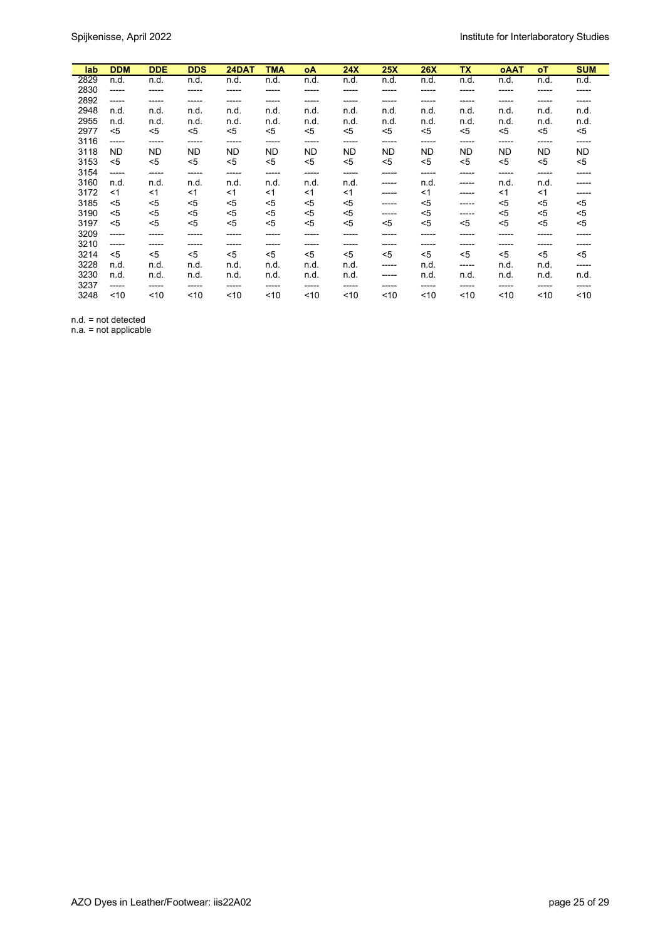| lab  | <b>DDM</b> | <b>DDE</b> | <b>DDS</b> | 24DAT     | TMA       | οA    | 24X       | 25X       | <b>26X</b> | <b>TX</b> | <b>OAAT</b> | οT        | <b>SUM</b> |
|------|------------|------------|------------|-----------|-----------|-------|-----------|-----------|------------|-----------|-------------|-----------|------------|
| 2829 | n.d.       | n.d.       | n.d.       | n.d.      | n.d.      | n.d.  | n.d.      | n.d.      | n.d.       | n.d.      | n.d.        | n.d.      | n.d.       |
| 2830 | -----      | -----      | -----      | -----     | -----     | ----- | -----     | -----     | -----      | -----     | -----       | -----     | -----      |
| 2892 | -----      | -----      | -----      | -----     | -----     | ----- | -----     | -----     | -----      | -----     | -----       | -----     | -----      |
| 2948 | n.d.       | n.d.       | n.d.       | n.d.      | n.d.      | n.d.  | n.d.      | n.d.      | n.d.       | n.d.      | n.d.        | n.d.      | n.d.       |
| 2955 | n.d.       | n.d.       | n.d.       | n.d.      | n.d.      | n.d.  | n.d.      | n.d.      | n.d.       | n.d.      | n.d.        | n.d.      | n.d.       |
| 2977 | $<$ 5      | $5$        | $5$        | $5$       | $5$       | $<$ 5 | $5$       | $<$ 5     | $<$ 5      | $5$       | $5$         | $5$       | <5         |
| 3116 | -----      | -----      | -----      | -----     | -----     | ----- | -----     | ------    | -----      | -----     | -----       | -----     | -----      |
| 3118 | <b>ND</b>  | <b>ND</b>  | <b>ND</b>  | <b>ND</b> | <b>ND</b> | ND.   | <b>ND</b> | <b>ND</b> | <b>ND</b>  | <b>ND</b> | ND          | <b>ND</b> | <b>ND</b>  |
| 3153 | $5$        | $<$ 5      | $5$        | <5        | $5$       | $<$ 5 | $5$       | $<$ 5     | $<$ 5      | $<$ 5     | $5$         | <5        | $5$        |
| 3154 | -----      | -----      | ------     | -----     | -----     | ----- | -----     | -----     | -----      | -----     | -----       | -----     | -----      |
| 3160 | n.d.       | n.d.       | n.d.       | n.d.      | n.d.      | n.d.  | n.d.      | -----     | n.d.       | -----     | n.d.        | n.d.      | -----      |
| 3172 | <1         | $<$ 1      | $<$ 1      | <1        | $<$ 1     | $<$ 1 | <1        | -----     | $<$ 1      | -----     | $<$ 1       | $<$ 1     | -----      |
| 3185 | $5$        | <5         | $5$        | <5        | <5        | <5    | <5        | -----     | <5         | -----     | $5$         | <5        | <5         |
| 3190 | <5         | <5         | $5$        | <5        | <5        | <5    | <5        | -----     | <5         | -----     | $5$         | <5        | <5         |
| 3197 | $<$ 5      | $5$        | $5$        | <5        | $5$       | $<$ 5 | $<$ 5     | <5        | $5$        | $<$ 5     | $5$         | $5$       | <5         |
| 3209 | -----      | -----      | -----      | -----     | -----     | ----- | -----     | -----     | -----      | -----     | -----       | -----     | -----      |
| 3210 | -----      | -----      | -----      | -----     | -----     | ----- | -----     | -----     | -----      | -----     | -----       | -----     | -----      |
| 3214 | $<$ 5      | $<$ 5      | $<$ 5      | $<$ 5     | $5$       | $<$ 5 | $5$       | $<$ 5     | $<$ 5      | $<$ 5     | $<$ 5       | $<$ 5     | $5$        |
| 3228 | n.d.       | n.d.       | n.d.       | n.d.      | n.d.      | n.d.  | n.d.      | -----     | n.d.       | -----     | n.d.        | n.d.      | -----      |
| 3230 | n.d.       | n.d.       | n.d.       | n.d.      | n.d.      | n.d.  | n.d.      | -----     | n.d.       | n.d.      | n.d.        | n.d.      | n.d.       |
| 3237 | -----      | -----      | -----      | -----     | -----     | ----- | -----     | -----     | -----      | -----     | -----       | -----     | -----      |
| 3248 | ~10        | ~10        | $10$       | ~10       | ~10       | ~10   | ~10       | ~10       | ~10        | ~10       | $10$        | ~10       | ~10        |

n.d. = not detected

n.a. = not applicable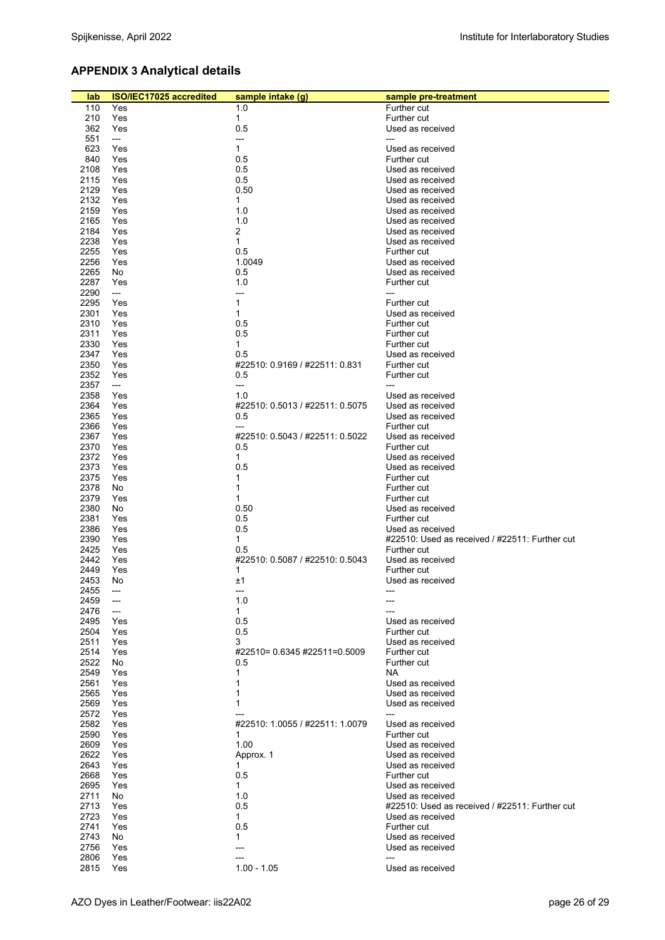# **APPENDIX 3 Analytical details**

| lab          | ISO/IEC17025 accredited  | sample intake (g)                    | sample pre-treatment                           |
|--------------|--------------------------|--------------------------------------|------------------------------------------------|
| 110          | Yes                      | 1.0                                  | Further cut                                    |
| 210          | Yes                      | $\mathbf{1}$                         | Further cut                                    |
| 362          | Yes                      | 0.5                                  | Used as received                               |
| 551          | $\qquad \qquad \cdots$   | ---                                  |                                                |
| 623          | Yes                      | $\mathbf{1}$                         | Used as received                               |
| 840          | Yes                      | 0.5                                  | Further cut                                    |
| 2108         | Yes                      | 0.5                                  | Used as received                               |
| 2115         | Yes                      | 0.5                                  | Used as received                               |
| 2129         | Yes                      | 0.50                                 | Used as received                               |
| 2132<br>2159 | Yes<br>Yes               | $\mathbf{1}$<br>1.0                  | Used as received<br>Used as received           |
| 2165         | Yes                      | 1.0                                  | Used as received                               |
| 2184         | Yes                      | $\overline{c}$                       | Used as received                               |
| 2238         | Yes                      | $\mathbf{1}$                         | Used as received                               |
| 2255         | Yes                      | 0.5                                  | Further cut                                    |
| 2256         | Yes                      | 1.0049                               | Used as received                               |
| 2265         | No                       | 0.5                                  | Used as received                               |
| 2287         | Yes                      | 1.0                                  | Further cut                                    |
| 2290         | $---$                    | ---<br>$\mathbf{1}$                  | ---                                            |
| 2295<br>2301 | Yes<br>Yes               | $\mathbf{1}$                         | Further cut<br>Used as received                |
| 2310         | Yes                      | 0.5                                  | Further cut                                    |
| 2311         | Yes                      | 0.5                                  | Further cut                                    |
| 2330         | Yes                      | $\mathbf{1}$                         | Further cut                                    |
| 2347         | Yes                      | 0.5                                  | Used as received                               |
| 2350         | Yes                      | #22510: 0.9169 / #22511: 0.831       | Further cut                                    |
| 2352         | Yes                      | 0.5                                  | Further cut                                    |
| 2357         | ---                      | ---                                  |                                                |
| 2358<br>2364 | Yes<br>Yes               | 1.0<br>#22510 0.5013 / #22511 0.5075 | Used as received<br>Used as received           |
| 2365         | Yes                      | 0.5                                  | Used as received                               |
| 2366         | Yes                      | ---                                  | Further cut                                    |
| 2367         | Yes                      | #22510: 0.5043 / #22511: 0.5022      | Used as received                               |
| 2370         | Yes                      | 0.5                                  | Further cut                                    |
| 2372         | Yes                      | $\mathbf{1}$                         | Used as received                               |
| 2373         | Yes                      | 0.5                                  | Used as received                               |
| 2375         | Yes                      | 1                                    | Further cut                                    |
| 2378         | No                       | $\mathbf{1}$<br>$\mathbf{1}$         | Further cut                                    |
| 2379<br>2380 | Yes<br>No                | 0.50                                 | Further cut<br>Used as received                |
| 2381         | Yes                      | 0.5                                  | Further cut                                    |
| 2386         | Yes                      | 0.5                                  | Used as received                               |
| 2390         | Yes                      | $\mathbf{1}$                         | #22510: Used as received / #22511: Further cut |
| 2425         | Yes                      | 0.5                                  | Further cut                                    |
| 2442         | Yes                      | #22510: 0.5087 / #22510: 0.5043      | Used as received                               |
| 2449         | Yes                      | 1                                    | Further cut                                    |
| 2453         | No                       | ±1                                   | Used as received                               |
| 2455<br>2459 | $---$<br>---             | ---<br>1.0                           |                                                |
| 2476         | $\overline{\phantom{a}}$ | $\mathbf{1}$                         |                                                |
| 2495         | Yes                      | 0.5                                  | Used as received                               |
| 2504         | Yes                      | 0.5                                  | Further cut                                    |
| 2511         | Yes                      | 3                                    | Used as received                               |
| 2514         | Yes                      | #22510= 0.6345 #22511=0.5009         | Further cut                                    |
| 2522         | No                       | 0.5                                  | Further cut                                    |
| 2549<br>2561 | Yes<br>Yes               | 1<br>1                               | NA.<br>Used as received                        |
| 2565         | Yes                      | 1                                    | Used as received                               |
| 2569         | Yes                      | 1                                    | Used as received                               |
| 2572         | Yes                      |                                      |                                                |
| 2582         | Yes                      | #22510: 1.0055 / #22511: 1.0079      | Used as received                               |
| 2590         | Yes                      | 1                                    | Further cut                                    |
| 2609         | Yes                      | 1.00                                 | Used as received                               |
| 2622         | Yes                      | Approx. 1                            | Used as received                               |
| 2643<br>2668 | Yes<br>Yes               | $\mathbf{1}$<br>0.5                  | Used as received<br>Further cut                |
| 2695         | Yes                      | $\mathbf 1$                          | Used as received                               |
| 2711         | No                       | 1.0                                  | Used as received                               |
| 2713         | Yes                      | 0.5                                  | #22510: Used as received / #22511: Further cut |
| 2723         | Yes                      | $\mathbf{1}$                         | Used as received                               |
| 2741         | Yes                      | 0.5                                  | Further cut                                    |
| 2743         | No                       | 1                                    | Used as received                               |
| 2756         | Yes                      | ---                                  | Used as received                               |
| 2806<br>2815 | Yes<br>Yes               | $1.00 - 1.05$                        | ---<br>Used as received                        |
|              |                          |                                      |                                                |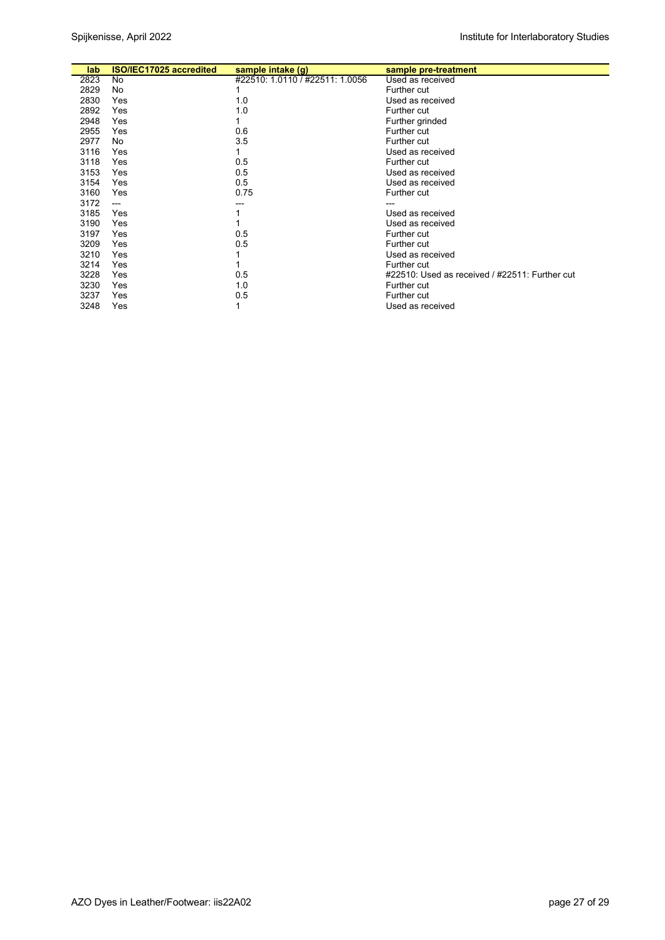| lab  | ISO/IEC17025 accredited | sample intake (g)               | sample pre-treatment                           |
|------|-------------------------|---------------------------------|------------------------------------------------|
| 2823 | No                      | #22510: 1.0110 / #22511: 1.0056 | Used as received                               |
| 2829 | No                      |                                 | Further cut                                    |
| 2830 | Yes                     | 1.0                             | Used as received                               |
| 2892 | Yes                     | 1.0                             | Further cut                                    |
| 2948 | Yes                     |                                 | Further grinded                                |
| 2955 | Yes                     | 0.6                             | Further cut                                    |
| 2977 | No                      | 3.5                             | Further cut                                    |
| 3116 | Yes                     |                                 | Used as received                               |
| 3118 | Yes                     | 0.5                             | Further cut                                    |
| 3153 | Yes                     | 0.5                             | Used as received                               |
| 3154 | Yes                     | 0.5                             | Used as received                               |
| 3160 | Yes                     | 0.75                            | Further cut                                    |
| 3172 | $---$                   |                                 |                                                |
| 3185 | Yes                     |                                 | Used as received                               |
| 3190 | Yes                     |                                 | Used as received                               |
| 3197 | Yes                     | 0.5                             | Further cut                                    |
| 3209 | Yes                     | 0.5                             | Further cut                                    |
| 3210 | Yes                     |                                 | Used as received                               |
| 3214 | Yes                     |                                 | Further cut                                    |
| 3228 | Yes                     | 0.5                             | #22510: Used as received / #22511: Further cut |
| 3230 | Yes                     | 1.0                             | Further cut                                    |
| 3237 | Yes                     | 0.5                             | Further cut                                    |
| 3248 | Yes                     |                                 | Used as received                               |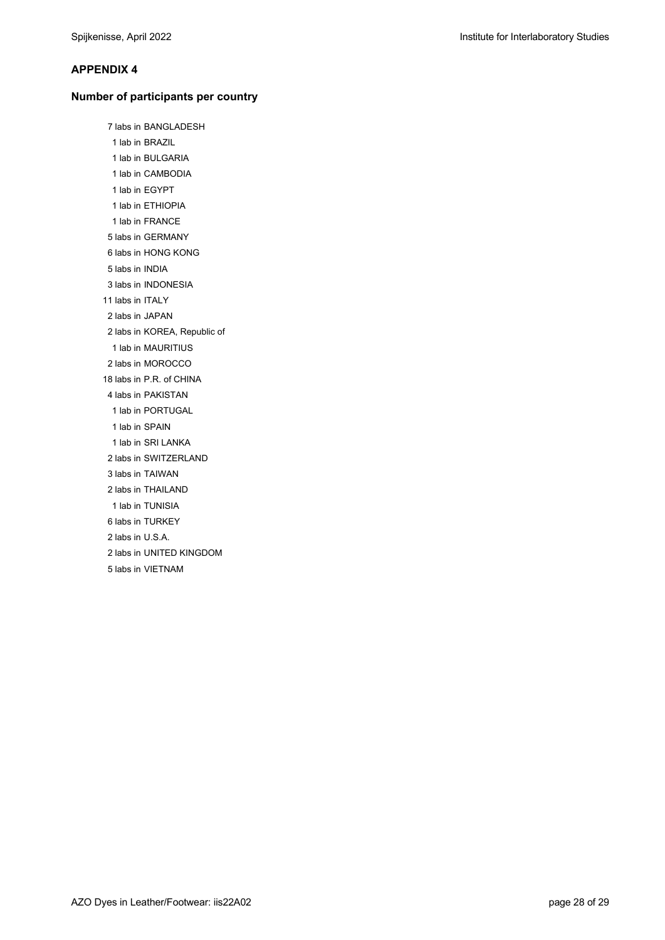### **APPENDIX 4**

#### **Number of participants per country**

 7 labs in BANGLADESH 1 lab in BRAZIL 1 lab in BULGARIA 1 lab in CAMBODIA 1 lab in EGYPT 1 lab in ETHIOPIA 1 lab in FRANCE 5 labs in GERMANY 6 labs in HONG KONG 5 labs in INDIA 3 labs in INDONESIA 11 labs in ITALY 2 labs in JAPAN 2 labs in KOREA, Republic of 1 lab in MAURITIUS 2 labs in MOROCCO 18 labs in P.R. of CHINA 4 labs in PAKISTAN 1 lab in PORTUGAL 1 lab in SPAIN 1 lab in SRI LANKA 2 labs in SWITZERLAND 3 labs in TAIWAN 2 labs in THAILAND 1 lab in TUNISIA 6 labs in TURKEY 2 labs in U.S.A. 2 labs in UNITED KINGDOM 5 labs in VIETNAM